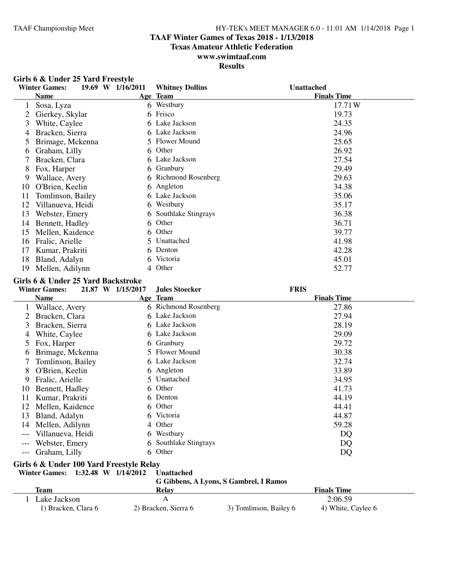#### **TAAF Winter Games of Texas 2018 - 1/13/2018**

**Texas Amateur Athletic Federation**

### **www.swimtaaf.com**

**Results**

|    | Girls 6 & Under 25 Yard Freestyle |                   |                        |                    |
|----|-----------------------------------|-------------------|------------------------|--------------------|
|    | <b>Winter Games:</b>              | 19.69 W 1/16/2011 | <b>Whitney Dollins</b> | <b>Unattached</b>  |
|    | Name                              |                   | Age Team               | <b>Finals Time</b> |
|    | Sosa, Lyza                        |                   | 6 Westbury             | 17.71W             |
|    | Gierkey, Skylar                   | 6                 | Frisco                 | 19.73              |
| 3  | White, Caylee                     |                   | 6 Lake Jackson         | 24.35              |
| 4  | Bracken, Sierra                   |                   | 6 Lake Jackson         | 24.96              |
| 5  | Brimage, Mckenna                  |                   | 5 Flower Mound         | 25.65              |
| 6  | Graham, Lilly                     |                   | 6 Other                | 26.92              |
|    | Bracken, Clara                    |                   | 6 Lake Jackson         | 27.54              |
| 8  | Fox, Harper                       |                   | 6 Granbury             | 29.49              |
| 9  | Wallace, Avery                    |                   | 6 Richmond Rosenberg   | 29.63              |
| 10 | O'Brien, Keelin                   |                   | 6 Angleton             | 34.38              |
| 11 | Tomlinson, Bailey                 |                   | 6 Lake Jackson         | 35.06              |
| 12 | Villanueva, Heidi                 | 6                 | Westbury               | 35.17              |
| 13 | Webster, Emery                    | 6.                | Southlake Stingrays    | 36.38              |
| 14 | Bennett, Hadley                   | 6                 | Other                  | 36.71              |
| 15 | Mellen, Kaidence                  | 6                 | Other                  | 39.77              |
| 16 | Fralic, Arielle                   | 5.                | Unattached             | 41.98              |
| 17 | Kumar, Prakriti                   | 6                 | Denton                 | 42.28              |
| 18 | Bland, Adalyn                     | 6                 | Victoria               | 45.01              |
| 19 | Mellen, Adilynn                   | 4                 | Other                  | 52.77              |

# **Girls 6 & Under 25 Yard Backstroke**<br>Winter Games: 21.87 W 1/15/201

**Winter Games: 21.87 W 1/15/2017 Jules Stoecker FRIS Name** Team **Age Team Age Team Team Einals Time** 1 Wallace, Avery 6 Richmond Rosenberg 27.86<br>2 Bracken Clara 6 Lake Jackson 27.94 2 Bracken, Clara 6 Lake Jackson<br>3 Bracken, Sierra 6 Lake Jackson 3 Bracken, Sierra 6 Lake Jackson 28.19<br>28.19 1 A White Caylee 6 Lake Jackson 29.09 4 White, Caylee 6 Lake Jackson 29.09<br>
5 Pox. Harper 6 Granbury 29.72 5 Fox, Harper 6 Granbury 6 Granbury 29.72<br>6 Brimage. Mckenna 5 Flower Mound 30.38 6 Brimage, Mckenna 5 Flower Mound 30.38<br>
7 Tomlinson, Bailey 6 Lake Jackson 32.74 7 Tomlinson, Bailey 6 Lake Jackson 32.74 8 O'Brien, Keelin 6 Angleton 33.89<br>9 Fralic, Arielle 5 Unattached 34.95 9 Fralic, Arielle 5 Unattached 34.95<br>
0 Bennett, Hadley 6 Other 41.73 10 Bennett, Hadley 6 Other<br>
11 Kumar Prakriti 6 Denton 11 Kumar, Prakriti 6 Denton 6 Other 12 Mellen, Kaidence 6 Other 144.41 12 Mellen, Kaidence 6 Other 13 Bland, Adalyn 6 Victoria 13 Bland, Adalyn 6 Victoria 14.87<br>14 Mellen, Adilynn 4 Other 59.28 14 Mellen, Adilynn 4 Other<br>
--- Villanueva, Heidi 6 Westbury --- Villanueva, Heidi 6 Westbury 6 Westbury DQ<br>--- Webster. Emery 6 Southlake Stingrays DO --- Webster, Emery 6 Southlake Stingrays DQ<br>--- Graham, Lilly 6 Other DO --- Graham, Lilly 6 Other DQ

# **Girls 6 & Under 100 Yard Freestyle Relay**

#### **Winter Games:** 1:32.48 **W** 1/14/2012 **G Gibbens, A Lyons, S Gambrel, I Ramos**

|                     |                      | G GIDDEIIS, A LYONS, 5 GAMDI EI, 1 NAMOS |                    |  |
|---------------------|----------------------|------------------------------------------|--------------------|--|
| Team                | Relay                |                                          | <b>Finals Time</b> |  |
| Lake Jackson        |                      |                                          | 2:06.59            |  |
| 1) Bracken, Clara 6 | 2) Bracken, Sierra 6 | 3) Tomlinson, Bailey 6                   | 4) White, Caylee 6 |  |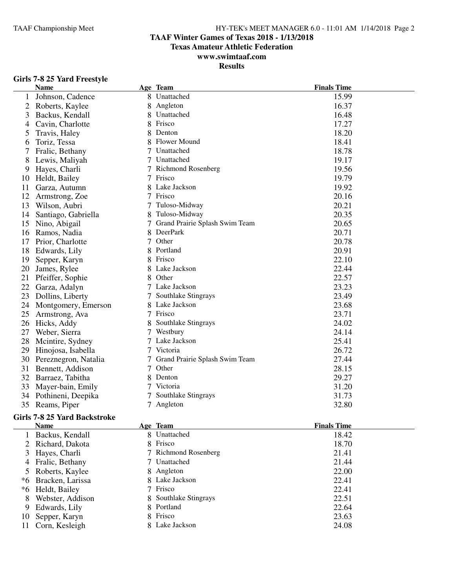### **TAAF Winter Games of Texas 2018 - 1/13/2018**

**Texas Amateur Athletic Federation**

### **www.swimtaaf.com**

**Results**

#### **Girls 7-8 25 Yard Freestyle**

|    | <b>Name</b>                  |   | Age Team                       | <b>Finals Time</b> |
|----|------------------------------|---|--------------------------------|--------------------|
|    | Johnson, Cadence             |   | 8 Unattached                   | 15.99              |
| 2  | Roberts, Kaylee              |   | Angleton                       | 16.37              |
| 3  | Backus, Kendall              |   | Unattached                     | 16.48              |
| 4  | Cavin, Charlotte             |   | Frisco                         | 17.27              |
| 5  | Travis, Haley                |   | Denton                         | 18.20              |
| 6  | Toriz, Tessa                 |   | Flower Mound                   | 18.41              |
| 7  | Fralic, Bethany              |   | Unattached                     | 18.78              |
| 8  | Lewis, Maliyah               |   | 7 Unattached                   | 19.17              |
| 9  | Hayes, Charli                |   | 7 Richmond Rosenberg           | 19.56              |
| 10 | Heldt, Bailey                |   | 7 Frisco                       | 19.79              |
| 11 | Garza, Autumn                |   | 8 Lake Jackson                 | 19.92              |
| 12 | Armstrong, Zoe               | 7 | Frisco                         | 20.16              |
| 13 | Wilson, Aubri                | 7 | Tuloso-Midway                  | 20.21              |
| 14 | Santiago, Gabriella          |   | Tuloso-Midway                  | 20.35              |
| 15 | Nino, Abigail                | 7 | Grand Prairie Splash Swim Team | 20.65              |
|    | 16 Ramos, Nadia              | 8 | DeerPark                       | 20.71              |
| 17 | Prior, Charlotte             | 7 | Other                          | 20.78              |
| 18 | Edwards, Lily                | 8 | Portland                       | 20.91              |
| 19 | Sepper, Karyn                | 8 | Frisco                         | 22.10              |
| 20 | James, Rylee                 |   | 8 Lake Jackson                 | 22.44              |
| 21 | Pfeiffer, Sophie             |   | 8 Other                        | 22.57              |
| 22 | Garza, Adalyn                |   | 7 Lake Jackson                 | 23.23              |
| 23 | Dollins, Liberty             | 7 | Southlake Stingrays            | 23.49              |
| 24 | Montgomery, Emerson          |   | 8 Lake Jackson                 | 23.68              |
| 25 | Armstrong, Ava               | 7 | Frisco                         | 23.71              |
| 26 | Hicks, Addy                  |   | Southlake Stingrays            | 24.02              |
| 27 | Weber, Sierra                | 7 | Westbury                       | 24.14              |
| 28 | Mcintire, Sydney             | 7 | Lake Jackson                   | 25.41              |
| 29 | Hinojosa, Isabella           | 7 | Victoria                       | 26.72              |
| 30 | Pereznegron, Natalia         |   | Grand Prairie Splash Swim Team | 27.44              |
| 31 | Bennett, Addison             | 7 | Other                          | 28.15              |
| 32 | Barraez, Tabitha             |   | Denton                         | 29.27              |
| 33 | Mayer-bain, Emily            |   | Victoria                       | 31.20              |
|    | 34 Pothineni, Deepika        |   | Southlake Stingrays            | 31.73              |
|    | 35 Reams, Piper              |   | 7 Angleton                     | 32.80              |
|    | Girls 7-8 25 Yard Backstroke |   |                                |                    |
|    | <b>Name</b>                  |   | Age Team                       | <b>Finals Time</b> |
|    | 1 Backus, Kendall            |   | 8 Unattached                   | 18.42              |
| 2  | Richard, Dakota              | 8 | Frisco                         | 18.70              |
| 3  | Hayes, Charli                | 7 | <b>Richmond Rosenberg</b>      | 21.41              |
| 4  | Fralic, Bethany              |   | Unattached                     | 21.44              |
| 5  | Roberts, Kaylee              |   | 8 Angleton                     | 22.00              |
| *6 | Bracken, Larissa             |   | Lake Jackson                   | 22.41              |
|    | *6 Heldt, Bailey             |   | Frisco                         | 22.41              |
| 8  | Webster, Addison             |   | 8 Southlake Stingrays          | 22.51              |
|    | 9 Edwards, Lily              |   | 8 Portland                     | 22.64              |

9 Edwards, Lily 8 Portland 22.64<br>
10 Sepper, Karyn 8 Frisco 23.63 10 Sepper, Karyn 8 Frisco 23.63 11 Corn, Kesleigh 8 Lake Jackson 24.08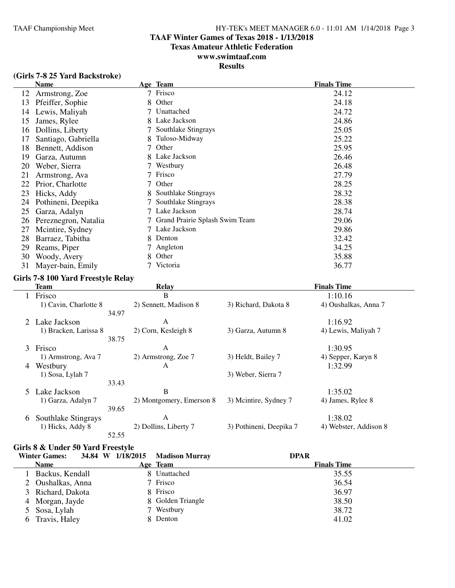### **TAAF Winter Games of Texas 2018 - 1/13/2018**

**Texas Amateur Athletic Federation**

### **www.swimtaaf.com**

### **Results**

|  | (Girls 7-8 25 Yard Backstroke) |
|--|--------------------------------|
|--|--------------------------------|

|    | <b>Name</b>          |   | Age Team                       | <b>Finals Time</b> |
|----|----------------------|---|--------------------------------|--------------------|
| 12 | Armstrong, Zoe       |   | Frisco                         | 24.12              |
| 13 | Pfeiffer, Sophie     | 8 | Other                          | 24.18              |
| 14 | Lewis, Maliyah       |   | Unattached                     | 24.72              |
| 15 | James, Rylee         | 8 | Lake Jackson                   | 24.86              |
| 16 | Dollins, Liberty     |   | Southlake Stingrays            | 25.05              |
| 17 | Santiago, Gabriella  | 8 | Tuloso-Midway                  | 25.22              |
| 18 | Bennett, Addison     | 7 | Other                          | 25.95              |
| 19 | Garza, Autumn        | 8 | Lake Jackson                   | 26.46              |
| 20 | Weber, Sierra        |   | Westbury                       | 26.48              |
| 21 | Armstrong, Ava       |   | Frisco                         | 27.79              |
| 22 | Prior, Charlotte     | 7 | Other                          | 28.25              |
| 23 | Hicks, Addy          |   | Southlake Stingrays            | 28.32              |
| 24 | Pothineni, Deepika   |   | Southlake Stingrays            | 28.38              |
| 25 | Garza, Adalyn        |   | Lake Jackson                   | 28.74              |
| 26 | Pereznegron, Natalia |   | Grand Prairie Splash Swim Team | 29.06              |
| 27 | Mcintire, Sydney     |   | Lake Jackson                   | 29.86              |
| 28 | Barraez, Tabitha     | 8 | Denton                         | 32.42              |
| 29 | Reams, Piper         |   | Angleton                       | 34.25              |
| 30 | Woody, Avery         | 8 | Other                          | 35.88              |
| 31 | Mayer-bain, Emily    |   | Victoria                       | 36.77              |

#### **Girls 7-8 100 Yard Freestyle Relay**

|               | Team                  |       | Relay                    |                         | <b>Finals Time</b>    |
|---------------|-----------------------|-------|--------------------------|-------------------------|-----------------------|
|               | Frisco                |       | B                        |                         | 1:10.16               |
|               | 1) Cavin, Charlotte 8 |       | 2) Sennett, Madison 8    | 3) Richard, Dakota 8    | 4) Oushalkas, Anna 7  |
|               |                       | 34.97 |                          |                         |                       |
|               | 2 Lake Jackson        |       | A                        |                         | 1:16.92               |
|               | 1) Bracken, Larissa 8 |       | 2) Corn, Kesleigh 8      | 3) Garza, Autumn 8      | 4) Lewis, Maliyah 7   |
|               |                       | 38.75 |                          |                         |                       |
|               | 3 Frisco              |       | A                        |                         | 1:30.95               |
|               | 1) Armstrong, Ava 7   |       | 2) Armstrong, Zoe 7      | 3) Heldt, Bailey 7      | 4) Sepper, Karyn 8    |
| 4             | Westbury              |       | A                        |                         | 1:32.99               |
|               | 1) Sosa, Lylah 7      |       |                          | 3) Weber, Sierra 7      |                       |
|               |                       | 33.43 |                          |                         |                       |
| $\mathcal{F}$ | Lake Jackson          |       | B                        |                         | 1:35.02               |
|               | 1) Garza, Adalyn 7    |       | 2) Montgomery, Emerson 8 | 3) Mcintire, Sydney 7   | 4) James, Rylee 8     |
|               |                       | 39.65 |                          |                         |                       |
| 6             | Southlake Stingrays   |       | A                        |                         | 1:38.02               |
|               | 1) Hicks, Addy 8      |       | 2) Dollins, Liberty 7    | 3) Pothineni, Deepika 7 | 4) Webster, Addison 8 |
|               |                       | 52.55 |                          |                         |                       |

#### **Girls 8 & Under 50 Yard Freestyle**

|   | <b>Winter Games:</b> | 34.84 W 1/18/2015 Madison Murray | <b>DPAR</b>        |
|---|----------------------|----------------------------------|--------------------|
|   | <b>Name</b>          | Age Team                         | <b>Finals Time</b> |
|   | Backus, Kendall      | 8 Unattached                     | 35.55              |
|   | 2 Oushalkas, Anna    | 7 Frisco                         | 36.54              |
|   | 3 Richard, Dakota    | 8 Frisco                         | 36.97              |
|   | 4 Morgan, Jayde      | 8 Golden Triangle                | 38.50              |
|   | 5 Sosa, Lylah        | 7 Westbury                       | 38.72              |
| 6 | Travis, Haley        | 8 Denton                         | 41.02              |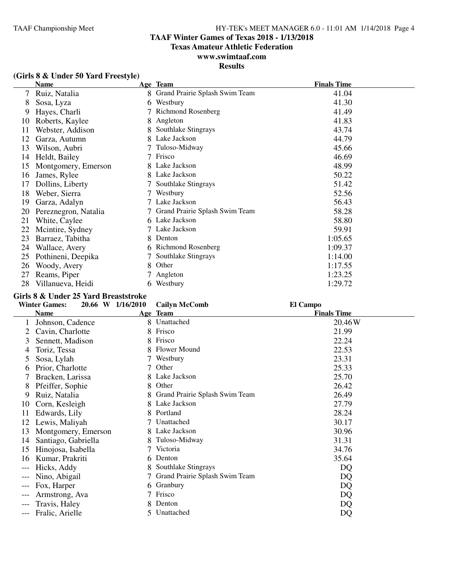### **TAAF Winter Games of Texas 2018 - 1/13/2018**

**Texas Amateur Athletic Federation**

### **www.swimtaaf.com**

### **Results**

|    | <b>Name</b>          |   | Age Team                       | <b>Finals Time</b> |
|----|----------------------|---|--------------------------------|--------------------|
| 7  | Ruiz, Natalia        | 8 | Grand Prairie Splash Swim Team | 41.04              |
| 8  | Sosa, Lyza           | 6 | Westbury                       | 41.30              |
| 9  | Hayes, Charli        |   | Richmond Rosenberg             | 41.49              |
| 10 | Roberts, Kaylee      | 8 | Angleton                       | 41.83              |
| 11 | Webster, Addison     |   | Southlake Stingrays            | 43.74              |
| 12 | Garza, Autumn        |   | Lake Jackson                   | 44.79              |
| 13 | Wilson, Aubri        |   | Tuloso-Midway                  | 45.66              |
| 14 | Heldt, Bailey        |   | Frisco                         | 46.69              |
| 15 | Montgomery, Emerson  |   | Lake Jackson                   | 48.99              |
| 16 | James, Rylee         |   | Lake Jackson                   | 50.22              |
| 17 | Dollins, Liberty     |   | Southlake Stingrays            | 51.42              |
| 18 | Weber, Sierra        |   | Westbury                       | 52.56              |
| 19 | Garza, Adalyn        |   | Lake Jackson                   | 56.43              |
| 20 | Pereznegron, Natalia |   | Grand Prairie Splash Swim Team | 58.28              |
| 21 | White, Caylee        | 6 | Lake Jackson                   | 58.80              |
| 22 | Mcintire, Sydney     |   | Lake Jackson                   | 59.91              |
| 23 | Barraez, Tabitha     | 8 | Denton                         | 1:05.65            |
| 24 | Wallace, Avery       |   | <b>Richmond Rosenberg</b>      | 1:09.37            |
| 25 | Pothineni, Deepika   |   | Southlake Stingrays            | 1:14.00            |
| 26 | Woody, Avery         | 8 | Other                          | 1:17.55            |
| 27 | Reams, Piper         |   | Angleton                       | 1:23.25            |
| 28 | Villanueva, Heidi    | 6 | Westbury                       | 1:29.72            |

#### **Girls 8 & Under 25 Yard Breaststroke**

|       | <b>Winter Games:</b> | 20.66 W 1/16/2010 | <b>Cailyn McComb</b>           | El Campo           |
|-------|----------------------|-------------------|--------------------------------|--------------------|
|       | <b>Name</b>          |                   | Age Team                       | <b>Finals Time</b> |
|       | Johnson, Cadence     |                   | 8 Unattached                   | 20.46 W            |
|       | Cavin, Charlotte     |                   | Frisco                         | 21.99              |
| 3     | Sennett, Madison     |                   | Frisco                         | 22.24              |
| 4     | Toriz, Tessa         |                   | Flower Mound                   | 22.53              |
| 5     | Sosa, Lylah          |                   | Westbury                       | 23.31              |
| b     | Prior, Charlotte     |                   | Other                          | 25.33              |
|       | Bracken, Larissa     | 8                 | Lake Jackson                   | 25.70              |
| 8     | Pfeiffer, Sophie     | 8                 | Other                          | 26.42              |
| 9     | Ruiz, Natalia        |                   | Grand Prairie Splash Swim Team | 26.49              |
| 10    | Corn, Kesleigh       | 8                 | Lake Jackson                   | 27.79              |
| 11    | Edwards, Lily        |                   | Portland                       | 28.24              |
| 12    | Lewis, Maliyah       |                   | Unattached                     | 30.17              |
| 13    | Montgomery, Emerson  | 8.                | Lake Jackson                   | 30.96              |
| 14    | Santiago, Gabriella  |                   | Tuloso-Midway                  | 31.31              |
| 15    | Hinojosa, Isabella   |                   | Victoria                       | 34.76              |
| 16    | Kumar, Prakriti      | 6.                | Denton                         | 35.64              |
| ---   | Hicks, Addy          |                   | Southlake Stingrays            | DQ                 |
| ---   | Nino, Abigail        |                   | Grand Prairie Splash Swim Team | DQ                 |
| $---$ | Fox, Harper          | 6                 | Granbury                       | DQ                 |
| ---   | Armstrong, Ava       |                   | Frisco                         | DQ                 |
| ---   | Travis, Haley        |                   | Denton                         | DQ                 |
| ---   | Fralic, Arielle      | 5.                | Unattached                     | DQ                 |

#### **(Girls 8 & Under 50 Yard Freestyle)**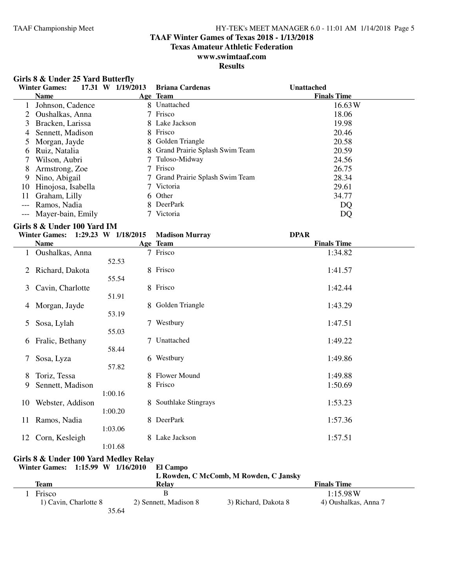#### **TAAF Winter Games of Texas 2018 - 1/13/2018**

**Texas Amateur Athletic Federation**

### **www.swimtaaf.com**

### **Results**

|  |  |  |  |  | Girls 8 & Under 25 Yard Butterfly |
|--|--|--|--|--|-----------------------------------|
|--|--|--|--|--|-----------------------------------|

|       | 17.31 W<br><b>Winter Games:</b> | 1/19/2013 | <b>Briana Cardenas</b>           | <b>Unattached</b>  |
|-------|---------------------------------|-----------|----------------------------------|--------------------|
|       | <b>Name</b>                     |           | Age Team                         | <b>Finals Time</b> |
|       | Johnson, Cadence                | 8         | Unattached                       | 16.63 W            |
|       | Oushalkas, Anna                 |           | Frisco                           | 18.06              |
| 3     | Bracken, Larissa                |           | 8 Lake Jackson                   | 19.98              |
| 4     | Sennett, Madison                | 8.        | Frisco                           | 20.46              |
|       | Morgan, Jayde                   |           | 8 Golden Triangle                | 20.58              |
| 6     | Ruiz, Natalia                   |           | 8 Grand Prairie Splash Swim Team | 20.59              |
|       | Wilson, Aubri                   |           | Tuloso-Midway                    | 24.56              |
| 8     | Armstrong, Zoe                  |           | Frisco                           | 26.75              |
| 9     | Nino, Abigail                   |           | 7 Grand Prairie Splash Swim Team | 28.34              |
| 10    | Hinojosa, Isabella              |           | Victoria                         | 29.61              |
| 11    | Graham, Lilly                   |           | 6 Other                          | 34.77              |
| $---$ | Ramos, Nadia                    | 8.        | DeerPark                         | DQ                 |
|       | --- Mayer-bain, Emily           |           | Victoria                         | DQ                 |

#### **Girls 8 & Under 100 Yard IM**

|    | <b>Winter Games:</b> | 1:29.23 W 1/18/2015 | <b>Madison Murray</b> | <b>DPAR</b>        |  |
|----|----------------------|---------------------|-----------------------|--------------------|--|
|    | <b>Name</b>          |                     | Age Team              | <b>Finals Time</b> |  |
|    | Oushalkas, Anna      |                     | 7 Frisco              | 1:34.82            |  |
|    |                      | 52.53               |                       |                    |  |
| 2  | Richard, Dakota      |                     | 8 Frisco              | 1:41.57            |  |
|    |                      | 55.54               |                       |                    |  |
| 3  | Cavin, Charlotte     |                     | 8 Frisco              | 1:42.44            |  |
|    |                      | 51.91               |                       |                    |  |
| 4  | Morgan, Jayde        |                     | 8 Golden Triangle     | 1:43.29            |  |
|    |                      | 53.19               |                       |                    |  |
| 5  | Sosa, Lylah          |                     | 7 Westbury            | 1:47.51            |  |
|    |                      | 55.03               |                       |                    |  |
| 6  | Fralic, Bethany      | 7                   | Unattached            | 1:49.22            |  |
|    |                      | 58.44               |                       |                    |  |
| 7  | Sosa, Lyza           |                     | 6 Westbury            | 1:49.86            |  |
|    |                      | 57.82               |                       |                    |  |
| 8  | Toriz, Tessa         |                     | 8 Flower Mound        | 1:49.88            |  |
| 9  | Sennett, Madison     |                     | 8 Frisco              | 1:50.69            |  |
|    |                      | 1:00.16             |                       |                    |  |
| 10 | Webster, Addison     |                     | 8 Southlake Stingrays | 1:53.23            |  |
|    |                      | 1:00.20             |                       |                    |  |
| 11 | Ramos, Nadia         |                     | 8 DeerPark            | 1:57.36            |  |
|    |                      | 1:03.06             |                       |                    |  |
| 12 | Corn, Kesleigh       |                     | 8 Lake Jackson        | 1:57.51            |  |
|    |                      | 1:01.68             |                       |                    |  |

#### **Girls 8 & Under 100 Yard Medley Relay**

**Winter Games: 1:15.99 W 1/16/2010 El Campo**

| ттинот станнот        | - 1.19.77 W 1110/2010<br>ти сашоо |                                        |                      |  |
|-----------------------|-----------------------------------|----------------------------------------|----------------------|--|
|                       |                                   | L Rowden, C McComb, M Rowden, C Jansky |                      |  |
| Team                  | Relav                             |                                        | <b>Finals Time</b>   |  |
| Frisco                | в                                 |                                        | 1:15.98W             |  |
| 1) Cavin, Charlotte 8 | 2) Sennett, Madison 8             | 3) Richard, Dakota 8                   | 4) Oushalkas, Anna 7 |  |
|                       | 35.64                             |                                        |                      |  |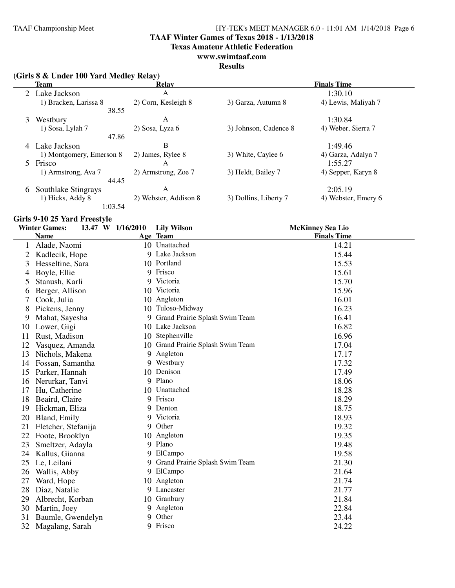**TAAF Winter Games of Texas 2018 - 1/13/2018**

**Texas Amateur Athletic Federation**

### **www.swimtaaf.com**

#### **Results**

### **(Girls 8 & Under 100 Yard Medley Relay)**

|   | <b>Team</b>              | <b>Relay</b>          |                       | <b>Finals Time</b>  |
|---|--------------------------|-----------------------|-----------------------|---------------------|
|   | 2 Lake Jackson           | A                     |                       | 1:30.10             |
|   | 1) Bracken, Larissa 8    | 2) Corn, Kesleigh 8   | 3) Garza, Autumn 8    | 4) Lewis, Maliyah 7 |
|   | 38.55                    |                       |                       |                     |
| 3 | Westbury                 | A                     |                       | 1:30.84             |
|   | 1) Sosa, Lylah 7         | 2) Sosa, Lyza 6       | 3) Johnson, Cadence 8 | 4) Weber, Sierra 7  |
|   | 47.86                    |                       |                       |                     |
| 4 | Lake Jackson             | B                     |                       | 1:49.46             |
|   | 1) Montgomery, Emerson 8 | 2) James, Rylee 8     | 3) White, Caylee 6    | 4) Garza, Adalyn 7  |
|   | 5 Frisco                 | A                     |                       | 1:55.27             |
|   | 1) Armstrong, Ava 7      | 2) Armstrong, Zoe 7   | 3) Heldt, Bailey 7    | 4) Sepper, Karyn 8  |
|   | 44.45                    |                       |                       |                     |
| 6 | Southlake Stingrays      | A                     |                       | 2:05.19             |
|   | 1) Hicks, Addy 8         | 2) Webster, Addison 8 | 3) Dollins, Liberty 7 | 4) Webster, Emery 6 |
|   | 1:03.54                  |                       |                       |                     |

#### **Girls 9-10 25 Yard Freestyle**

|    | <b>Winter Games:</b> | 13.47 W 1/16/2010 | <b>Lily Wilson</b>                | <b>McKinney Sea Lio</b> |
|----|----------------------|-------------------|-----------------------------------|-------------------------|
|    | <b>Name</b>          |                   | Age Team                          | <b>Finals Time</b>      |
|    | Alade, Naomi         |                   | 10 Unattached                     | 14.21                   |
| 2  | Kadlecik, Hope       |                   | 9 Lake Jackson                    | 15.44                   |
| 3  | Hesseltine, Sara     |                   | 10 Portland                       | 15.53                   |
| 4  | Boyle, Ellie         | 9                 | Frisco                            | 15.61                   |
| 5  | Stanush, Karli       | 9                 | Victoria                          | 15.70                   |
| 6  | Berger, Allison      | 10                | Victoria                          | 15.96                   |
|    | Cook, Julia          |                   | 10 Angleton                       | 16.01                   |
| 8  | Pickens, Jenny       |                   | 10 Tuloso-Midway                  | 16.23                   |
| 9  | Mahat, Sayesha       | 9                 | Grand Prairie Splash Swim Team    | 16.41                   |
| 10 | Lower, Gigi          |                   | 10 Lake Jackson                   | 16.82                   |
| 11 | Rust, Madison        |                   | 10 Stephenville                   | 16.96                   |
| 12 | Vasquez, Amanda      |                   | 10 Grand Prairie Splash Swim Team | 17.04                   |
| 13 | Nichols, Makena      | 9                 | Angleton                          | 17.17                   |
| 14 | Fossan, Samantha     |                   | 9 Westbury                        | 17.32                   |
| 15 | Parker, Hannah       | 10                | Denison                           | 17.49                   |
| 16 | Nerurkar, Tanvi      | 9                 | Plano                             | 18.06                   |
| 17 | Hu, Catherine        |                   | 10 Unattached                     | 18.28                   |
| 18 | Beaird, Claire       |                   | 9 Frisco                          | 18.29                   |
| 19 | Hickman, Eliza       | 9                 | Denton                            | 18.75                   |
| 20 | Bland, Emily         | 9                 | Victoria                          | 18.93                   |
| 21 | Fletcher, Stefanija  | 9                 | Other                             | 19.32                   |
| 22 | Foote, Brooklyn      |                   | 10 Angleton                       | 19.35                   |
| 23 | Smeltzer, Adayla     | 9                 | Plano                             | 19.48                   |
| 24 | Kallus, Gianna       | 9                 | ElCampo                           | 19.58                   |
| 25 | Le, Leilani          | 9                 | Grand Prairie Splash Swim Team    | 21.30                   |
| 26 | Wallis, Abby         | 9                 | ElCampo                           | 21.64                   |
| 27 | Ward, Hope           | 10                | Angleton                          | 21.74                   |
| 28 | Diaz, Natalie        |                   | 9 Lancaster                       | 21.77                   |
| 29 | Albrecht, Korban     |                   | 10 Granbury                       | 21.84                   |
| 30 | Martin, Joey         | 9                 | Angleton                          | 22.84                   |
| 31 | Baumle, Gwendelyn    | 9                 | Other                             | 23.44                   |
| 32 | Magalang, Sarah      |                   | 9 Frisco                          | 24.22                   |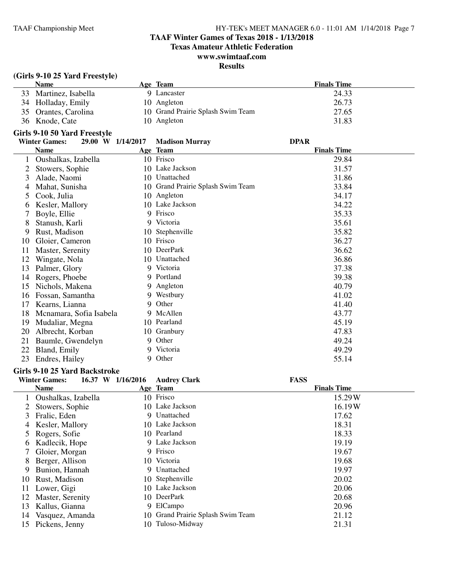### **TAAF Winter Games of Texas 2018 - 1/13/2018**

**Texas Amateur Athletic Federation**

### **www.swimtaaf.com**

### **Results**

### **(Girls 9-10 25 Yard Freestyle)**

| <b>Name</b>           | Age Team                          | <b>Finals Time</b> |
|-----------------------|-----------------------------------|--------------------|
| 33 Martinez, Isabella | 9 Lancaster                       | 24.33              |
| 34 Holladay, Emily    | 10 Angleton                       | 26.73              |
| 35 Orantes, Carolina  | 10 Grand Prairie Splash Swim Team | 27.65              |
| 36 Knode, Cate        | 10 Angleton                       | 31.83              |

### **Girls 9-10 50 Yard Freestyle**

|    | <b>Winter Games:</b><br>29.00 W 1/14/2017 |    | <b>Madison Murray</b>          | <b>DPAR</b>        |
|----|-------------------------------------------|----|--------------------------------|--------------------|
|    | Name                                      |    | Age Team                       | <b>Finals Time</b> |
|    | Oushalkas, Izabella                       |    | 10 Frisco                      | 29.84              |
| 2  | Stowers, Sophie                           | 10 | Lake Jackson                   | 31.57              |
| 3  | Alade, Naomi                              | 10 | Unattached                     | 31.86              |
| 4  | Mahat, Sunisha                            | 10 | Grand Prairie Splash Swim Team | 33.84              |
| 5  | Cook, Julia                               | 10 | Angleton                       | 34.17              |
| 6  | Kesler, Mallory                           |    | 10 Lake Jackson                | 34.22              |
|    | Boyle, Ellie                              | 9  | Frisco                         | 35.33              |
| 8  | Stanush, Karli                            |    | 9 Victoria                     | 35.61              |
| 9  | Rust, Madison                             | 10 | Stephenville                   | 35.82              |
| 10 | Gloier, Cameron                           | 10 | Frisco                         | 36.27              |
| 11 | Master, Serenity                          | 10 | DeerPark                       | 36.62              |
| 12 | Wingate, Nola                             | 10 | Unattached                     | 36.86              |
| 13 | Palmer, Glory                             |    | 9 Victoria                     | 37.38              |
| 14 | Rogers, Phoebe                            |    | 9 Portland                     | 39.38              |
| 15 | Nichols, Makena                           |    | 9 Angleton                     | 40.79              |
| 16 | Fossan, Samantha                          |    | 9 Westbury                     | 41.02              |
| 17 | Kearns, Lianna                            |    | 9 Other                        | 41.40              |
| 18 | Mcnamara, Sofia Isabela                   |    | 9 McAllen                      | 43.77              |
| 19 | Mudaliar, Megna                           |    | 10 Pearland                    | 45.19              |
| 20 | Albrecht, Korban                          | 10 | Granbury                       | 47.83              |
| 21 | Baumle, Gwendelyn                         |    | 9 Other                        | 49.24              |
| 22 | Bland, Emily                              |    | 9 Victoria                     | 49.29              |
| 23 | Endres, Hailey                            |    | 9 Other                        | 55.14              |

#### **Girls 9-10 25 Yard Backstroke**

|              | <b>Winter Games:</b> | 16.37 W 1/16/2016 | <b>Audrey Clark</b>               | <b>FASS</b>        |
|--------------|----------------------|-------------------|-----------------------------------|--------------------|
|              | <b>Name</b>          |                   | Age Team                          | <b>Finals Time</b> |
|              | Oushalkas, Izabella  |                   | 10 Frisco                         | 15.29W             |
|              | Stowers, Sophie      |                   | 10 Lake Jackson                   | 16.19W             |
| 3            | Fralic, Eden         |                   | 9 Unattached                      | 17.62              |
| 4            | Kesler, Mallory      |                   | 10 Lake Jackson                   | 18.31              |
| 5.           | Rogers, Sofie        |                   | 10 Pearland                       | 18.33              |
| <sub>0</sub> | Kadlecik, Hope       |                   | 9 Lake Jackson                    | 19.19              |
| 7            | Gloier, Morgan       |                   | 9 Frisco                          | 19.67              |
| 8            | Berger, Allison      |                   | 10 Victoria                       | 19.68              |
| 9            | Bunion, Hannah       |                   | 9 Unattached                      | 19.97              |
| 10           | Rust, Madison        |                   | 10 Stephenville                   | 20.02              |
| 11           | Lower, Gigi          |                   | 10 Lake Jackson                   | 20.06              |
| 12           | Master, Serenity     |                   | 10 DeerPark                       | 20.68              |
| 13           | Kallus, Gianna       |                   | 9 ElCampo                         | 20.96              |
| 14           | Vasquez, Amanda      |                   | 10 Grand Prairie Splash Swim Team | 21.12              |
| 15           | Pickens, Jenny       |                   | 10 Tuloso-Midway                  | 21.31              |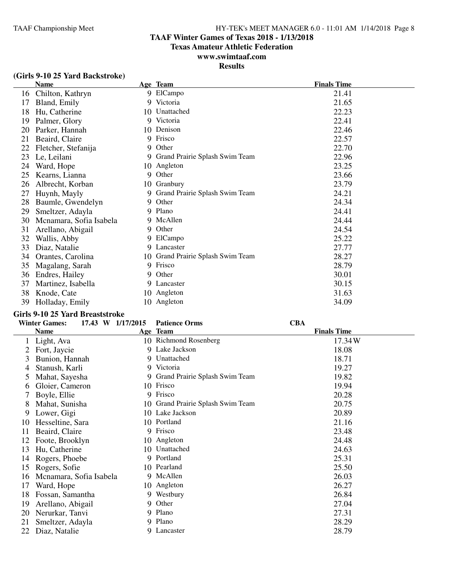### **TAAF Winter Games of Texas 2018 - 1/13/2018**

**Texas Amateur Athletic Federation**

### **www.swimtaaf.com**

### **Results**

|    | <b>Name</b>             |    | Age Team                          | <b>Finals Time</b> |
|----|-------------------------|----|-----------------------------------|--------------------|
| 16 | Chilton, Kathryn        |    | 9 ElCampo                         | 21.41              |
| 17 | Bland, Emily            | 9. | Victoria                          | 21.65              |
| 18 | Hu, Catherine           |    | 10 Unattached                     | 22.23              |
| 19 | Palmer, Glory           | 9  | Victoria                          | 22.41              |
| 20 | Parker, Hannah          |    | 10 Denison                        | 22.46              |
| 21 | Beaird, Claire          | 9  | Frisco                            | 22.57              |
| 22 | Fletcher, Stefanija     | 9  | Other                             | 22.70              |
| 23 | Le, Leilani             |    | 9 Grand Prairie Splash Swim Team  | 22.96              |
| 24 | Ward, Hope              |    | 10 Angleton                       | 23.25              |
| 25 | Kearns, Lianna          | 9  | Other                             | 23.66              |
| 26 | Albrecht, Korban        |    | 10 Granbury                       | 23.79              |
| 27 | Huynh, Mayly            | 9  | Grand Prairie Splash Swim Team    | 24.21              |
| 28 | Baumle, Gwendelyn       | 9. | Other                             | 24.34              |
| 29 | Smeltzer, Adayla        |    | 9 Plano                           | 24.41              |
| 30 | Mcnamara, Sofia Isabela |    | 9 McAllen                         | 24.44              |
| 31 | Arellano, Abigail       |    | 9 Other                           | 24.54              |
| 32 | Wallis, Abby            |    | 9 ElCampo                         | 25.22              |
| 33 | Diaz, Natalie           | 9. | Lancaster                         | 27.77              |
| 34 | Orantes, Carolina       |    | 10 Grand Prairie Splash Swim Team | 28.27              |
| 35 | Magalang, Sarah         | 9  | Frisco                            | 28.79              |
| 36 | Endres, Hailey          |    | 9 Other                           | 30.01              |
| 37 | Martinez, Isabella      |    | 9 Lancaster                       | 30.15              |
| 38 | Knode, Cate             |    | 10 Angleton                       | 31.63              |
| 39 | Holladay, Emily         | 10 | Angleton                          | 34.09              |

#### **Girls 9-10 25 Yard Breaststroke**

|               | <b>Winter Games:</b><br>17.43 W 1/17/2015 |     | <b>Patience Orms</b>             | <b>CBA</b>         |
|---------------|-------------------------------------------|-----|----------------------------------|--------------------|
|               | <b>Name</b>                               |     | Age Team                         | <b>Finals Time</b> |
| $\perp$       | Light, Ava                                |     | 10 Richmond Rosenberg            | 17.34W             |
| 2             | Fort, Jaycie                              |     | 9 Lake Jackson                   | 18.08              |
| 3             | Bunion, Hannah                            |     | 9 Unattached                     | 18.71              |
| 4             | Stanush, Karli                            |     | 9 Victoria                       | 19.27              |
| $\mathcal{L}$ | Mahat, Sayesha                            |     | 9 Grand Prairie Splash Swim Team | 19.82              |
| b             | Gloier, Cameron                           | 10  | Frisco                           | 19.94              |
|               | Boyle, Ellie                              | 9   | Frisco                           | 20.28              |
| 8             | Mahat, Sunisha                            | 10  | Grand Prairie Splash Swim Team   | 20.75              |
| 9             | Lower, Gigi                               |     | 10 Lake Jackson                  | 20.89              |
| 10            | Hesseltine, Sara                          |     | 10 Portland                      | 21.16              |
| 11            | Beaird, Claire                            |     | 9 Frisco                         | 23.48              |
| 12            | Foote, Brooklyn                           |     | 10 Angleton                      | 24.48              |
| 13            | Hu, Catherine                             | 10. | Unattached                       | 24.63              |
| 14            | Rogers, Phoebe                            |     | 9 Portland                       | 25.31              |
| 15            | Rogers, Sofie                             |     | 10 Pearland                      | 25.50              |
| 16            | Mcnamara, Sofia Isabela                   |     | 9 McAllen                        | 26.03              |
| 17            | Ward, Hope                                |     | 10 Angleton                      | 26.27              |
| 18            | Fossan, Samantha                          |     | 9 Westbury                       | 26.84              |
| 19            | Arellano, Abigail                         | 9   | Other                            | 27.04              |
| 20            | Nerurkar, Tanvi                           | 9   | Plano                            | 27.31              |
| 21            | Smeltzer, Adayla                          |     | 9 Plano                          | 28.29              |
| 22            | Diaz, Natalie                             | 9   | Lancaster                        | 28.79              |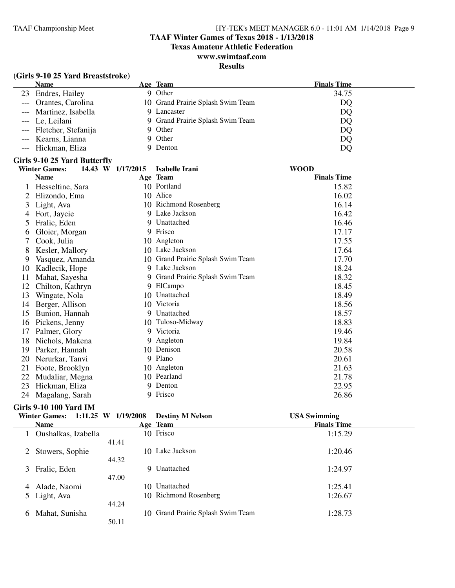#### **TAAF Winter Games of Texas 2018 - 1/13/2018**

**Texas Amateur Athletic Federation**

### **www.swimtaaf.com**

#### **Results**

#### **(Girls 9-10 25 Yard Breaststroke)**

| <b>Name</b>             | Age Team                          | <b>Finals Time</b> |
|-------------------------|-----------------------------------|--------------------|
| 23 Endres, Hailey       | Other<br>Q                        | 34.75              |
| --- Orantes, Carolina   | 10 Grand Prairie Splash Swim Team | DQ                 |
| --- Martinez, Isabella  | 9 Lancaster                       | DQ                 |
| --- Le, Leilani         | 9 Grand Prairie Splash Swim Team  | DQ                 |
| --- Fletcher, Stefanija | 9 Other                           | DQ                 |
| --- Kearns, Lianna      | 9 Other                           | DQ                 |
| --- Hickman, Eliza      | 9 Denton                          | DQ                 |

#### **Girls 9-10 25 Yard Butterfly**

|    | <b>Winter Games:</b> | 14.43 W 1/17/2015 | Isabelle Irani                 | <b>WOOD</b>        |  |
|----|----------------------|-------------------|--------------------------------|--------------------|--|
|    | <b>Name</b>          |                   | Age Team                       | <b>Finals Time</b> |  |
|    | Hesseltine, Sara     |                   | 10 Portland                    | 15.82              |  |
|    | Elizondo, Ema        | 10                | Alice                          | 16.02              |  |
| 3  | Light, Ava           |                   | 10 Richmond Rosenberg          | 16.14              |  |
|    | Fort, Jaycie         |                   | 9 Lake Jackson                 | 16.42              |  |
| 5  | Fralic, Eden         |                   | 9 Unattached                   | 16.46              |  |
| 6  | Gloier, Morgan       |                   | 9 Frisco                       | 17.17              |  |
|    | Cook, Julia          | 10                | Angleton                       | 17.55              |  |
| 8  | Kesler, Mallory      | 10                | Lake Jackson                   | 17.64              |  |
| 9  | Vasquez, Amanda      | 10                | Grand Prairie Splash Swim Team | 17.70              |  |
| 10 | Kadlecik, Hope       |                   | 9 Lake Jackson                 | 18.24              |  |
| 11 | Mahat, Sayesha       | 9                 | Grand Prairie Splash Swim Team | 18.32              |  |
| 12 | Chilton, Kathryn     |                   | 9 ElCampo                      | 18.45              |  |
| 13 | Wingate, Nola        | 10                | Unattached                     | 18.49              |  |
| 14 | Berger, Allison      | 10                | Victoria                       | 18.56              |  |
| 15 | Bunion, Hannah       | 9                 | Unattached                     | 18.57              |  |
| 16 | Pickens, Jenny       |                   | 10 Tuloso-Midway               | 18.83              |  |
| 17 | Palmer, Glory        | 9                 | Victoria                       | 19.46              |  |
| 18 | Nichols, Makena      |                   | 9 Angleton                     | 19.84              |  |
| 19 | Parker, Hannah       | 10                | Denison                        | 20.58              |  |
| 20 | Nerurkar, Tanvi      |                   | 9 Plano                        | 20.61              |  |
| 21 | Foote, Brooklyn      | 10                | Angleton                       | 21.63              |  |
| 22 | Mudaliar, Megna      | 10                | Pearland                       | 21.78              |  |
| 23 | Hickman, Eliza       | 9                 | Denton                         | 22.95              |  |
| 24 | Magalang, Sarah      |                   | 9 Frisco                       | 26.86              |  |

#### **Girls 9-10 100 Yard IM**

|   | Winter Games: 1:11.25 W 1/19/2008 |       | <b>Destiny M Nelson</b>           | <b>USA Swimming</b> |  |
|---|-----------------------------------|-------|-----------------------------------|---------------------|--|
|   | <b>Name</b>                       |       | Age Team                          | <b>Finals Time</b>  |  |
|   | Oushalkas, Izabella               |       | 10 Frisco                         | 1:15.29             |  |
|   |                                   | 41.41 |                                   |                     |  |
| 2 | Stowers, Sophie                   | 10.   | Lake Jackson                      | 1:20.46             |  |
|   |                                   | 44.32 |                                   |                     |  |
| 3 | Fralic, Eden                      | 9     | Unattached                        | 1:24.97             |  |
|   |                                   | 47.00 |                                   |                     |  |
| 4 | Alade, Naomi                      | 10    | Unattached                        | 1:25.41             |  |
|   | 5 Light, Ava                      |       | 10 Richmond Rosenberg             | 1:26.67             |  |
|   |                                   | 44.24 |                                   |                     |  |
| 6 | Mahat, Sunisha                    |       | 10 Grand Prairie Splash Swim Team | 1:28.73             |  |
|   |                                   | 50.11 |                                   |                     |  |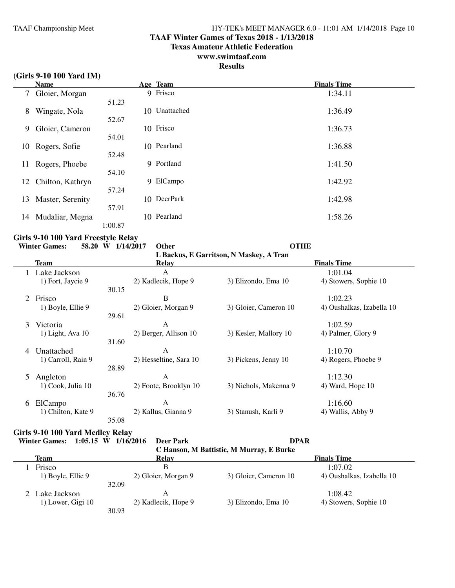#### **TAAF Winter Games of Texas 2018 - 1/13/2018**

**Texas Amateur Athletic Federation**

### **www.swimtaaf.com**

### **Results**

#### **(Girls 9-10 100 Yard IM)**

|                | <b>Name</b>      |         | Age Team      | <b>Finals Time</b> |
|----------------|------------------|---------|---------------|--------------------|
| 7 <sup>7</sup> | Gloier, Morgan   |         | 9 Frisco      | 1:34.11            |
|                |                  | 51.23   |               |                    |
| 8              | Wingate, Nola    |         | 10 Unattached | 1:36.49            |
|                |                  | 52.67   |               |                    |
| 9              | Gloier, Cameron  |         | 10 Frisco     | 1:36.73            |
|                |                  | 54.01   |               |                    |
| 10             | Rogers, Sofie    |         | 10 Pearland   | 1:36.88            |
|                |                  | 52.48   |               |                    |
| 11             | Rogers, Phoebe   |         | 9 Portland    | 1:41.50            |
|                |                  | 54.10   |               |                    |
| 12             | Chilton, Kathryn | 9       | ElCampo       | 1:42.92            |
|                |                  | 57.24   |               |                    |
| 13             | Master, Serenity |         | 10 DeerPark   | 1:42.98            |
|                |                  | 57.91   |               |                    |
| 14             | Mudaliar, Megna  |         | 10 Pearland   | 1:58.26            |
|                |                  | 1:00.87 |               |                    |

#### **Girls 9-10 100 Yard Freestyle Relay**

# **Winter Games:** 58.20 **W** 1/14/2017 Other **CALCE CONTEXANT OF Backus F Garritson N Maskey A Tran**

|   | тниет чащея.         | JO.ZU II 1117/ZUIT | ошы                    | <b>VIIIE</b>                            |                           |  |  |
|---|----------------------|--------------------|------------------------|-----------------------------------------|---------------------------|--|--|
|   |                      |                    |                        | L Backus, E Garritson, N Maskey, A Tran |                           |  |  |
|   | Team                 |                    | <b>Relay</b>           |                                         | <b>Finals Time</b>        |  |  |
|   | Lake Jackson         |                    | A                      |                                         | 1:01.04                   |  |  |
|   | 1) Fort, Jaycie 9    |                    | 2) Kadlecik, Hope 9    | 3) Elizondo, Ema 10                     | 4) Stowers, Sophie 10     |  |  |
|   |                      | 30.15              |                        |                                         |                           |  |  |
|   | 2 Frisco             |                    | B                      |                                         | 1:02.23                   |  |  |
|   | 1) Boyle, Ellie 9    |                    | 2) Gloier, Morgan 9    | 3) Gloier, Cameron 10                   | 4) Oushalkas, Izabella 10 |  |  |
|   |                      | 29.61              |                        |                                         |                           |  |  |
| 3 | Victoria             |                    | A                      |                                         | 1:02.59                   |  |  |
|   | $1)$ Light, Ava $10$ |                    | 2) Berger, Allison 10  | 3) Kesler, Mallory 10                   | 4) Palmer, Glory 9        |  |  |
|   |                      | 31.60              |                        |                                         |                           |  |  |
| 4 | Unattached           |                    | A                      |                                         | 1:10.70                   |  |  |
|   | 1) Carroll, Rain 9   |                    | 2) Hesseltine, Sara 10 | 3) Pickens, Jenny 10                    | 4) Rogers, Phoebe 9       |  |  |
|   |                      | 28.89              |                        |                                         |                           |  |  |
| 5 | Angleton             |                    | A                      |                                         | 1:12.30                   |  |  |
|   | 1) Cook, Julia 10    |                    | 2) Foote, Brooklyn 10  | 3) Nichols, Makenna 9                   | 4) Ward, Hope 10          |  |  |
|   |                      | 36.76              |                        |                                         |                           |  |  |
| 6 | ElCampo              |                    | A                      |                                         | 1:16.60                   |  |  |
|   | 1) Chilton, Kate 9   |                    | 2) Kallus, Gianna 9    | 3) Stanush, Karli 9                     | 4) Wallis, Abby 9         |  |  |
|   |                      | 35.08              |                        |                                         |                           |  |  |

### **Girls 9-10 100 Yard Medley Relay**

**Winter Games: 1:05.15 W 1/16/2016 Deer Park DPAR**

**C Hanson, M Battistic, M Murray, E Burke**

| C Hallson, M Datustic, M Mulliay, E Dulke |       |                     |                       |                           |  |  |
|-------------------------------------------|-------|---------------------|-----------------------|---------------------------|--|--|
| Team                                      |       | Relay               |                       | <b>Finals Time</b>        |  |  |
| Frisco                                    |       | B                   |                       | 1:07.02                   |  |  |
| 1) Boyle, Ellie 9                         |       | 2) Gloier, Morgan 9 | 3) Gloier, Cameron 10 | 4) Oushalkas, Izabella 10 |  |  |
|                                           | 32.09 |                     |                       |                           |  |  |
| 2 Lake Jackson                            |       |                     |                       | 1:08.42                   |  |  |
| $1)$ Lower, Gigi $10$                     |       | 2) Kadlecik, Hope 9 | 3) Elizondo, Ema 10   | 4) Stowers, Sophie 10     |  |  |
|                                           | 30.93 |                     |                       |                           |  |  |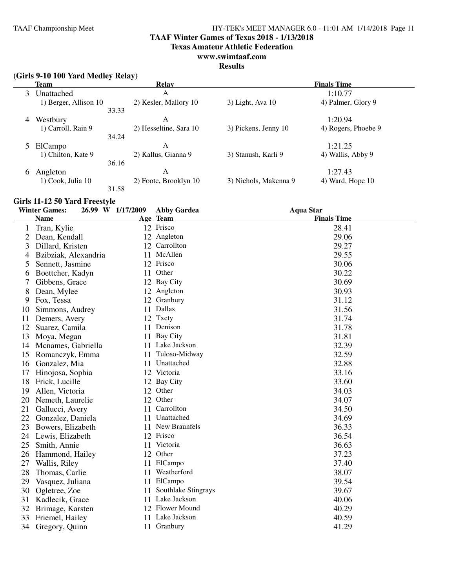**TAAF Winter Games of Texas 2018 - 1/13/2018**

**Texas Amateur Athletic Federation**

### **www.swimtaaf.com**

### **Results**

| (Girls 9-10 100 Yard Medley Relay) |       |                        |                       |                       |
|------------------------------------|-------|------------------------|-----------------------|-----------------------|
| <b>Team</b>                        |       | <b>Relay</b>           |                       | <b>Finals Time</b>    |
| Unattached<br>3                    |       | A                      |                       | 1:10.77               |
| 1) Berger, Allison 10              |       | 2) Kesler, Mallory 10  | $3)$ Light, Ava 10    | 4) Palmer, Glory 9    |
|                                    | 33.33 |                        |                       |                       |
| Westbury<br>4                      |       | A                      |                       | 1:20.94               |
| 1) Carroll, Rain 9                 |       | 2) Hesseltine, Sara 10 | 3) Pickens, Jenny 10  | 4) Rogers, Phoebe 9   |
|                                    | 34.24 |                        |                       |                       |
| ElCampo                            |       | A                      |                       | 1:21.25               |
| 1) Chilton, Kate 9                 |       | 2) Kallus, Gianna 9    | 3) Stanush, Karli 9   | 4) Wallis, Abby 9     |
|                                    | 36.16 |                        |                       |                       |
| Angleton<br>6                      |       | A                      |                       | 1:27.43               |
| $1)$ Cook, Julia $10$              |       | 2) Foote, Brooklyn 10  | 3) Nichols, Makenna 9 | $(4)$ Ward, Hope $10$ |
|                                    | 31.58 |                        |                       |                       |

### **Girls 11-12 50 Yard Freestyle**

|    | <b>Winter Games:</b> | 26.99 W 1/17/2009 |    | <b>Abby Gardea</b>  | <b>Aqua Star</b>   |
|----|----------------------|-------------------|----|---------------------|--------------------|
|    | <b>Name</b>          |                   |    | Age Team            | <b>Finals Time</b> |
| 1  | Tran, Kylie          |                   |    | 12 Frisco           | 28.41              |
| 2  | Dean, Kendall        |                   |    | 12 Angleton         | 29.06              |
| 3  | Dillard, Kristen     |                   |    | 12 Carrollton       | 29.27              |
| 4  | Bzibziak, Alexandria |                   | 11 | McAllen             | 29.55              |
| 5  | Sennett, Jasmine     |                   |    | 12 Frisco           | 30.06              |
| 6  | Boettcher, Kadyn     |                   | 11 | Other               | 30.22              |
| 7  | Gibbens, Grace       |                   |    | 12 Bay City         | 30.69              |
| 8  | Dean, Mylee          |                   |    | 12 Angleton         | 30.93              |
| 9  | Fox, Tessa           |                   |    | 12 Granbury         | 31.12              |
| 10 | Simmons, Audrey      |                   |    | 11 Dallas           | 31.56              |
| 11 | Demers, Avery        |                   |    | 12 Txcty            | 31.74              |
| 12 | Suarez, Camila       |                   |    | 11 Denison          | 31.78              |
| 13 | Moya, Megan          |                   | 11 | Bay City            | 31.81              |
| 14 | Mcnames, Gabriella   |                   |    | 11 Lake Jackson     | 32.39              |
| 15 | Romanczyk, Emma      |                   | 11 | Tuloso-Midway       | 32.59              |
| 16 | Gonzalez, Mia        |                   | 11 | Unattached          | 32.88              |
| 17 | Hinojosa, Sophia     |                   |    | 12 Victoria         | 33.16              |
| 18 | Frick, Lucille       |                   |    | 12 Bay City         | 33.60              |
| 19 | Allen, Victoria      |                   |    | 12 Other            | 34.03              |
| 20 | Nemeth, Laurelie     |                   |    | 12 Other            | 34.07              |
| 21 | Gallucci, Avery      |                   |    | 11 Carrollton       | 34.50              |
| 22 | Gonzalez, Daniela    |                   |    | 11 Unattached       | 34.69              |
| 23 | Bowers, Elizabeth    |                   |    | 11 New Braunfels    | 36.33              |
| 24 | Lewis, Elizabeth     |                   |    | 12 Frisco           | 36.54              |
| 25 | Smith, Annie         |                   | 11 | Victoria            | 36.63              |
| 26 | Hammond, Hailey      |                   |    | 12 Other            | 37.23              |
| 27 | Wallis, Riley        |                   | 11 | ElCampo             | 37.40              |
| 28 | Thomas, Carlie       |                   | 11 | Weatherford         | 38.07              |
| 29 | Vasquez, Juliana     |                   | 11 | ElCampo             | 39.54              |
| 30 | Ogletree, Zoe        |                   | 11 | Southlake Stingrays | 39.67              |
| 31 | Kadlecik, Grace      |                   | 11 | Lake Jackson        | 40.06              |
| 32 | Brimage, Karsten     |                   |    | 12 Flower Mound     | 40.29              |
| 33 | Friemel, Hailey      |                   |    | 11 Lake Jackson     | 40.59              |
| 34 | Gregory, Quinn       |                   |    | 11 Granbury         | 41.29              |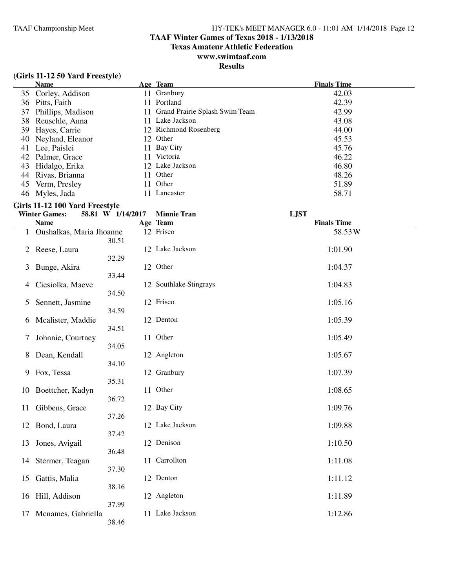### **TAAF Winter Games of Texas 2018 - 1/13/2018**

**Texas Amateur Athletic Federation**

### **www.swimtaaf.com**

### **Results**

### **(Girls 11-12 50 Yard Freestyle)**

| <b>Name</b>          |     | Age Team                          | <b>Finals Time</b> |
|----------------------|-----|-----------------------------------|--------------------|
| 35 Corley, Addison   |     | 11 Granbury                       | 42.03              |
| 36 Pitts, Faith      |     | 11 Portland                       | 42.39              |
| 37 Phillips, Madison |     | 11 Grand Prairie Splash Swim Team | 42.99              |
| 38 Reuschle, Anna    |     | 11 Lake Jackson                   | 43.08              |
| 39 Hayes, Carrie     |     | 12 Richmond Rosenberg             | 44.00              |
| 40 Neyland, Eleanor  |     | 12 Other                          | 45.53              |
| 41 Lee, Paislei      |     | 11 Bay City                       | 45.76              |
| 42 Palmer, Grace     | 11. | Victoria                          | 46.22              |
| 43 Hidalgo, Erika    |     | 12 Lake Jackson                   | 46.80              |
| 44 Rivas, Brianna    |     | 11 Other                          | 48.26              |
| 45 Verm, Presley     | 11  | Other                             | 51.89              |
| 46 Myles, Jada       |     | Lancaster                         | 58.71              |

### **Girls 11-12 100 Yard Freestyle**

|    | <b>Winter Games:</b>       | 58.81 W 1/14/2017 | <b>Minnie Tran</b>     | <b>LJST</b>        |
|----|----------------------------|-------------------|------------------------|--------------------|
|    | <b>Name</b>                |                   | Age Team               | <b>Finals Time</b> |
|    | 1 Oushalkas, Maria Jhoanne | 30.51             | 12 Frisco              | 58.53W             |
| 2  | Reese, Laura               | 32.29             | 12 Lake Jackson        | 1:01.90            |
| 3  | Bunge, Akira               | 33.44             | 12 Other               | 1:04.37            |
| 4  | Ciesiolka, Maeve           | 34.50             | 12 Southlake Stingrays | 1:04.83            |
| 5  | Sennett, Jasmine           | 34.59             | 12 Frisco              | 1:05.16            |
| 6  | Mcalister, Maddie          |                   | 12 Denton              | 1:05.39            |
| 7  | Johnnie, Courtney          | 34.51             | 11 Other               | 1:05.49            |
| 8  | Dean, Kendall              | 34.05             | 12 Angleton            | 1:05.67            |
| 9  | Fox, Tessa                 | 34.10             | 12 Granbury            | 1:07.39            |
| 10 | Boettcher, Kadyn           | 35.31             | 11 Other               | 1:08.65            |
| 11 | Gibbens, Grace             | 36.72             | 12 Bay City            | 1:09.76            |
|    | 12 Bond, Laura             | 37.26             | 12 Lake Jackson        | 1:09.88            |
| 13 | Jones, Avigail             | 37.42             | 12 Denison             | 1:10.50            |
| 14 | Stermer, Teagan            | 36.48             | 11 Carrollton          | 1:11.08            |
| 15 | Gattis, Malia              | 37.30             | 12 Denton              | 1:11.12            |
| 16 | Hill, Addison              | 38.16             | 12 Angleton            | 1:11.89            |
| 17 | Mcnames, Gabriella         | 37.99<br>38.46    | 11 Lake Jackson        | 1:12.86            |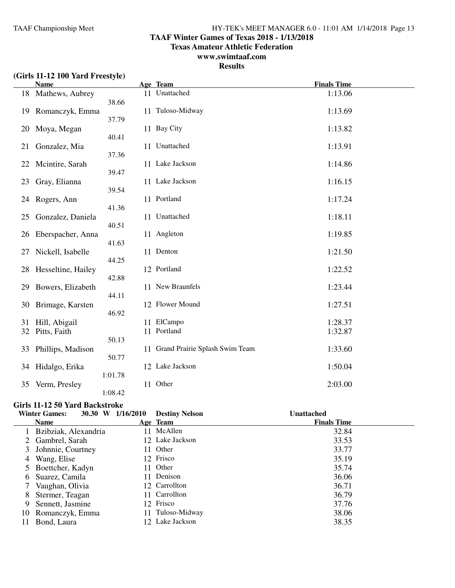### **TAAF Winter Games of Texas 2018 - 1/13/2018**

**Texas Amateur Athletic Federation**

### **www.swimtaaf.com**

### **Results**

|  | (Girls 11-12 100 Yard Freestyle) |
|--|----------------------------------|
|--|----------------------------------|

|          | <b>Name</b>                   |                | Age Team                          | <b>Finals Time</b> |
|----------|-------------------------------|----------------|-----------------------------------|--------------------|
|          | 18 Mathews, Aubrey            |                | 11 Unattached                     | 1:13.06            |
| 19       | Romanczyk, Emma               | 38.66<br>37.79 | 11 Tuloso-Midway                  | 1:13.69            |
| 20       | Moya, Megan                   | 40.41          | 11 Bay City                       | 1:13.82            |
| 21       | Gonzalez, Mia                 | 11<br>37.36    | Unattached                        | 1:13.91            |
| 22       | Mcintire, Sarah               | 39.47          | 11 Lake Jackson                   | 1:14.86            |
| 23       | Gray, Elianna                 | 39.54          | 11 Lake Jackson                   | 1:16.15            |
| 24       | Rogers, Ann                   | 41.36          | 11 Portland                       | 1:17.24            |
| 25       | Gonzalez, Daniela             | 40.51          | 11 Unattached                     | 1:18.11            |
| 26       | Eberspacher, Anna             | 41.63          | 11 Angleton                       | 1:19.85            |
| 27       | Nickell, Isabelle             | 44.25          | 11 Denton                         | 1:21.50            |
| 28       | Hesseltine, Hailey            | 42.88          | 12 Portland                       | 1:22.52            |
| 29       | Bowers, Elizabeth             | 44.11          | 11 New Braunfels                  | 1:23.44            |
| 30       | Brimage, Karsten              | 46.92          | 12 Flower Mound                   | 1:27.51            |
| 31<br>32 | Hill, Abigail<br>Pitts, Faith | 11             | 11 ElCampo<br>Portland            | 1:28.37<br>1:32.87 |
| 33       | Phillips, Madison             | 50.13<br>50.77 | 11 Grand Prairie Splash Swim Team | 1:33.60            |
| 34       | Hidalgo, Erika                | 1:01.78        | 12 Lake Jackson                   | 1:50.04            |
| 35       | Verm, Presley                 | 1:08.42        | 11 Other                          | 2:03.00            |

### **Girls 11-12 50 Yard Backstroke**

|    | 30.30 W<br><b>Winter Games:</b> | 1/16/2010 | <b>Destiny Nelson</b> | <b>Unattached</b>  |
|----|---------------------------------|-----------|-----------------------|--------------------|
|    | <b>Name</b>                     |           | Age Team              | <b>Finals Time</b> |
|    | 1 Bzibziak, Alexandria          |           | 11 McAllen            | 32.84              |
|    | 2 Gambrel, Sarah                |           | 12 Lake Jackson       | 33.53              |
|    | 3 Johnnie, Courtney             |           | 11 Other              | 33.77              |
|    | 4 Wang, Elise                   |           | 12 Frisco             | 35.19              |
|    | 5 Boettcher, Kadyn              | 11.       | Other                 | 35.74              |
| 6  | Suarez, Camila                  |           | 11 Denison            | 36.06              |
|    | 7 Vaughan, Olivia               |           | 12 Carrollton         | 36.71              |
| 8  | Stermer, Teagan                 |           | 11 Carrollton         | 36.79              |
| 9  | Sennett, Jasmine                |           | 12 Frisco             | 37.76              |
| 10 | Romanczyk, Emma                 | 11        | Tuloso-Midway         | 38.06              |
| 11 | Bond, Laura                     |           | 12 Lake Jackson       | 38.35              |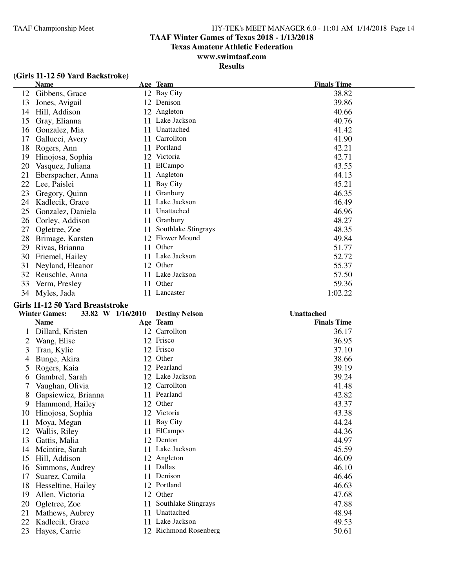### **TAAF Winter Games of Texas 2018 - 1/13/2018**

**Texas Amateur Athletic Federation**

### **www.swimtaaf.com**

### **Results**

| (Girls 11-12 50 Yard Backstroke) |  |  |
|----------------------------------|--|--|
|----------------------------------|--|--|

|    | Name              |     | Age Team            | <b>Finals Time</b> |
|----|-------------------|-----|---------------------|--------------------|
| 12 | Gibbens, Grace    |     | 12 Bay City         | 38.82              |
| 13 | Jones, Avigail    |     | 12 Denison          | 39.86              |
| 14 | Hill, Addison     |     | 12 Angleton         | 40.66              |
| 15 | Gray, Elianna     |     | 11 Lake Jackson     | 40.76              |
| 16 | Gonzalez, Mia     | 11  | Unattached          | 41.42              |
| 17 | Gallucci, Avery   | 11  | Carrollton          | 41.90              |
| 18 | Rogers, Ann       | 11  | Portland            | 42.21              |
| 19 | Hinojosa, Sophia  |     | 12 Victoria         | 42.71              |
| 20 | Vasquez, Juliana  | 11- | ElCampo             | 43.55              |
| 21 | Eberspacher, Anna | 11  | Angleton            | 44.13              |
| 22 | Lee, Paislei      | 11  | Bay City            | 45.21              |
| 23 | Gregory, Quinn    | 11  | Granbury            | 46.35              |
| 24 | Kadlecik, Grace   | 11  | Lake Jackson        | 46.49              |
| 25 | Gonzalez, Daniela | 11. | Unattached          | 46.96              |
| 26 | Corley, Addison   | 11  | Granbury            | 48.27              |
| 27 | Ogletree, Zoe     | 11  | Southlake Stingrays | 48.35              |
| 28 | Brimage, Karsten  |     | 12 Flower Mound     | 49.84              |
| 29 | Rivas, Brianna    | 11  | Other               | 51.77              |
| 30 | Friemel, Hailey   | 11  | Lake Jackson        | 52.72              |
| 31 | Neyland, Eleanor  |     | 12 Other            | 55.37              |
| 32 | Reuschle, Anna    | 11  | Lake Jackson        | 57.50              |
| 33 | Verm, Presley     |     | 11 Other            | 59.36              |
| 34 | Myles, Jada       | 11. | Lancaster           | 1:02.22            |

#### **Girls 11-12 50 Yard Breaststroke**

|    | <b>Winter Games:</b> | 33.82 W 1/16/2010 | <b>Destiny Nelson</b> | <b>Unattached</b>  |
|----|----------------------|-------------------|-----------------------|--------------------|
|    | <b>Name</b>          |                   | Age Team              | <b>Finals Time</b> |
|    | Dillard, Kristen     |                   | 12 Carrollton         | 36.17              |
|    | Wang, Elise          | 12                | Frisco                | 36.95              |
| 3  | Tran, Kylie          | 12                | Frisco                | 37.10              |
| 4  | Bunge, Akira         | 12                | Other                 | 38.66              |
| 5  | Rogers, Kaia         |                   | 12 Pearland           | 39.19              |
| 6  | Gambrel, Sarah       |                   | 12 Lake Jackson       | 39.24              |
| 7  | Vaughan, Olivia      |                   | 12 Carrollton         | 41.48              |
| 8  | Gapsiewicz, Brianna  |                   | 11 Pearland           | 42.82              |
| 9  | Hammond, Hailey      | 12                | Other                 | 43.37              |
| 10 | Hinojosa, Sophia     |                   | 12 Victoria           | 43.38              |
| 11 | Moya, Megan          | 11                | Bay City              | 44.24              |
| 12 | Wallis, Riley        | 11                | ElCampo               | 44.36              |
| 13 | Gattis, Malia        | 12                | Denton                | 44.97              |
| 14 | Mcintire, Sarah      | 11                | Lake Jackson          | 45.59              |
| 15 | Hill, Addison        |                   | 12 Angleton           | 46.09              |
| 16 | Simmons, Audrey      | 11                | Dallas                | 46.10              |
| 17 | Suarez, Camila       | 11                | Denison               | 46.46              |
| 18 | Hesseltine, Hailey   | 12                | Portland              | 46.63              |
| 19 | Allen, Victoria      | 12                | Other                 | 47.68              |
| 20 | Ogletree, Zoe        | 11                | Southlake Stingrays   | 47.88              |
| 21 | Mathews, Aubrey      | 11                | Unattached            | 48.94              |
| 22 | Kadlecik, Grace      | 11                | Lake Jackson          | 49.53              |
| 23 | Hayes, Carrie        |                   | 12 Richmond Rosenberg | 50.61              |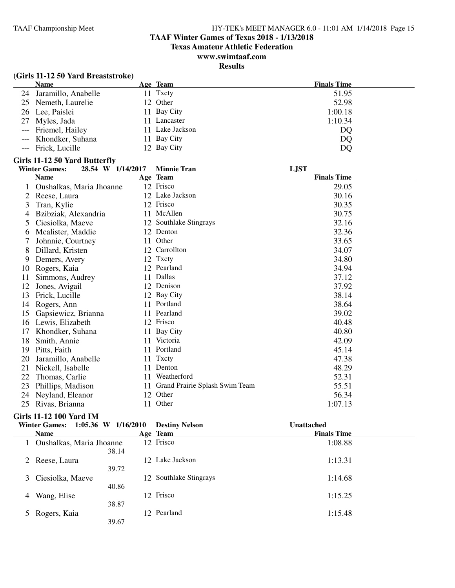#### **TAAF Winter Games of Texas 2018 - 1/13/2018**

**Texas Amateur Athletic Federation**

### **www.swimtaaf.com**

### **Results**

| (Girls 11-12 50 Yard Breaststroke) |                 |                    |
|------------------------------------|-----------------|--------------------|
| <b>Name</b>                        | Age Team        | <b>Finals Time</b> |
| 24 Jaramillo, Anabelle             | 11 Txcty        | 51.95              |
| 25 Nemeth, Laurelie                | 12 Other        | 52.98              |
| 26 Lee, Paislei                    | 11 Bay City     | 1:00.18            |
| 27 Myles, Jada                     | 11 Lancaster    | 1:10.34            |
| --- Friemel, Hailey                | 11 Lake Jackson | DQ                 |
| --- Khondker, Suhana               | 11 Bay City     | DQ                 |
| --- Frick, Lucille                 | 12 Bay City     | DQ                 |

#### Girls 11-12 50 Yard Butterfly<br>Winter Games: 28.54 W **Winter Games: 28.54 W 1/14/2017 Minnie Tran LJST**

|    | <b>Name</b>              |    | Age Team                       | <b>Finals Time</b> |
|----|--------------------------|----|--------------------------------|--------------------|
| 1  | Oushalkas, Maria Jhoanne |    | 12 Frisco                      | 29.05              |
| 2  | Reese, Laura             |    | 12 Lake Jackson                | 30.16              |
| 3  | Tran, Kylie              | 12 | Frisco                         | 30.35              |
| 4  | Bzibziak, Alexandria     | 11 | McAllen                        | 30.75              |
| 5  | Ciesiolka, Maeve         | 12 | Southlake Stingrays            | 32.16              |
| 6  | Mcalister, Maddie        |    | 12 Denton                      | 32.36              |
|    | Johnnie, Courtney        | 11 | Other                          | 33.65              |
| 8  | Dillard, Kristen         | 12 | Carrollton                     | 34.07              |
| 9  | Demers, Avery            |    | 12 Txcty                       | 34.80              |
| 10 | Rogers, Kaia             |    | 12 Pearland                    | 34.94              |
| 11 | Simmons, Audrey          | 11 | Dallas                         | 37.12              |
| 12 | Jones, Avigail           | 12 | Denison                        | 37.92              |
| 13 | Frick, Lucille           | 12 | Bay City                       | 38.14              |
| 14 | Rogers, Ann              | 11 | Portland                       | 38.64              |
| 15 | Gapsiewicz, Brianna      | 11 | Pearland                       | 39.02              |
| 16 | Lewis, Elizabeth         |    | 12 Frisco                      | 40.48              |
| 17 | Khondker, Suhana         | 11 | Bay City                       | 40.80              |
| 18 | Smith, Annie             | 11 | Victoria                       | 42.09              |
| 19 | Pitts, Faith             | 11 | Portland                       | 45.14              |
| 20 | Jaramillo, Anabelle      | 11 | Txcty                          | 47.38              |
| 21 | Nickell, Isabelle        | 11 | Denton                         | 48.29              |
| 22 | Thomas, Carlie           | 11 | Weatherford                    | 52.31              |
| 23 | Phillips, Madison        | 11 | Grand Prairie Splash Swim Team | 55.51              |
| 24 | Neyland, Eleanor         | 12 | Other                          | 56.34              |
| 25 | Rivas, Brianna           | 11 | Other                          | 1:07.13            |

### **Girls 11-12 100 Yard IM**

## **Winter Games: 1:05.36 W 1/16/2010 Destiny Nelson Unattached**

|   | <b>Name</b>              |       | Age Team               | <b>Finals Time</b> |
|---|--------------------------|-------|------------------------|--------------------|
|   | Oushalkas, Maria Jhoanne | 38.14 | 12 Frisco              | 1:08.88            |
|   | 2 Reese, Laura           | 39.72 | 12 Lake Jackson        | 1:13.31            |
|   | 3 Ciesiolka, Maeve       | 40.86 | 12 Southlake Stingrays | 1:14.68            |
| 4 | Wang, Elise              | 38.87 | 12 Frisco              | 1:15.25            |
|   | 5 Rogers, Kaia<br>39.67  |       | 12 Pearland            | 1:15.48            |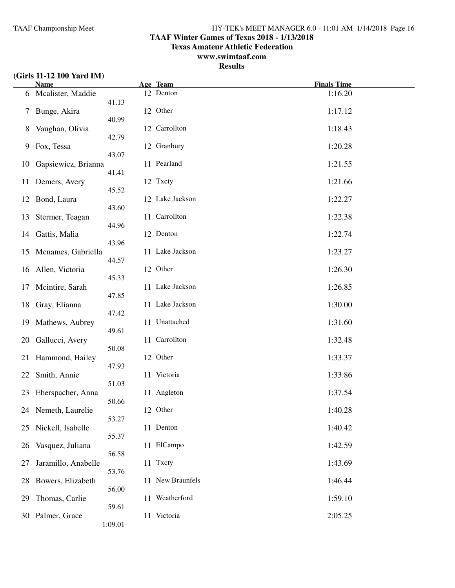### **TAAF Winter Games of Texas 2018 - 1/13/2018**

**Texas Amateur Athletic Federation**

### **www.swimtaaf.com**

**Results**

### **(Girls 11-12 100 Yard IM)**

|    | <b>Name</b>         |         | Age Team         | <b>Finals Time</b> |
|----|---------------------|---------|------------------|--------------------|
|    | 6 Mcalister, Maddie | 41.13   | 12 Denton        | 1:16.20            |
| 7  | Bunge, Akira        | 40.99   | 12 Other         | 1:17.12            |
| 8  | Vaughan, Olivia     | 42.79   | 12 Carrollton    | 1:18.43            |
| 9  | Fox, Tessa          | 43.07   | 12 Granbury      | 1:20.28            |
| 10 | Gapsiewicz, Brianna | 41.41   | 11 Pearland      | 1:21.55            |
| 11 | Demers, Avery       | 45.52   | 12 Txcty         | 1:21.66            |
| 12 | Bond, Laura         | 43.60   | 12 Lake Jackson  | 1:22.27            |
| 13 | Stermer, Teagan     | 44.96   | 11 Carrollton    | 1:22.38            |
| 14 | Gattis, Malia       | 43.96   | 12 Denton        | 1:22.74            |
| 15 | Mcnames, Gabriella  | 44.57   | 11 Lake Jackson  | 1:23.27            |
| 16 | Allen, Victoria     | 45.33   | 12 Other         | 1:26.30            |
| 17 | Mcintire, Sarah     | 47.85   | 11 Lake Jackson  | 1:26.85            |
| 18 | Gray, Elianna       | 47.42   | 11 Lake Jackson  | 1:30.00            |
| 19 | Mathews, Aubrey     | 49.61   | 11 Unattached    | 1:31.60            |
| 20 | Gallucci, Avery     | 50.08   | 11 Carrollton    | 1:32.48            |
| 21 | Hammond, Hailey     | 47.93   | 12 Other         | 1:33.37            |
| 22 | Smith, Annie        | 51.03   | 11 Victoria      | 1:33.86            |
| 23 | Eberspacher, Anna   | 50.66   | 11 Angleton      | 1:37.54            |
|    | 24 Nemeth, Laurelie | 53.27   | 12 Other         | 1:40.28            |
| 25 | Nickell, Isabelle   | 55.37   | 11 Denton        | 1:40.42            |
| 26 | Vasquez, Juliana    | 56.58   | 11 ElCampo       | 1:42.59            |
| 27 | Jaramillo, Anabelle | 53.76   | 11 Txcty         | 1:43.69            |
| 28 | Bowers, Elizabeth   | 56.00   | 11 New Braunfels | 1:46.44            |
| 29 | Thomas, Carlie      | 59.61   | 11 Weatherford   | 1:59.10            |
|    | 30 Palmer, Grace    | 1:09.01 | 11 Victoria      | 2:05.25            |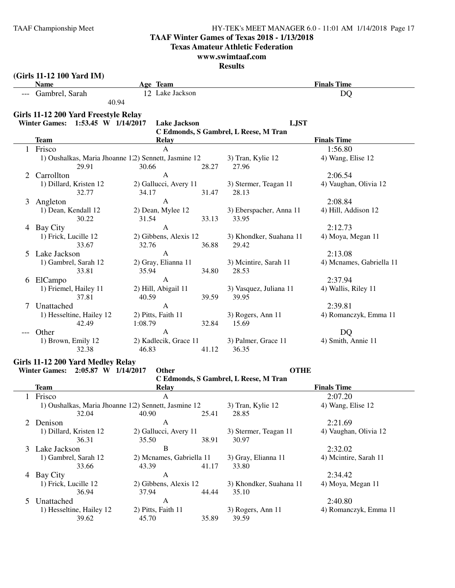### **TAAF Winter Games of Texas 2018 - 1/13/2018**

**Texas Amateur Athletic Federation**

#### **www.swimtaaf.com**

|   | (Girls 11-12 100 Yard IM)<br><b>Name</b>                     | Age Team                                                               |                                       | <b>Finals Time</b>       |
|---|--------------------------------------------------------------|------------------------------------------------------------------------|---------------------------------------|--------------------------|
|   | --- Gambrel, Sarah                                           | 12 Lake Jackson                                                        |                                       | <b>DQ</b>                |
|   | 40.94                                                        |                                                                        |                                       |                          |
|   | Girls 11-12 200 Yard Freestyle Relay                         |                                                                        |                                       |                          |
|   | Winter Games: 1:53.45 W 1/14/2017                            | <b>Lake Jackson</b>                                                    | <b>LJST</b>                           |                          |
|   |                                                              |                                                                        | C Edmonds, S Gambrel, L Reese, M Tran |                          |
|   | <b>Team</b>                                                  | Relay                                                                  |                                       | <b>Finals Time</b>       |
|   | Frisco                                                       | A                                                                      |                                       | 1:56.80                  |
|   | 1) Oushalkas, Maria Jhoanne 12) Sennett, Jasmine 12<br>29.91 | 30.66<br>28.27                                                         | 3) Tran, Kylie 12<br>27.96            | 4) Wang, Elise 12        |
| 2 | Carrollton                                                   | A                                                                      |                                       | 2:06.54                  |
|   | 1) Dillard, Kristen 12                                       | 2) Gallucci, Avery 11                                                  | 3) Stermer, Teagan 11                 | 4) Vaughan, Olivia 12    |
|   | 32.77                                                        | 34.17<br>31.47                                                         | 28.13                                 |                          |
| 3 | Angleton                                                     | $\mathbf{A}$                                                           |                                       | 2:08.84                  |
|   | 1) Dean, Kendall 12<br>30.22                                 | 2) Dean, Mylee 12                                                      | 3) Eberspacher, Anna 11               | 4) Hill, Addison 12      |
|   |                                                              | 31.54<br>33.13<br>$\mathbf{A}$                                         | 33.95                                 |                          |
|   | 4 Bay City                                                   |                                                                        |                                       | 2:12.73                  |
|   | 1) Frick, Lucille 12<br>33.67                                | 2) Gibbens, Alexis 12<br>36.88<br>32.76                                | 3) Khondker, Suahana 11<br>29.42      | 4) Moya, Megan 11        |
| 5 | Lake Jackson                                                 | $\mathbf{A}$                                                           |                                       | 2:13.08                  |
|   | 1) Gambrel, Sarah 12                                         | 2) Gray, Elianna 11                                                    | 3) Mcintire, Sarah 11                 | 4) Mcnames, Gabriella 11 |
|   | 33.81                                                        | 35.94<br>34.80                                                         | 28.53                                 |                          |
|   | 6 ElCampo                                                    | $\mathbf{A}$                                                           |                                       | 2:37.94                  |
|   | 1) Friemel, Hailey 11                                        | 2) Hill, Abigail 11                                                    | 3) Vasquez, Juliana 11                | 4) Wallis, Riley 11      |
|   | 37.81                                                        | 40.59<br>39.59                                                         | 39.95                                 |                          |
| 7 | Unattached                                                   | $\mathbf{A}$                                                           |                                       | 2:39.81                  |
|   | 1) Hesseltine, Hailey 12                                     | 2) Pitts, Faith 11                                                     | 3) Rogers, Ann 11                     | 4) Romanczyk, Emma 11    |
|   | 42.49                                                        | 1:08.79<br>32.84                                                       | 15.69                                 |                          |
|   | Other                                                        | A                                                                      |                                       | DQ                       |
|   | 1) Brown, Emily 12                                           | 2) Kadlecik, Grace 11                                                  | 3) Palmer, Grace 11                   | 4) Smith, Annie 11       |
|   | 32.38                                                        | 46.83<br>41.12                                                         | 36.35                                 |                          |
|   | Girls 11-12 200 Yard Medley Relay                            |                                                                        |                                       |                          |
|   | Winter Games: 2:05.87 W 1/14/2017                            | Other                                                                  | <b>OTHE</b>                           |                          |
|   | Team                                                         | <b>Relay</b>                                                           | C Edmonds, S Gambrel, L Reese, M Tran | <b>Finals Time</b>       |
|   |                                                              | A                                                                      |                                       |                          |
|   | Frisco                                                       |                                                                        |                                       | 2:07.20                  |
|   | 32.04                                                        | 1) Oushalkas, Maria Jhoanne 122) Sennett, Jasmine 12<br>40.90<br>25.41 | 3) Tran, Kylie 12<br>28.85            | 4) Wang, Elise 12        |
| 2 | Denison                                                      | A                                                                      |                                       | 2:21.69                  |
|   | 1) Dillard, Kristen 12                                       | 2) Gallucci, Avery 11                                                  | 3) Stermer, Teagan 11                 | 4) Vaughan, Olivia 12    |
|   | 36.31                                                        | 38.91<br>35.50                                                         | 30.97                                 |                          |
|   | 3 Lake Jackson                                               | $\, {\bf B}$                                                           |                                       | 2:32.02                  |
|   | 1) Gambrel, Sarah 12                                         | 2) Mcnames, Gabriella 11                                               | 3) Gray, Elianna 11                   | 4) Mcintire, Sarah 11    |
|   | 33.66                                                        | 43.39<br>41.17                                                         | 33.80                                 |                          |
|   | 4 Bay City                                                   | A                                                                      |                                       | 2:34.42                  |
|   | 1) Frick, Lucille 12                                         | 2) Gibbens, Alexis 12                                                  | 3) Khondker, Suahana 11               | 4) Moya, Megan 11        |
|   | 36.94                                                        | 37.94<br>44.44                                                         | 35.10                                 |                          |
| 5 | Unattached                                                   | A                                                                      |                                       | 2:40.80                  |
|   | 1) Hesseltine, Hailey 12                                     | 2) Pitts, Faith 11                                                     | 3) Rogers, Ann 11                     | 4) Romanczyk, Emma 11    |
|   | 39.62                                                        | 45.70<br>35.89                                                         | 39.59                                 |                          |
|   |                                                              |                                                                        |                                       |                          |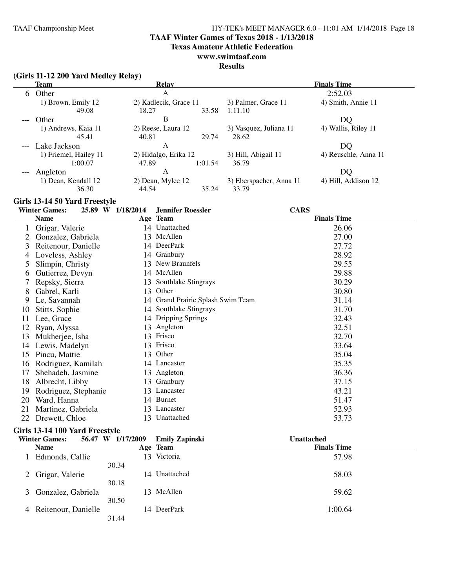### **TAAF Winter Games of Texas 2018 - 1/13/2018**

**Texas Amateur Athletic Federation**

### **www.swimtaaf.com**

#### **Results**

#### **(Girls 11-12 200 Yard Medley Relay)**

|    | Team                  | Relay                 |         |                         | <b>Finals Time</b>   |
|----|-----------------------|-----------------------|---------|-------------------------|----------------------|
| 6. | Other                 | A                     |         |                         | 2:52.03              |
|    | 1) Brown, Emily 12    | 2) Kadlecik, Grace 11 |         | 3) Palmer, Grace 11     | 4) Smith, Annie 11   |
|    | 49.08                 | 18.27                 | 33.58   | 1:11.10                 |                      |
|    | Other                 | B                     |         |                         | DQ                   |
|    | 1) Andrews, Kaia 11   | 2) Reese, Laura 12    |         | 3) Vasquez, Juliana 11  | 4) Wallis, Riley 11  |
|    | 45.41                 | 40.81                 | 29.74   | 28.62                   |                      |
|    | Lake Jackson          | A                     |         |                         | DQ.                  |
|    | 1) Friemel, Hailey 11 | 2) Hidalgo, Erika 12  |         | 3) Hill, Abigail 11     | 4) Reuschle, Anna 11 |
|    | 1:00.07               | 47.89                 | 1:01.54 | 36.79                   |                      |
|    | Angleton              | A                     |         |                         | DQ                   |
|    | 1) Dean, Kendall 12   | 2) Dean, Mylee 12     |         | 3) Eberspacher, Anna 11 | 4) Hill, Addison 12  |
|    | 36.30                 | 44.54                 | 35.24   | 33.79                   |                      |

### **Girls 13-14 50 Yard Freestyle**

|    | <b>Winter Games:</b> | 25.89 W 1/18/2014 | <b>Jennifer Roessler</b>          | <b>CARS</b>        |
|----|----------------------|-------------------|-----------------------------------|--------------------|
|    | <b>Name</b>          |                   | Age Team                          | <b>Finals Time</b> |
|    | Grigar, Valerie      |                   | 14 Unattached                     | 26.06              |
| 2  | Gonzalez, Gabriela   |                   | 13 McAllen                        | 27.00              |
| 3  | Reitenour, Danielle  |                   | 14 DeerPark                       | 27.72              |
| 4  | Loveless, Ashley     |                   | 14 Granbury                       | 28.92              |
| 5  | Slimpin, Christy     |                   | 13 New Braunfels                  | 29.55              |
| 6  | Gutierrez, Devyn     |                   | 14 McAllen                        | 29.88              |
|    | Repsky, Sierra       | 13                | Southlake Stingrays               | 30.29              |
| 8  | Gabrel, Karli        | 13                | Other                             | 30.80              |
| 9  | Le, Savannah         |                   | 14 Grand Prairie Splash Swim Team | 31.14              |
| 10 | Stitts, Sophie       |                   | 14 Southlake Stingrays            | 31.70              |
| 11 | Lee, Grace           | 14                | <b>Dripping Springs</b>           | 32.43              |
| 12 | Ryan, Alyssa         | 13                | Angleton                          | 32.51              |
| 13 | Mukherjee, Isha      | 13                | Frisco                            | 32.70              |
| 14 | Lewis, Madelyn       | 13                | Frisco                            | 33.64              |
| 15 | Pincu, Mattie        | 13                | Other                             | 35.04              |
| 16 | Rodriguez, Kamilah   |                   | 14 Lancaster                      | 35.35              |
| 17 | Shehadeh, Jasmine    |                   | 13 Angleton                       | 36.36              |
| 18 | Albrecht, Libby      | 13                | Granbury                          | 37.15              |
| 19 | Rodriguez, Stephanie |                   | 13 Lancaster                      | 43.21              |
| 20 | Ward, Hanna          | 14                | <b>Burnet</b>                     | 51.47              |
| 21 | Martinez, Gabriela   |                   | 13 Lancaster                      | 52.93              |
| 22 | Drewett, Chloe       |                   | 13 Unattached                     | 53.73              |

### **Girls 13-14 100 Yard Freestyle**

| <b>Winter Games:</b>     | 56.47 W 1/17/2009 | <b>Emily Zapinski</b> | <b>Unattached</b>  |  |
|--------------------------|-------------------|-----------------------|--------------------|--|
| <b>Name</b>              |                   | Age Team              | <b>Finals Time</b> |  |
| Edmonds, Callie          |                   | Victoria<br>13.       | 57.98              |  |
|                          | 30.34             |                       |                    |  |
| 2 Grigar, Valerie        |                   | 14 Unattached         | 58.03              |  |
|                          | 30.18             |                       |                    |  |
| Gonzalez, Gabriela<br>3  |                   | 13 McAllen            | 59.62              |  |
|                          | 30.50             |                       |                    |  |
| Reitenour, Danielle<br>4 |                   | 14 DeerPark           | 1:00.64            |  |
|                          | 31.44             |                       |                    |  |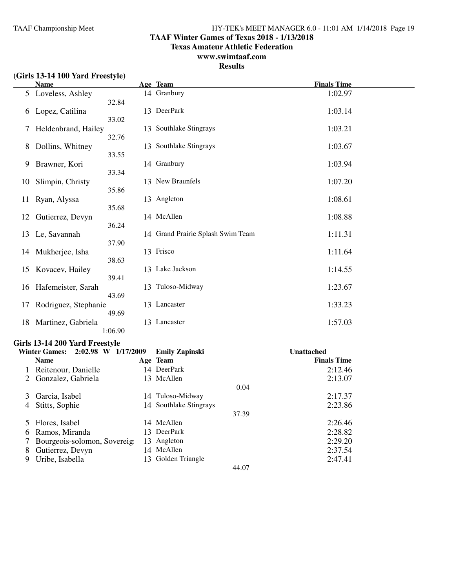#### **TAAF Winter Games of Texas 2018 - 1/13/2018**

**Texas Amateur Athletic Federation**

### **www.swimtaaf.com**

### **Results**

|  | (Girls 13-14 100 Yard Freestyle) |
|--|----------------------------------|
|--|----------------------------------|

|    | <b>Name</b>          |                | Age Team                          | <b>Finals Time</b> |
|----|----------------------|----------------|-----------------------------------|--------------------|
|    | 5 Loveless, Ashley   |                | 14 Granbury                       | 1:02.97            |
| 6  | Lopez, Catilina      | 32.84<br>33.02 | 13 DeerPark                       | 1:03.14            |
| 7  | Heldenbrand, Hailey  | 32.76          | 13 Southlake Stingrays            | 1:03.21            |
| 8  | Dollins, Whitney     | 33.55          | 13 Southlake Stingrays            | 1:03.67            |
| 9  | Brawner, Kori        |                | 14 Granbury                       | 1:03.94            |
| 10 | Slimpin, Christy     | 33.34<br>35.86 | 13 New Braunfels                  | 1:07.20            |
| 11 | Ryan, Alyssa         | 35.68          | 13 Angleton                       | 1:08.61            |
| 12 | Gutierrez, Devyn     | 36.24          | 14 McAllen                        | 1:08.88            |
| 13 | Le, Savannah         | 37.90          | 14 Grand Prairie Splash Swim Team | 1:11.31            |
| 14 | Mukherjee, Isha      | 38.63          | 13 Frisco                         | 1:11.64            |
| 15 | Kovacev, Hailey      | 39.41          | 13 Lake Jackson                   | 1:14.55            |
| 16 | Hafemeister, Sarah   | 43.69          | 13 Tuloso-Midway                  | 1:23.67            |
| 17 | Rodriguez, Stephanie | 49.69          | 13 Lancaster                      | 1:33.23            |
| 18 | Martinez, Gabriela   | 1:06.90        | 13 Lancaster                      | 1:57.03            |

#### **Girls 13-14 200 Yard Freestyle**

#### **Winter Games: 2:02.98 W 1/17/2009 Emily Zapinski Unattached**  $\overline{a}$

|   | <b>Name</b>                 | Age Team               |       | <b>Finals Time</b> |  |
|---|-----------------------------|------------------------|-------|--------------------|--|
|   | Reitenour, Danielle         | 14 DeerPark            |       | 2:12.46            |  |
|   | Gonzalez, Gabriela          | 13 McAllen             |       | 2:13.07            |  |
|   |                             |                        | 0.04  |                    |  |
|   | Garcia, Isabel              | 14 Tuloso-Midway       |       | 2:17.37            |  |
| 4 | Stitts, Sophie              | 14 Southlake Stingrays |       | 2:23.86            |  |
|   |                             |                        | 37.39 |                    |  |
|   | Flores, Isabel              | 14 McAllen             |       | 2:26.46            |  |
| 6 | Ramos, Miranda              | 13 DeerPark            |       | 2:28.82            |  |
|   | Bourgeois-solomon, Sovereig | 13 Angleton            |       | 2:29.20            |  |
| 8 | Gutierrez, Devyn            | 14 McAllen             |       | 2:37.54            |  |
| 9 | Uribe, Isabella             | 13 Golden Triangle     |       | 2:47.41            |  |
|   |                             |                        | 44.07 |                    |  |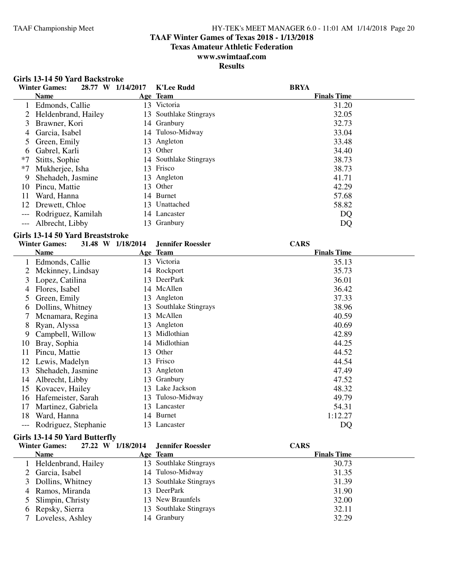**Girls 13-14 50 Yard Backstroke**

#### TAAF Championship Meet HY-TEK's MEET MANAGER 6.0 - 11:01 AM 1/14/2018 Page 20

### **TAAF Winter Games of Texas 2018 - 1/13/2018**

**Texas Amateur Athletic Federation**

### **www.swimtaaf.com**

|      | <b>Winter Games:</b>             | 28.77 W 1/14/2017 | <b>K'Lee Rudd</b>        | <b>BRYA</b>        |
|------|----------------------------------|-------------------|--------------------------|--------------------|
|      | <b>Name</b>                      |                   | Age Team                 | <b>Finals Time</b> |
|      | 1 Edmonds, Callie                |                   | 13 Victoria              | 31.20              |
|      | 2 Heldenbrand, Hailey            |                   | 13 Southlake Stingrays   | 32.05              |
| 3    | Brawner, Kori                    |                   | 14 Granbury              | 32.73              |
| 4    | Garcia, Isabel                   |                   | 14 Tuloso-Midway         | 33.04              |
| 5    | Green, Emily                     |                   | 13 Angleton              | 33.48              |
| 6    | Gabrel, Karli                    |                   | 13 Other                 | 34.40              |
| $*7$ | Stitts, Sophie                   |                   | 14 Southlake Stingrays   | 38.73              |
| $*7$ | Mukherjee, Isha                  |                   | 13 Frisco                | 38.73              |
| 9    | Shehadeh, Jasmine                |                   | 13 Angleton              | 41.71              |
|      | 10 Pincu, Mattie                 |                   | 13 Other                 | 42.29              |
| 11   | Ward, Hanna                      |                   | 14 Burnet                | 57.68              |
|      | 12 Drewett, Chloe                |                   | 13 Unattached            | 58.82              |
|      | Rodriguez, Kamilah               |                   | 14 Lancaster             | DQ                 |
|      | Albrecht, Libby                  |                   | 13 Granbury              |                    |
|      |                                  |                   |                          | DQ                 |
|      | Girls 13-14 50 Yard Breaststroke |                   |                          |                    |
|      | <b>Winter Games:</b>             | 31.48 W 1/18/2014 | <b>Jennifer Roessler</b> | <b>CARS</b>        |
|      | <b>Name</b>                      |                   | Age Team                 | <b>Finals Time</b> |
|      | 1 Edmonds, Callie                |                   | 13 Victoria              | 35.13              |
|      | 2 Mckinney, Lindsay              |                   | 14 Rockport              | 35.73              |
|      | 3 Lopez, Catilina                |                   | 13 DeerPark              | 36.01              |
|      | 4 Flores, Isabel                 |                   | 14 McAllen               | 36.42              |
| 5    | Green, Emily                     |                   | 13 Angleton              | 37.33              |
| 6    | Dollins, Whitney                 |                   | 13 Southlake Stingrays   | 38.96              |
| 7    | Mcnamara, Regina                 |                   | 13 McAllen               | 40.59              |
| 8    | Ryan, Alyssa                     |                   | 13 Angleton              | 40.69              |
|      | 9 Campbell, Willow               |                   | 13 Midlothian            | 42.89              |
| 10   | Bray, Sophia                     |                   | 14 Midlothian            | 44.25              |
| 11   | Pincu, Mattie                    |                   | 13 Other                 | 44.52              |
| 12   | Lewis, Madelyn                   |                   | 13 Frisco                | 44.54              |
| 13   | Shehadeh, Jasmine                |                   | 13 Angleton              | 47.49              |
| 14   | Albrecht, Libby                  |                   | 13 Granbury              | 47.52              |
|      | 15 Kovacev, Hailey               |                   | 13 Lake Jackson          | 48.32              |
|      | 16 Hafemeister, Sarah            |                   | 13 Tuloso-Midway         | 49.79              |
| 17   | Martinez, Gabriela               |                   | 13 Lancaster             | 54.31              |
|      | 18 Ward, Hanna                   |                   | 14 Burnet                | 1:12.27            |
|      | --- Rodriguez, Stephanie         |                   | 13 Lancaster             | DQ                 |
|      |                                  |                   |                          |                    |
|      | Girls 13-14 50 Yard Butterfly    |                   |                          |                    |
|      | <b>Winter Games:</b>             | 27.22 W 1/18/2014 | <b>Jennifer Roessler</b> | <b>CARS</b>        |
|      | <b>Name</b>                      |                   | Age Team                 | <b>Finals Time</b> |
|      | 1 Heldenbrand, Hailey            |                   | 13 Southlake Stingrays   | 30.73              |
| 2    | Garcia, Isabel                   |                   | 14 Tuloso-Midway         | 31.35              |
| 3    | Dollins, Whitney                 | 13                | Southlake Stingrays      | 31.39              |
| 4    | Ramos, Miranda                   | 13                | DeerPark                 | 31.90              |
| 5    | Slimpin, Christy                 | 13                | New Braunfels            | 32.00              |
| 6    | Repsky, Sierra                   | 13                | Southlake Stingrays      | 32.11              |
|      | Loveless, Ashley                 |                   | 14 Granbury              | 32.29              |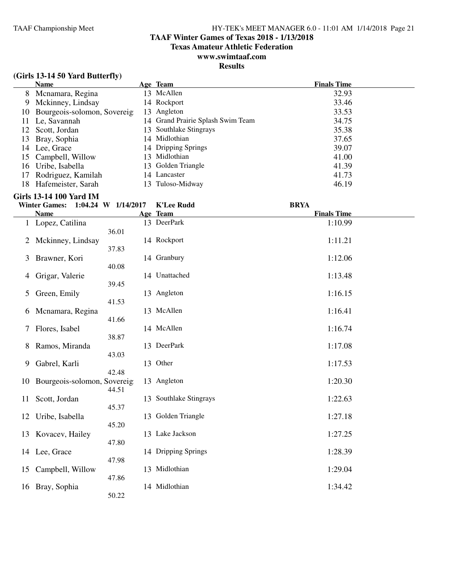### **TAAF Winter Games of Texas 2018 - 1/13/2018**

**Texas Amateur Athletic Federation**

### **www.swimtaaf.com**

### **Results**

|    | <b>Name</b>                 |     | Age Team                          | <b>Finals Time</b> |
|----|-----------------------------|-----|-----------------------------------|--------------------|
|    | 8 Mcnamara, Regina          |     | 13 McAllen                        | 32.93              |
| 9  | Mckinney, Lindsay           |     | 14 Rockport                       | 33.46              |
| 10 | Bourgeois-solomon, Sovereig |     | 13 Angleton                       | 33.53              |
| 11 | Le, Savannah                |     | 14 Grand Prairie Splash Swim Team | 34.75              |
|    | 12 Scott, Jordan            |     | 13 Southlake Stingrays            | 35.38              |
| 13 | Bray, Sophia                |     | 14 Midlothian                     | 37.65              |
| 14 | Lee, Grace                  |     | 14 Dripping Springs               | 39.07              |
| 15 | Campbell, Willow            | 13. | Midlothian                        | 41.00              |
| 16 | Uribe, Isabella             |     | 13 Golden Triangle                | 41.39              |
| 17 | Rodriguez, Kamilah          |     | 14 Lancaster                      | 41.73              |
| 18 | Hafemeister, Sarah          | 13. | Tuloso-Midway                     | 46.19              |

#### **Girls 13-14 100 Yard IM**

|              | <b>Winter Games:</b>        | 1:04.24 W 1/14/2017 | <b>K'Lee Rudd</b>      | <b>BRYA</b>        |
|--------------|-----------------------------|---------------------|------------------------|--------------------|
|              | <b>Name</b>                 |                     | Age Team               | <b>Finals Time</b> |
| $\mathbf{1}$ | Lopez, Catilina             | 36.01               | 13 DeerPark            | 1:10.99            |
| 2            | Mckinney, Lindsay           |                     | 14 Rockport            | 1:11.21            |
| 3            | Brawner, Kori               | 37.83               | 14 Granbury            | 1:12.06            |
| 4            | Grigar, Valerie             | 40.08               | 14 Unattached          | 1:13.48            |
| 5            | Green, Emily                | 39.45               | 13 Angleton            | 1:16.15            |
| 6            | Mcnamara, Regina            | 41.53               | 13 McAllen             | 1:16.41            |
| 7            | Flores, Isabel              | 41.66               | 14 McAllen             | 1:16.74            |
| 8            | Ramos, Miranda              | 38.87               | 13 DeerPark            | 1:17.08            |
| 9            | Gabrel, Karli               | 43.03               | 13 Other               | 1:17.53            |
| 10           | Bourgeois-solomon, Sovereig | 42.48               | 13 Angleton            | 1:20.30            |
| 11           | Scott, Jordan               | 44.51               | 13 Southlake Stingrays | 1:22.63            |
|              |                             | 45.37               | 13 Golden Triangle     | 1:27.18            |
| 12           | Uribe, Isabella             | 45.20               |                        |                    |
| 13           | Kovacev, Hailey             | 47.80               | 13 Lake Jackson        | 1:27.25            |
| 14           | Lee, Grace                  | 47.98               | 14 Dripping Springs    | 1:28.39            |
| 15           | Campbell, Willow            | 47.86               | 13 Midlothian          | 1:29.04            |
| 16           | Bray, Sophia                | 50.22               | 14 Midlothian          | 1:34.42            |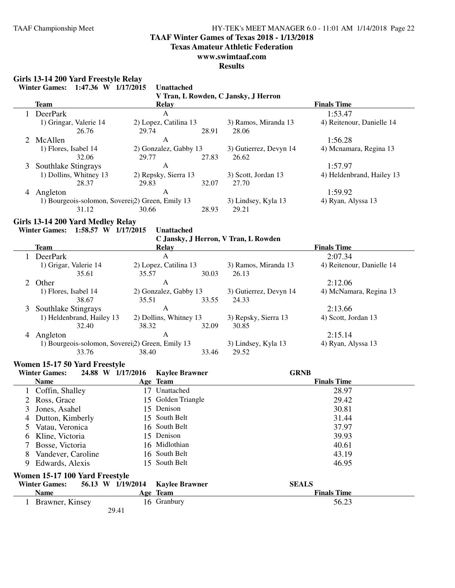#### **TAAF Winter Games of Texas 2018 - 1/13/2018**

**Texas Amateur Athletic Federation**

#### **www.swimtaaf.com**

**Results**

### **Girls 13-14 200 Yard Freestyle Relay**

| Team                   | Relay                                                        |       |                        | <b>Finals Time</b>        |
|------------------------|--------------------------------------------------------------|-------|------------------------|---------------------------|
| DeerPark               | A                                                            |       |                        | 1:53.47                   |
| 1) Gringar, Valerie 14 | 2) Lopez, Catilina 13                                        |       | 3) Ramos, Miranda 13   | 4) Reitenour, Danielle 14 |
| 26.76                  | 29.74                                                        | 28.91 | 28.06                  |                           |
| 2 McAllen              | A                                                            |       |                        | 1:56.28                   |
| 1) Flores, Isabel 14   | 2) Gonzalez, Gabby 13                                        |       | 3) Gutierrez, Devyn 14 | 4) Menamara, Regina 13    |
| 32.06                  | 29.77                                                        | 27.83 | 26.62                  |                           |
| 3 Southlake Stingrays  | A                                                            |       |                        | 1:57.97                   |
| 1) Dollins, Whitney 13 | 2) Repsky, Sierra 13                                         |       | 3) Scott, Jordan 13    | 4) Heldenbrand, Hailey 13 |
| 28.37                  | 29.83                                                        | 32.07 | 27.70                  |                           |
| Angleton<br>4          | A                                                            |       |                        | 1:59.92                   |
|                        | 1) Bourgeois-solomon, Soverei <sub>2</sub> ) Green, Emily 13 |       | 3) Lindsey, Kyla 13    | 4) Ryan, Alyssa 13        |
| 31.12                  | 30.66                                                        | 28.93 | 29.21                  |                           |

#### **Girls 13-14 200 Yard Medley Relay**

**Winter Games: 1:58.57 W 1/17/2015 Unattached**

**C Jansky, J Herron, V Tran, L Rowden**

|   |                           |                                                              |       | $\sigma$ Jansky, J Herron, V Han, E Kowach |                           |
|---|---------------------------|--------------------------------------------------------------|-------|--------------------------------------------|---------------------------|
|   | Team                      | Relay                                                        |       |                                            | <b>Finals Time</b>        |
|   | <b>DeerPark</b>           | A                                                            |       |                                            | 2:07.34                   |
|   | 1) Grigar, Valerie 14     | 2) Lopez, Catilina 13                                        |       | 3) Ramos, Miranda 13                       | 4) Reitenour, Danielle 14 |
|   | 35.61                     | 35.57                                                        | 30.03 | 26.13                                      |                           |
|   | 2 Other                   | A                                                            |       |                                            | 2:12.06                   |
|   | 1) Flores, Isabel 14      | 2) Gonzalez, Gabby 13                                        |       | 3) Gutierrez, Devyn 14                     | 4) McNamara, Regina 13    |
|   | 38.67                     | 35.51                                                        | 33.55 | 24.33                                      |                           |
|   | 3 Southlake Stingrays     | A                                                            |       |                                            | 2:13.66                   |
|   | 1) Heldenbrand, Hailey 13 | 2) Dollins, Whitney 13                                       |       | 3) Repsky, Sierra 13                       | 4) Scott, Jordan 13       |
|   | 32.40                     | 38.32                                                        | 32.09 | 30.85                                      |                           |
| 4 | Angleton                  | A                                                            |       |                                            | 2:15.14                   |
|   |                           | 1) Bourgeois-solomon, Soverei <sub>2</sub> ) Green, Emily 13 |       |                                            | 4) Ryan, Alyssa 13        |
|   | 33.76                     | 38.40                                                        | 33.46 | 29.52                                      |                           |

#### **Women 15-17 50 Yard Freestyle**

|                                                                                                                      | <b>Winter Games:</b> | 24.88 W 1/17/2016 | <b>Kaylee Brawner</b> | <b>GRNB</b>        |
|----------------------------------------------------------------------------------------------------------------------|----------------------|-------------------|-----------------------|--------------------|
|                                                                                                                      | <b>Name</b>          |                   | Age Team              | <b>Finals Time</b> |
|                                                                                                                      | Coffin, Shalley      | 17                | Unattached            | 28.97              |
|                                                                                                                      | 2 Ross, Grace        |                   | 15 Golden Triangle    | 29.42              |
| 3                                                                                                                    | Jones, Asahel        |                   | 15 Denison            | 30.81              |
| 4                                                                                                                    | Dutton, Kimberly     |                   | 15 South Belt         | 31.44              |
| 5                                                                                                                    | Vatau, Veronica      |                   | 16 South Belt         | 37.97              |
| O.                                                                                                                   | Kline, Victoria      |                   | 15 Denison            | 39.93              |
|                                                                                                                      | Bosse, Victoria      |                   | 16 Midlothian         | 40.61              |
| 8                                                                                                                    | Vandever, Caroline   |                   | 16 South Belt         | 43.19              |
| 9.                                                                                                                   | Edwards, Alexis      |                   | 15 South Belt         | 46.95              |
| Women 15-17 100 Yard Freestyle<br><b>SEALS</b><br><b>Winter Games:</b><br>56.13 W 1/19/2014<br><b>Kaylee Brawner</b> |                      |                   |                       |                    |
|                                                                                                                      |                      |                   |                       |                    |
|                                                                                                                      | <b>Name</b>          |                   | Age Team              | <b>Finals Time</b> |
|                                                                                                                      | Brawner, Kinsey      |                   | 16 Granbury           | 56.23              |
|                                                                                                                      |                      | 29.41             |                       |                    |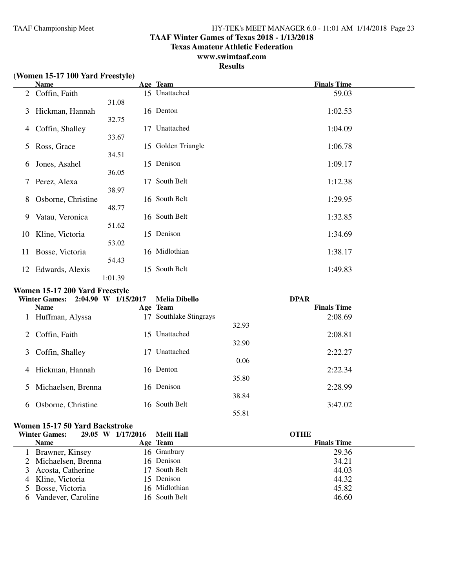#### **TAAF Winter Games of Texas 2018 - 1/13/2018**

**Texas Amateur Athletic Federation**

### **www.swimtaaf.com**

### **Results**

|                | (Women 15-17 100 Yard Freestyle) |                |                    |                    |
|----------------|----------------------------------|----------------|--------------------|--------------------|
|                | <b>Name</b>                      |                | Age Team           | <b>Finals Time</b> |
| $\overline{2}$ | Coffin, Faith                    |                | 15 Unattached      | 59.03              |
| 3              | Hickman, Hannah                  | 31.08<br>32.75 | 16 Denton          | 1:02.53            |
| 4              | Coffin, Shalley                  | 17<br>33.67    | Unattached         | 1:04.09            |
| 5              | Ross, Grace                      | 34.51          | 15 Golden Triangle | 1:06.78            |
| 6              | Jones, Asahel                    | 36.05          | 15 Denison         | 1:09.17            |
| $7^{\circ}$    | Perez, Alexa                     | 17<br>38.97    | South Belt         | 1:12.38            |
| 8              | Osborne, Christine               | 48.77          | 16 South Belt      | 1:29.95            |
| 9              | Vatau, Veronica                  | 51.62          | 16 South Belt      | 1:32.85            |
| 10             | Kline, Victoria                  | 53.02          | 15 Denison         | 1:34.69            |
| 11             | Bosse, Victoria                  | 54.43          | 16 Midlothian      | 1:38.17            |
| 12             | Edwards, Alexis                  | 1:01.39        | 15 South Belt      | 1:49.83            |

#### **Women 15-17 200 Yard Freestyle**

| 1/15/2017<br><b>Melia Dibello</b> | <b>DPAR</b>        |
|-----------------------------------|--------------------|
| Age Team                          | <b>Finals Time</b> |
| Southlake Stingrays<br>17         | 2:08.69            |
|                                   | 32.93              |
| 15 Unattached                     | 2:08.81            |
|                                   | 32.90              |
| Unattached<br>-7                  | 2:22.27            |
|                                   | 0.06               |
| 16 Denton                         | 2:22.34            |
|                                   | 35.80              |
| 16 Denison                        | 2:28.99            |
|                                   | 38.84              |
|                                   | 3:47.02            |
|                                   | 55.81              |
|                                   | 16 South Belt      |

#### **Women 15-17 50 Yard Backstroke**

| <b>Winter Games:</b>     | 29.05 W 1/17/2016 | Meili Hall    | <b>OTHE</b>        |
|--------------------------|-------------------|---------------|--------------------|
| <b>Name</b>              |                   | Age Team      | <b>Finals Time</b> |
| Brawner, Kinsey          |                   | 16 Granbury   | 29.36              |
| 2 Michaelsen, Brenna     |                   | 16 Denison    | 34.21              |
| Acosta, Catherine<br>3   |                   | 17 South Belt | 44.03              |
| 4 Kline, Victoria        |                   | 15 Denison    | 44.32              |
| 5 Bosse, Victoria        |                   | 16 Midlothian | 45.82              |
| Vandever, Caroline<br>h. |                   | 16 South Belt | 46.60              |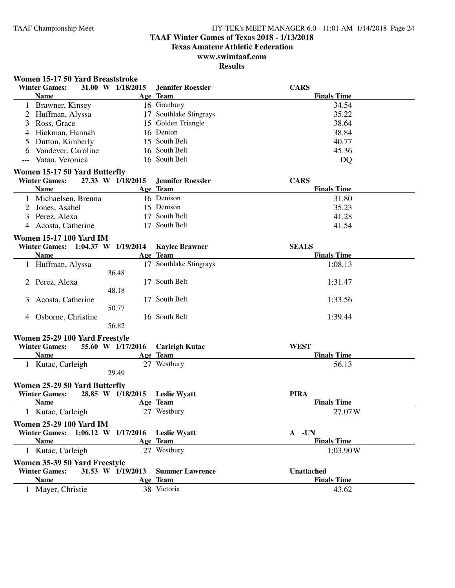### **TAAF Winter Games of Texas 2018 - 1/13/2018**

**Texas Amateur Athletic Federation**

### **www.swimtaaf.com**

| <b>Winter Games:</b><br>31.00 W 1/18/2015<br><b>Jennifer Roessler</b><br><b>CARS</b><br><b>Name</b><br>Age Team<br><b>Finals Time</b><br>1 Brawner, Kinsey<br>16 Granbury<br>34.54<br>17 Southlake Stingrays<br>35.22<br>Huffman, Alyssa<br>2<br>15 Golden Triangle<br>Ross, Grace<br>38.64<br>3<br>16 Denton<br>38.84<br>Hickman, Hannah<br>4<br>15 South Belt<br>Dutton, Kimberly<br>40.77<br>5<br>16 South Belt<br>45.36<br>6 Vandever, Caroline<br>16 South Belt<br>Vatau, Veronica<br>DQ<br>Women 15-17 50 Yard Butterfly<br><b>Winter Games:</b><br>27.33 W 1/18/2015<br><b>Jennifer Roessler</b><br><b>CARS</b><br><b>Name</b><br>Age Team<br><b>Finals Time</b><br>16 Denison<br>1 Michaelsen, Brenna<br>31.80<br>2 Jones, Asahel<br>15 Denison<br>35.23<br>17 South Belt<br>Perez, Alexa<br>41.28<br>3<br>17 South Belt<br>4 Acosta, Catherine<br>41.54<br><b>Women 15-17 100 Yard IM</b><br><b>SEALS</b><br>Winter Games: 1:04.37 W 1/19/2014<br><b>Kaylee Brawner</b><br><b>Finals Time</b><br><b>Name</b><br>Age Team<br>17 Southlake Stingrays<br>1:08.13<br>1 Huffman, Alyssa<br>36.48<br>17 South Belt<br>1:31.47<br>2 Perez, Alexa<br>48.18<br>17 South Belt<br>1:33.56<br>3<br>Acosta, Catherine<br>50.77<br>16 South Belt<br>1:39.44<br>4 Osborne, Christine<br>56.82<br>Women 25-29 100 Yard Freestyle<br>55.60 W 1/17/2016<br><b>WEST</b><br><b>Winter Games:</b><br><b>Carleigh Kutac</b><br><b>Name</b><br>Age Team<br><b>Finals Time</b><br>27 Westbury<br>1 Kutac, Carleigh<br>56.13<br>29.49<br>Women 25-29 50 Yard Butterfly<br><b>Winter Games:</b><br><b>PIRA</b><br>28.85 W 1/18/2015<br><b>Leslie Wyatt</b> |  |
|-------------------------------------------------------------------------------------------------------------------------------------------------------------------------------------------------------------------------------------------------------------------------------------------------------------------------------------------------------------------------------------------------------------------------------------------------------------------------------------------------------------------------------------------------------------------------------------------------------------------------------------------------------------------------------------------------------------------------------------------------------------------------------------------------------------------------------------------------------------------------------------------------------------------------------------------------------------------------------------------------------------------------------------------------------------------------------------------------------------------------------------------------------------------------------------------------------------------------------------------------------------------------------------------------------------------------------------------------------------------------------------------------------------------------------------------------------------------------------------------------------------------------------------------------------------------------------------------------------------------------------------------|--|
|                                                                                                                                                                                                                                                                                                                                                                                                                                                                                                                                                                                                                                                                                                                                                                                                                                                                                                                                                                                                                                                                                                                                                                                                                                                                                                                                                                                                                                                                                                                                                                                                                                           |  |
|                                                                                                                                                                                                                                                                                                                                                                                                                                                                                                                                                                                                                                                                                                                                                                                                                                                                                                                                                                                                                                                                                                                                                                                                                                                                                                                                                                                                                                                                                                                                                                                                                                           |  |
|                                                                                                                                                                                                                                                                                                                                                                                                                                                                                                                                                                                                                                                                                                                                                                                                                                                                                                                                                                                                                                                                                                                                                                                                                                                                                                                                                                                                                                                                                                                                                                                                                                           |  |
|                                                                                                                                                                                                                                                                                                                                                                                                                                                                                                                                                                                                                                                                                                                                                                                                                                                                                                                                                                                                                                                                                                                                                                                                                                                                                                                                                                                                                                                                                                                                                                                                                                           |  |
|                                                                                                                                                                                                                                                                                                                                                                                                                                                                                                                                                                                                                                                                                                                                                                                                                                                                                                                                                                                                                                                                                                                                                                                                                                                                                                                                                                                                                                                                                                                                                                                                                                           |  |
|                                                                                                                                                                                                                                                                                                                                                                                                                                                                                                                                                                                                                                                                                                                                                                                                                                                                                                                                                                                                                                                                                                                                                                                                                                                                                                                                                                                                                                                                                                                                                                                                                                           |  |
|                                                                                                                                                                                                                                                                                                                                                                                                                                                                                                                                                                                                                                                                                                                                                                                                                                                                                                                                                                                                                                                                                                                                                                                                                                                                                                                                                                                                                                                                                                                                                                                                                                           |  |
|                                                                                                                                                                                                                                                                                                                                                                                                                                                                                                                                                                                                                                                                                                                                                                                                                                                                                                                                                                                                                                                                                                                                                                                                                                                                                                                                                                                                                                                                                                                                                                                                                                           |  |
|                                                                                                                                                                                                                                                                                                                                                                                                                                                                                                                                                                                                                                                                                                                                                                                                                                                                                                                                                                                                                                                                                                                                                                                                                                                                                                                                                                                                                                                                                                                                                                                                                                           |  |
|                                                                                                                                                                                                                                                                                                                                                                                                                                                                                                                                                                                                                                                                                                                                                                                                                                                                                                                                                                                                                                                                                                                                                                                                                                                                                                                                                                                                                                                                                                                                                                                                                                           |  |
|                                                                                                                                                                                                                                                                                                                                                                                                                                                                                                                                                                                                                                                                                                                                                                                                                                                                                                                                                                                                                                                                                                                                                                                                                                                                                                                                                                                                                                                                                                                                                                                                                                           |  |
|                                                                                                                                                                                                                                                                                                                                                                                                                                                                                                                                                                                                                                                                                                                                                                                                                                                                                                                                                                                                                                                                                                                                                                                                                                                                                                                                                                                                                                                                                                                                                                                                                                           |  |
|                                                                                                                                                                                                                                                                                                                                                                                                                                                                                                                                                                                                                                                                                                                                                                                                                                                                                                                                                                                                                                                                                                                                                                                                                                                                                                                                                                                                                                                                                                                                                                                                                                           |  |
|                                                                                                                                                                                                                                                                                                                                                                                                                                                                                                                                                                                                                                                                                                                                                                                                                                                                                                                                                                                                                                                                                                                                                                                                                                                                                                                                                                                                                                                                                                                                                                                                                                           |  |
|                                                                                                                                                                                                                                                                                                                                                                                                                                                                                                                                                                                                                                                                                                                                                                                                                                                                                                                                                                                                                                                                                                                                                                                                                                                                                                                                                                                                                                                                                                                                                                                                                                           |  |
|                                                                                                                                                                                                                                                                                                                                                                                                                                                                                                                                                                                                                                                                                                                                                                                                                                                                                                                                                                                                                                                                                                                                                                                                                                                                                                                                                                                                                                                                                                                                                                                                                                           |  |
|                                                                                                                                                                                                                                                                                                                                                                                                                                                                                                                                                                                                                                                                                                                                                                                                                                                                                                                                                                                                                                                                                                                                                                                                                                                                                                                                                                                                                                                                                                                                                                                                                                           |  |
|                                                                                                                                                                                                                                                                                                                                                                                                                                                                                                                                                                                                                                                                                                                                                                                                                                                                                                                                                                                                                                                                                                                                                                                                                                                                                                                                                                                                                                                                                                                                                                                                                                           |  |
|                                                                                                                                                                                                                                                                                                                                                                                                                                                                                                                                                                                                                                                                                                                                                                                                                                                                                                                                                                                                                                                                                                                                                                                                                                                                                                                                                                                                                                                                                                                                                                                                                                           |  |
|                                                                                                                                                                                                                                                                                                                                                                                                                                                                                                                                                                                                                                                                                                                                                                                                                                                                                                                                                                                                                                                                                                                                                                                                                                                                                                                                                                                                                                                                                                                                                                                                                                           |  |
|                                                                                                                                                                                                                                                                                                                                                                                                                                                                                                                                                                                                                                                                                                                                                                                                                                                                                                                                                                                                                                                                                                                                                                                                                                                                                                                                                                                                                                                                                                                                                                                                                                           |  |
|                                                                                                                                                                                                                                                                                                                                                                                                                                                                                                                                                                                                                                                                                                                                                                                                                                                                                                                                                                                                                                                                                                                                                                                                                                                                                                                                                                                                                                                                                                                                                                                                                                           |  |
|                                                                                                                                                                                                                                                                                                                                                                                                                                                                                                                                                                                                                                                                                                                                                                                                                                                                                                                                                                                                                                                                                                                                                                                                                                                                                                                                                                                                                                                                                                                                                                                                                                           |  |
|                                                                                                                                                                                                                                                                                                                                                                                                                                                                                                                                                                                                                                                                                                                                                                                                                                                                                                                                                                                                                                                                                                                                                                                                                                                                                                                                                                                                                                                                                                                                                                                                                                           |  |
|                                                                                                                                                                                                                                                                                                                                                                                                                                                                                                                                                                                                                                                                                                                                                                                                                                                                                                                                                                                                                                                                                                                                                                                                                                                                                                                                                                                                                                                                                                                                                                                                                                           |  |
|                                                                                                                                                                                                                                                                                                                                                                                                                                                                                                                                                                                                                                                                                                                                                                                                                                                                                                                                                                                                                                                                                                                                                                                                                                                                                                                                                                                                                                                                                                                                                                                                                                           |  |
|                                                                                                                                                                                                                                                                                                                                                                                                                                                                                                                                                                                                                                                                                                                                                                                                                                                                                                                                                                                                                                                                                                                                                                                                                                                                                                                                                                                                                                                                                                                                                                                                                                           |  |
|                                                                                                                                                                                                                                                                                                                                                                                                                                                                                                                                                                                                                                                                                                                                                                                                                                                                                                                                                                                                                                                                                                                                                                                                                                                                                                                                                                                                                                                                                                                                                                                                                                           |  |
|                                                                                                                                                                                                                                                                                                                                                                                                                                                                                                                                                                                                                                                                                                                                                                                                                                                                                                                                                                                                                                                                                                                                                                                                                                                                                                                                                                                                                                                                                                                                                                                                                                           |  |
|                                                                                                                                                                                                                                                                                                                                                                                                                                                                                                                                                                                                                                                                                                                                                                                                                                                                                                                                                                                                                                                                                                                                                                                                                                                                                                                                                                                                                                                                                                                                                                                                                                           |  |
|                                                                                                                                                                                                                                                                                                                                                                                                                                                                                                                                                                                                                                                                                                                                                                                                                                                                                                                                                                                                                                                                                                                                                                                                                                                                                                                                                                                                                                                                                                                                                                                                                                           |  |
|                                                                                                                                                                                                                                                                                                                                                                                                                                                                                                                                                                                                                                                                                                                                                                                                                                                                                                                                                                                                                                                                                                                                                                                                                                                                                                                                                                                                                                                                                                                                                                                                                                           |  |
|                                                                                                                                                                                                                                                                                                                                                                                                                                                                                                                                                                                                                                                                                                                                                                                                                                                                                                                                                                                                                                                                                                                                                                                                                                                                                                                                                                                                                                                                                                                                                                                                                                           |  |
|                                                                                                                                                                                                                                                                                                                                                                                                                                                                                                                                                                                                                                                                                                                                                                                                                                                                                                                                                                                                                                                                                                                                                                                                                                                                                                                                                                                                                                                                                                                                                                                                                                           |  |
|                                                                                                                                                                                                                                                                                                                                                                                                                                                                                                                                                                                                                                                                                                                                                                                                                                                                                                                                                                                                                                                                                                                                                                                                                                                                                                                                                                                                                                                                                                                                                                                                                                           |  |
| <b>Finals Time</b><br><b>Name</b><br>Age Team                                                                                                                                                                                                                                                                                                                                                                                                                                                                                                                                                                                                                                                                                                                                                                                                                                                                                                                                                                                                                                                                                                                                                                                                                                                                                                                                                                                                                                                                                                                                                                                             |  |
| Kutac, Carleigh<br>27 Westbury<br>27.07W                                                                                                                                                                                                                                                                                                                                                                                                                                                                                                                                                                                                                                                                                                                                                                                                                                                                                                                                                                                                                                                                                                                                                                                                                                                                                                                                                                                                                                                                                                                                                                                                  |  |
| <b>Women 25-29 100 Yard IM</b>                                                                                                                                                                                                                                                                                                                                                                                                                                                                                                                                                                                                                                                                                                                                                                                                                                                                                                                                                                                                                                                                                                                                                                                                                                                                                                                                                                                                                                                                                                                                                                                                            |  |
|                                                                                                                                                                                                                                                                                                                                                                                                                                                                                                                                                                                                                                                                                                                                                                                                                                                                                                                                                                                                                                                                                                                                                                                                                                                                                                                                                                                                                                                                                                                                                                                                                                           |  |
| $1:06.12$ W $1/17/2016$<br>A -UN<br><b>Winter Games:</b><br><b>Leslie Wyatt</b><br><b>Finals Time</b>                                                                                                                                                                                                                                                                                                                                                                                                                                                                                                                                                                                                                                                                                                                                                                                                                                                                                                                                                                                                                                                                                                                                                                                                                                                                                                                                                                                                                                                                                                                                     |  |
| <b>Name</b><br>Age Team                                                                                                                                                                                                                                                                                                                                                                                                                                                                                                                                                                                                                                                                                                                                                                                                                                                                                                                                                                                                                                                                                                                                                                                                                                                                                                                                                                                                                                                                                                                                                                                                                   |  |
| 27 Westbury<br>1 Kutac, Carleigh<br>1:03.90W                                                                                                                                                                                                                                                                                                                                                                                                                                                                                                                                                                                                                                                                                                                                                                                                                                                                                                                                                                                                                                                                                                                                                                                                                                                                                                                                                                                                                                                                                                                                                                                              |  |
| Women 35-39 50 Yard Freestyle                                                                                                                                                                                                                                                                                                                                                                                                                                                                                                                                                                                                                                                                                                                                                                                                                                                                                                                                                                                                                                                                                                                                                                                                                                                                                                                                                                                                                                                                                                                                                                                                             |  |
| 31.53 W 1/19/2013<br><b>Winter Games:</b><br><b>Summer Lawrence</b><br>Unattached                                                                                                                                                                                                                                                                                                                                                                                                                                                                                                                                                                                                                                                                                                                                                                                                                                                                                                                                                                                                                                                                                                                                                                                                                                                                                                                                                                                                                                                                                                                                                         |  |
| <b>Name</b><br>Age Team<br><b>Finals Time</b>                                                                                                                                                                                                                                                                                                                                                                                                                                                                                                                                                                                                                                                                                                                                                                                                                                                                                                                                                                                                                                                                                                                                                                                                                                                                                                                                                                                                                                                                                                                                                                                             |  |
| 38 Victoria<br>1 Mayer, Christie<br>43.62                                                                                                                                                                                                                                                                                                                                                                                                                                                                                                                                                                                                                                                                                                                                                                                                                                                                                                                                                                                                                                                                                                                                                                                                                                                                                                                                                                                                                                                                                                                                                                                                 |  |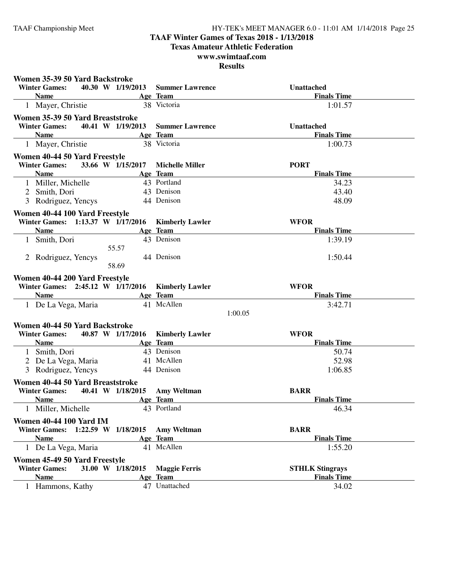### **TAAF Winter Games of Texas 2018 - 1/13/2018**

**Texas Amateur Athletic Federation**

### **www.swimtaaf.com**

| Women 35-39 50 Yard Backstroke      |                     |                         |                                   |  |
|-------------------------------------|---------------------|-------------------------|-----------------------------------|--|
| <b>Winter Games:</b>                | 40.30 W 1/19/2013   | <b>Summer Lawrence</b>  | Unattached                        |  |
| <b>Name</b>                         |                     | Age Team                | <b>Finals Time</b>                |  |
| 1 Mayer, Christie                   |                     | 38 Victoria             | 1:01.57                           |  |
| Women 35-39 50 Yard Breaststroke    |                     |                         |                                   |  |
| <b>Winter Games:</b>                | 40.41 W 1/19/2013   | <b>Summer Lawrence</b>  | <b>Unattached</b>                 |  |
| <b>Name</b>                         |                     | Age Team                | <b>Finals Time</b>                |  |
| 1 Mayer, Christie                   |                     | 38 Victoria             | 1:00.73                           |  |
| Women 40-44 50 Yard Freestyle       |                     |                         |                                   |  |
| <b>Winter Games:</b>                | 33.66 W 1/15/2017   | <b>Michelle Miller</b>  | <b>PORT</b>                       |  |
| <b>Name</b>                         |                     | Age Team                | <b>Finals Time</b>                |  |
| 1 Miller, Michelle                  |                     | 43 Portland             | 34.23                             |  |
| 2 Smith, Dori                       |                     | 43 Denison              | 43.40                             |  |
| 3 Rodriguez, Yencys                 |                     | 44 Denison              | 48.09                             |  |
| Women 40-44 100 Yard Freestyle      |                     |                         |                                   |  |
| Winter Games: 1:13.37 W 1/17/2016   |                     | <b>Kimberly Lawler</b>  | <b>WFOR</b>                       |  |
| <b>Name</b>                         |                     | Age Team                | <b>Finals Time</b>                |  |
| 1 Smith, Dori                       |                     | 43 Denison              | 1:39.19                           |  |
|                                     | 55.57               |                         |                                   |  |
| 2 Rodriguez, Yencys                 |                     | 44 Denison              | 1:50.44                           |  |
|                                     | 58.69               |                         |                                   |  |
| Women 40-44 200 Yard Freestyle      |                     |                         |                                   |  |
| Winter Games: 2:45.12 W 1/17/2016   |                     | <b>Kimberly Lawler</b>  | <b>WFOR</b>                       |  |
| <b>Name</b>                         |                     | Age Team                | <b>Finals Time</b>                |  |
| 1 De La Vega, Maria                 |                     | 41 McAllen              | 3:42.71                           |  |
|                                     |                     | 1:00.05                 |                                   |  |
| Women 40-44 50 Yard Backstroke      |                     |                         |                                   |  |
| <b>Winter Games:</b>                | 40.87 W 1/17/2016   | <b>Kimberly Lawler</b>  | <b>WFOR</b>                       |  |
| <b>Name</b>                         |                     | Age Team                | <b>Finals Time</b>                |  |
| 1 Smith, Dori                       |                     | 43 Denison              | 50.74                             |  |
| 2 De La Vega, Maria                 |                     | 41 McAllen              | 52.98                             |  |
| 3 Rodriguez, Yencys                 |                     | 44 Denison              | 1:06.85                           |  |
|                                     |                     |                         |                                   |  |
| Women 40-44 50 Yard Breaststroke    | 40.41 W 1/18/2015   |                         |                                   |  |
| <b>Winter Games:</b><br><b>Name</b> |                     | <b>Amy Weltman</b>      | <b>BARR</b><br><b>Finals Time</b> |  |
| Miller, Michelle                    |                     | Age Team<br>43 Portland | 46.34                             |  |
|                                     |                     |                         |                                   |  |
| <b>Women 40-44 100 Yard IM</b>      |                     |                         |                                   |  |
| <b>Winter Games:</b>                | 1:22.59 W 1/18/2015 | <b>Amy Weltman</b>      | <b>BARR</b>                       |  |
| <b>Name</b>                         |                     | Age Team                | <b>Finals Time</b>                |  |
| 1 De La Vega, Maria                 |                     | 41 McAllen              | 1:55.20                           |  |
| Women 45-49 50 Yard Freestyle       |                     |                         |                                   |  |
| <b>Winter Games:</b>                | 31.00 W 1/18/2015   | <b>Maggie Ferris</b>    | <b>STHLK Stingrays</b>            |  |
| <b>Name</b>                         |                     | Age Team                | <b>Finals Time</b>                |  |
| 1 Hammons, Kathy                    |                     | 47 Unattached           | 34.02                             |  |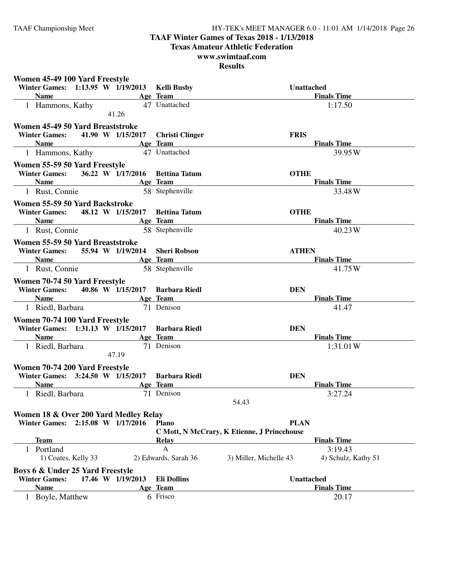### **TAAF Winter Games of Texas 2018 - 1/13/2018**

**Texas Amateur Athletic Federation**

### **www.swimtaaf.com**

| Women 45-49 100 Yard Freestyle                          |                        |                                               |
|---------------------------------------------------------|------------------------|-----------------------------------------------|
| Winter Games: 1:13.95 W 1/19/2013 Kelli Busby           |                        | <b>Unattached</b>                             |
| <b>Name</b>                                             | Age Team               | <b>Finals Time</b>                            |
| 1 Hammons, Kathy<br>41.26                               | 47 Unattached          | 1:17.50                                       |
| Women 45-49 50 Yard Breaststroke                        |                        |                                               |
| <b>Winter Games:</b><br>41.90 W 1/15/2017               | <b>Christi Clinger</b> | <b>FRIS</b>                                   |
| <b>Name</b>                                             | Age Team               | <b>Finals Time</b>                            |
| 1 Hammons, Kathy                                        | 47 Unattached          | 39.95 W                                       |
| Women 55-59 50 Yard Freestyle                           |                        |                                               |
| 36.22 W 1/17/2016 Bettina Tatum<br><b>Winter Games:</b> |                        | <b>OTHE</b>                                   |
| <b>Name</b>                                             | Age Team               | <b>Finals Time</b>                            |
| 1 Rust, Connie                                          | 58 Stephenville        | 33.48W                                        |
| Women 55-59 50 Yard Backstroke                          |                        |                                               |
| 48.12 W 1/15/2017<br><b>Winter Games:</b>               | <b>Bettina Tatum</b>   | <b>OTHE</b>                                   |
| <b>Name</b>                                             | Age Team               | <b>Finals Time</b>                            |
| 1 Rust, Connie                                          | 58 Stephenville        | 40.23W                                        |
| Women 55-59 50 Yard Breaststroke                        |                        |                                               |
| <b>Winter Games:</b><br>55.94 W 1/19/2014               | <b>Sheri Robson</b>    | <b>ATHEN</b>                                  |
| <b>Name</b>                                             | Age Team               | <b>Finals Time</b>                            |
| 1 Rust, Connie                                          | 58 Stephenville        | 41.75 W                                       |
| Women 70-74 50 Yard Freestyle                           |                        |                                               |
| 40.86 W 1/15/2017 Barbara Riedl<br><b>Winter Games:</b> |                        | <b>DEN</b>                                    |
| <b>Name</b>                                             | Age Team               | <b>Finals Time</b>                            |
| 1 Riedl, Barbara                                        | 71 Denison             | 41.47                                         |
| Women 70-74 100 Yard Freestyle                          |                        |                                               |
| Winter Games: 1:31.13 W 1/15/2017                       | <b>Barbara Riedl</b>   | <b>DEN</b>                                    |
| <b>Name</b>                                             | Age Team               | <b>Finals Time</b>                            |
| 1 Riedl, Barbara                                        | 71 Denison             | 1:31.01W                                      |
| 47.19                                                   |                        |                                               |
| Women 70-74 200 Yard Freestyle                          |                        |                                               |
| Winter Games: 3:24.50 W 1/15/2017 Barbara Riedl         |                        | <b>DEN</b>                                    |
| <b>Name</b>                                             | Age Team               | <b>Finals Time</b>                            |
| 1 Riedl, Barbara                                        | 71 Denison             | 3:27.24                                       |
|                                                         |                        | 54.43                                         |
| Women 18 & Over 200 Yard Medley Relay                   |                        |                                               |
| Winter Games: 2:15.08 W 1/17/2016                       | <b>Plano</b>           | <b>PLAN</b>                                   |
|                                                         |                        | C Mott, N McCrary, K Etienne, J Princehouse   |
| Team                                                    | Relay                  | <b>Finals Time</b>                            |
| 1 Portland                                              | $\mathsf{A}$           | 3:19.43                                       |
| 1) Coates, Kelly 33                                     | 2) Edwards, Sarah 36   | 3) Miller, Michelle 43<br>4) Schulz, Kathy 51 |
| Boys 6 & Under 25 Yard Freestyle                        |                        |                                               |
| <b>Winter Games:</b><br>17.46 W 1/19/2013               | <b>Eli Dollins</b>     | <b>Unattached</b>                             |
| <b>Name</b>                                             | Age Team               | <b>Finals Time</b>                            |
| Boyle, Matthew<br>$\mathbf{1}$                          | 6 Frisco               | 20.17                                         |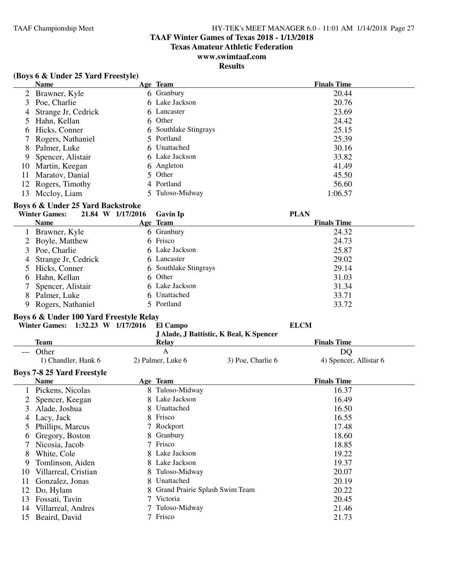### **TAAF Winter Games of Texas 2018 - 1/13/2018**

**Texas Amateur Athletic Federation**

### **www.swimtaaf.com**

### **Results**

|  |  |  |  |  | (Boys 6 & Under 25 Yard Freestyle) |
|--|--|--|--|--|------------------------------------|
|--|--|--|--|--|------------------------------------|

|     | <b>Name</b>         | Age Team              | <b>Finals Time</b> |
|-----|---------------------|-----------------------|--------------------|
|     | 2 Brawner, Kyle     | 6 Granbury            | 20.44              |
|     | 3 Poe, Charlie      | 6 Lake Jackson        | 20.76              |
| 4   | Strange Jr, Cedrick | 6 Lancaster           | 23.69              |
|     | 5 Hahn, Kellan      | 6 Other               | 24.42              |
| 6   | Hicks, Conner       | 6 Southlake Stingrays | 25.15              |
|     | 7 Rogers, Nathaniel | 5 Portland            | 25.39              |
| 8   | Palmer, Luke        | 6 Unattached          | 30.16              |
| 9   | Spencer, Alistair   | 6 Lake Jackson        | 33.82              |
| 10  | Martin, Keegan      | 6 Angleton            | 41.49              |
| 11  | Maratov, Danial     | 5 Other               | 45.50              |
|     | 12 Rogers, Timothy  | 4 Portland            | 56.60              |
| 13. | Mccloy, Liam        | 5 Tuloso-Midway       | 1:06.57            |
|     |                     |                       |                    |

#### **Boys 6 & Under 25 Yard Backstroke**

|             |                                                                                                                                                                                                           | <b>Gavin Ip</b>   | <b>PLAN</b>                                                                                                                                             |
|-------------|-----------------------------------------------------------------------------------------------------------------------------------------------------------------------------------------------------------|-------------------|---------------------------------------------------------------------------------------------------------------------------------------------------------|
| <b>Name</b> |                                                                                                                                                                                                           |                   | <b>Finals Time</b>                                                                                                                                      |
|             |                                                                                                                                                                                                           |                   | 24.32                                                                                                                                                   |
|             |                                                                                                                                                                                                           |                   | 24.73                                                                                                                                                   |
|             |                                                                                                                                                                                                           |                   | 25.87                                                                                                                                                   |
|             |                                                                                                                                                                                                           |                   | 29.02                                                                                                                                                   |
|             |                                                                                                                                                                                                           |                   | 29.14                                                                                                                                                   |
|             |                                                                                                                                                                                                           |                   | 31.03                                                                                                                                                   |
|             |                                                                                                                                                                                                           |                   | 31.34                                                                                                                                                   |
|             |                                                                                                                                                                                                           |                   | 33.71                                                                                                                                                   |
|             |                                                                                                                                                                                                           |                   | 33.72                                                                                                                                                   |
|             | <b>Winter Games:</b><br>1 Brawner, Kyle<br>2 Boyle, Matthew<br>3 Poe, Charlie<br>4 Strange Jr, Cedrick<br>5 Hicks, Conner<br>6 Hahn, Kellan<br>7 Spencer, Alistair<br>8 Palmer, Luke<br>Rogers, Nathaniel | 21.84 W 1/17/2016 | Age Team<br>6 Granbury<br>6 Frisco<br>6 Lake Jackson<br>6 Lancaster<br>6 Southlake Stingrays<br>6 Other<br>6 Lake Jackson<br>6 Unattached<br>5 Portland |

#### **Boys 6 & Under 100 Yard Freestyle Relay**

|     | $1:32.23$ W $1/17/2016$<br><b>Winter Games:</b> |    | El Campo<br>J Alade, J Battistic, K Beal, K Spencer |                   | <b>ELCM</b>            |
|-----|-------------------------------------------------|----|-----------------------------------------------------|-------------------|------------------------|
|     | <b>Team</b>                                     |    | Relay                                               |                   | <b>Finals Time</b>     |
| --- | Other                                           |    | A                                                   |                   | DQ                     |
|     | 1) Chandler, Hank 6                             |    | 2) Palmer, Luke 6                                   | 3) Poe, Charlie 6 | 4) Spencer, Allistar 6 |
|     | <b>Boys 7-8 25 Yard Freestyle</b>               |    |                                                     |                   |                        |
|     | Name                                            |    | Age Team                                            |                   | <b>Finals Time</b>     |
|     | Pickens, Nicolas                                | 8. | Tuloso-Midway                                       |                   | 16.37                  |
|     | Spencer, Keegan                                 |    | Lake Jackson                                        |                   | 16.49                  |
| 3   | Alade, Joshua                                   | 8. | Unattached                                          |                   | 16.50                  |
| 4   | Lacy, Jack                                      |    | Frisco                                              |                   | 16.55                  |
| 5   | Phillips, Marcus                                |    | Rockport                                            |                   | 17.48                  |
| 6   | Gregory, Boston                                 | 8. | Granbury                                            |                   | 18.60                  |
| 7   | Nicosia, Jacob                                  |    | Frisco                                              |                   | 18.85                  |
| 8   | White, Cole                                     |    | Lake Jackson                                        |                   | 19.22                  |
| 9   | Tomlinson, Aiden                                | 8. | Lake Jackson                                        |                   | 19.37                  |
| 10  | Villarreal, Cristian                            |    | Tuloso-Midway                                       |                   | 20.07                  |
| 11  | Gonzalez, Jonas                                 | 8  | Unattached                                          |                   | 20.19                  |
| 12  | Do, Hylam                                       | 8. | Grand Prairie Splash Swim Team                      |                   | 20.22                  |
| 13  | Fossati, Tavin                                  |    | Victoria                                            |                   | 20.45                  |
| 14  | Villarreal, Andres                              |    | Tuloso-Midway                                       |                   | 21.46                  |
| 15  | Beaird, David                                   |    | Frisco                                              |                   | 21.73                  |
|     |                                                 |    |                                                     |                   |                        |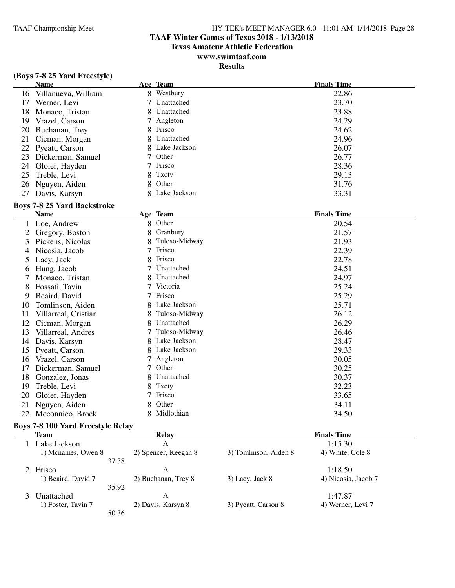**Finals Time** 

### **TAAF Winter Games of Texas 2018 - 1/13/2018**

**Texas Amateur Athletic Federation**

### **www.swimtaaf.com**

### **Results**

|  | (Boys 7-8 25 Yard Freestyle)<br><b>Name</b> |  | Age Team       | <b>Finals Time</b> |
|--|---------------------------------------------|--|----------------|--------------------|
|  | 16 Villanueva, William                      |  | 8 Westbury     | 22.86              |
|  | 17 Werner, Levi                             |  | 7 Unattached   | 23.70              |
|  | 18 Monaco, Tristan                          |  | 8 Unattached   | 23.88              |
|  | 19 Vrazel, Carson                           |  | 7 Angleton     | 24.29              |
|  | 20 Buchanan, Trey                           |  | 8 Frisco       | 24.62              |
|  | 21 Cicman, Morgan                           |  | 8 Unattached   | 24.96              |
|  | 22 Pyeatt, Carson                           |  | 8 Lake Jackson | 26.07              |

|                      |                | -     |
|----------------------|----------------|-------|
| 21 Cicman, Morgan    | 8 Unattached   | 24.96 |
| 22 Pyeatt, Carson    | 8 Lake Jackson | 26.07 |
| 23 Dickerman, Samuel | 7 Other        | 26.77 |
| 24 Gloier, Hayden    | 7 Frisco       | 28.36 |
| 25 Treble, Levi      | 8 Txcty        | 29.13 |
|                      |                |       |

### **Boys 7-8 25 Yard Backstroke**

27 Davis, Karsyn

|    | <b>Name</b>          |   | Age Team      | <b>Finals Time</b> |
|----|----------------------|---|---------------|--------------------|
|    | Loe, Andrew          | 8 | Other         | 20.54              |
|    | Gregory, Boston      | 8 | Granbury      | 21.57              |
| 3  | Pickens, Nicolas     | 8 | Tuloso-Midway | 21.93              |
| 4  | Nicosia, Jacob       |   | Frisco        | 22.39              |
| 5  | Lacy, Jack           | 8 | Frisco        | 22.78              |
| 0  | Hung, Jacob          |   | Unattached    | 24.51              |
|    | Monaco, Tristan      |   | Unattached    | 24.97              |
| 8  | Fossati, Tavin       |   | Victoria      | 25.24              |
| 9  | Beaird, David        |   | Frisco        | 25.29              |
| 10 | Tomlinson, Aiden     | 8 | Lake Jackson  | 25.71              |
| 11 | Villarreal, Cristian |   | Tuloso-Midway | 26.12              |
| 12 | Cicman, Morgan       | 8 | Unattached    | 26.29              |
| 13 | Villarreal, Andres   |   | Tuloso-Midway | 26.46              |
| 14 | Davis, Karsyn        | 8 | Lake Jackson  | 28.47              |
| 15 | Pyeatt, Carson       |   | Lake Jackson  | 29.33              |
| 16 | Vrazel, Carson       |   | Angleton      | 30.05              |
| 17 | Dickerman, Samuel    |   | Other         | 30.25              |
| 18 | Gonzalez, Jonas      | 8 | Unattached    | 30.37              |
| 19 | Treble, Levi         | 8 | Txcty         | 32.23              |
| 20 | Gloier, Hayden       |   | Frisco        | 33.65              |
| 21 | Nguyen, Aiden        | 8 | Other         | 34.11              |
| 22 | Mcconnico, Brock     |   | Midlothian    | 34.50              |
|    |                      |   |               |                    |

26 Nguyen, Aiden 8 Other 8 Other 31.76<br>27 Davis, Karsyn 8 Lake Jackson 33.31

#### **Boys 7-8 100 Yard Freestyle Relay**

| Team               |       | Relay                |                       | <b>Finals Time</b>  |  |
|--------------------|-------|----------------------|-----------------------|---------------------|--|
| Lake Jackson       |       | А                    |                       | 1:15.30             |  |
| 1) Mcnames, Owen 8 |       | 2) Spencer, Keegan 8 | 3) Tomlinson, Aiden 8 | 4) White, Cole 8    |  |
|                    | 37.38 |                      |                       |                     |  |
| 2 Frisco           |       | А                    |                       | 1:18.50             |  |
| 1) Beaird, David 7 |       | 2) Buchanan, Trey 8  | 3) Lacy, Jack 8       | 4) Nicosia, Jacob 7 |  |
|                    | 35.92 |                      |                       |                     |  |
| Unattached         |       | А                    |                       | 1:47.87             |  |
| 1) Foster, Tavin 7 |       | 2) Davis, Karsyn 8   | 3) Pyeatt, Carson 8   | 4) Werner, Levi 7   |  |
|                    | 50.36 |                      |                       |                     |  |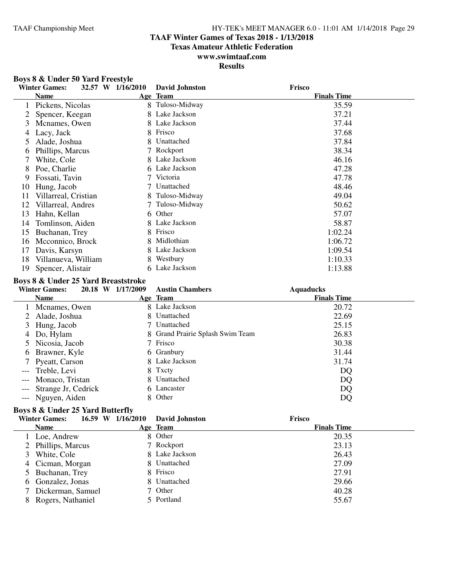#### **TAAF Winter Games of Texas 2018 - 1/13/2018**

**Texas Amateur Athletic Federation**

### **www.swimtaaf.com**

**Results**

#### **Boys 8 & Under 50 Yard Freestyle**<br>Winter Games: 32.57 W 1/16/2 **Winter Games: 32.57 W 1/16/2010 David Johnston Frisco Name Age Team Age Team Finals Time** 1 Pickens, Nicolas 8 Tuloso-Midway 35.59<br>2 Spencer, Keegan 8 Lake Jackson 37.21 2 Spencer, Keegan 8 Lake Jackson<br>3 Mcnames. Owen 8 Lake Jackson 3 Mcnames, Owen 8 Lake Jackson 37.44<br>4 Lacy, Jack 8 Frisco 37.68 4 Lacy, Jack 8 Frisco<br>5 Alade. Joshua 8 Unattached 5 Alade, Joshua 8 Unattached 37.84<br>6 Phillips. Marcus 7 Rockport 38.34 6 Phillips, Marcus 7 Rockport 7 Rockport 38.34<br>
7 White Cole 8 Lake Jackson 46.16 7 White, Cole 8 Lake Jackson 46.16<br>
8 Poe. Charlie 6 Lake Jackson 47.28 8 Poe, Charlie 6 Lake Jackson 47.28<br>9 Fossati, Tavin 7 Victoria 47.78 9 Fossati, Tavin 7 Victoria 47.78 10 Hung, Jacob 7 Unattached 48.46<br>
11 Villarreal, Cristian 8 Tuloso-Midway 49.04 11 Villarreal, Cristian 8 Tuloso-Midway 49.04<br>12 Villarreal, Andres 7 Tuloso-Midway 50.62 12 Villarreal, Andres 7 Tuloso-Midway 50.62 13 Hahn, Kellan 6 Other 6 Other 57.07<br>14 Tomlinson, Aiden 8 Lake Jackson 58.87 14 Tomlinson, Aiden 8 Lake Jackson 58.87<br>15 Buchanan, Trey 8 Frisco 1:02.24 15 Buchanan, Trey 8 Frisco<br>16 Mcconnico, Brock 8 Midlothian 16 Mcconnico, Brock 8 Midlothian 1:06.72<br>17 Davis, Karsyn 8 Lake Jackson 1:09.54 17 Davis, Karsyn 8 Lake Jack<br>18 Villanueva. William 8 Westbury 18 Villanueva, William 8 Westbury 1:10.33 19 Spencer, Alistair 6 Lake Jackson 1:13.88

#### **Boys 8 & Under 25 Yard Breaststroke**

#### **Boys 8 & Under 25 Yard Butterfly**

|    | <b>Winter Games:</b> | 16.59 W 1/16/2010 | David Johnston | Frisco             |
|----|----------------------|-------------------|----------------|--------------------|
|    | <b>Name</b>          |                   | Age Team       | <b>Finals Time</b> |
|    | Loe, Andrew          |                   | 8 Other        | 20.35              |
| 2  | Phillips, Marcus     |                   | 7 Rockport     | 23.13              |
| 3. | White, Cole          |                   | 8 Lake Jackson | 26.43              |
|    | 4 Cicman, Morgan     |                   | 8 Unattached   | 27.09              |
|    | 5 Buchanan, Trey     |                   | 8 Frisco       | 27.91              |
|    | 6 Gonzalez, Jonas    |                   | 8 Unattached   | 29.66              |
|    | Dickerman, Samuel    |                   | 7 Other        | 40.28              |
|    | 8 Rogers, Nathaniel  |                   | 5 Portland     | 55.67              |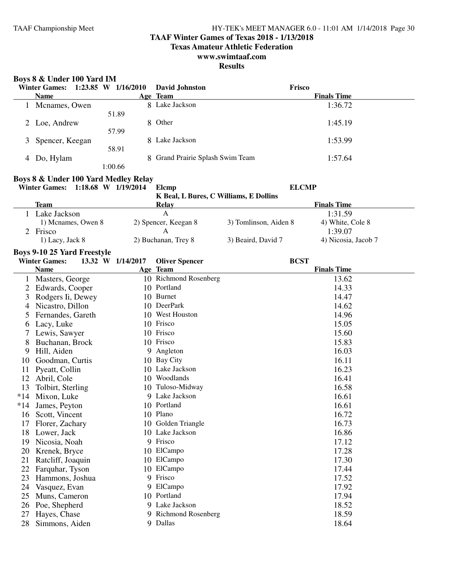### **TAAF Winter Games of Texas 2018 - 1/13/2018**

**Texas Amateur Athletic Federation**

### **www.swimtaaf.com**

|       | Boys 8 & Under 100 Yard IM           |                   |                                        |                       |                             |
|-------|--------------------------------------|-------------------|----------------------------------------|-----------------------|-----------------------------|
|       | Winter Games: 1:23.85 W 1/16/2010    |                   | <b>David Johnston</b>                  | Frisco                |                             |
|       | <b>Name</b>                          |                   | Age Team                               |                       | <b>Finals Time</b>          |
|       | 1 Mcnames, Owen                      | 51.89             | 8 Lake Jackson                         |                       | 1:36.72                     |
|       | 2 Loe, Andrew                        |                   | 8 Other                                |                       | 1:45.19                     |
| 3     | Spencer, Keegan                      | 57.99             | 8 Lake Jackson                         |                       | 1:53.99                     |
| 4     | Do, Hylam                            | 58.91             | Grand Prairie Splash Swim Team         |                       | 1:57.64                     |
|       |                                      | 1:00.66           |                                        |                       |                             |
|       | Boys 8 & Under 100 Yard Medley Relay |                   |                                        |                       |                             |
|       | Winter Games: 1:18.68 W 1/19/2014    |                   | Elcmp                                  |                       | <b>ELCMP</b>                |
|       | <b>Team</b>                          |                   | K Beal, L Bures, C Williams, E Dollins |                       | <b>Finals Time</b>          |
|       |                                      |                   | <b>Relay</b><br>$\mathbf{A}$           |                       |                             |
|       | 1 Lake Jackson                       |                   |                                        |                       | 1:31.59                     |
|       | 1) Mcnames, Owen 8                   |                   | 2) Spencer, Keegan 8                   | 3) Tomlinson, Aiden 8 | 4) White, Cole 8<br>1:39.07 |
|       | 2 Frisco                             |                   | A                                      | 3) Beaird, David 7    | 4) Nicosia, Jacob 7         |
|       | 1) Lacy, Jack 8                      |                   | 2) Buchanan, Trey 8                    |                       |                             |
|       | <b>Boys 9-10 25 Yard Freestyle</b>   |                   |                                        |                       |                             |
|       | <b>Winter Games:</b>                 | 13.32 W 1/14/2017 | <b>Oliver Spencer</b>                  | <b>BCST</b>           |                             |
|       | <b>Name</b>                          |                   | Age Team                               |                       | <b>Finals Time</b>          |
|       | 1 Masters, George                    |                   | 10 Richmond Rosenberg                  |                       | 13.62                       |
| 2     | Edwards, Cooper                      |                   | 10 Portland                            |                       | 14.33                       |
| 3     | Rodgers Ii, Dewey                    |                   | 10 Burnet                              |                       | 14.47                       |
| 4     | Nicastro, Dillon                     |                   | 10 DeerPark                            |                       | 14.62                       |
| 5     | Fernandes, Gareth                    |                   | 10 West Houston                        |                       | 14.96                       |
| 6     | Lacy, Luke                           |                   | 10 Frisco                              |                       | 15.05                       |
|       | Lewis, Sawyer                        |                   | 10 Frisco                              |                       | 15.60                       |
| 8     | Buchanan, Brock                      |                   | 10 Frisco                              |                       | 15.83                       |
| 9     | Hill, Aiden                          |                   | 9 Angleton                             |                       | 16.03                       |
| 10    | Goodman, Curtis                      |                   | 10 Bay City                            |                       | 16.11                       |
| 11    | Pyeatt, Collin                       |                   | 10 Lake Jackson                        |                       | 16.23                       |
|       | 12 Abril, Cole                       |                   | 10 Woodlands                           |                       | 16.41                       |
| 13    | Tolbirt, Sterling                    |                   | 10 Tuloso-Midway                       |                       | 16.58                       |
| $*14$ | Mixon, Luke                          |                   | 9 Lake Jackson                         |                       | 16.61                       |
|       | *14 James, Peyton                    |                   | 10 Portland                            |                       | 16.61                       |
|       | 16 Scott, Vincent                    |                   | 10 Plano                               |                       | 16.72                       |
| 17    | Florer, Zachary                      |                   | 10 Golden Triangle                     |                       | 16.73                       |
|       | 18 Lower, Jack                       |                   | 10 Lake Jackson                        |                       | 16.86                       |
|       | 19 Nicosia, Noah                     |                   | 9 Frisco                               |                       | 17.12                       |
| 20    | Krenek, Bryce                        |                   | 10 ElCampo                             |                       | 17.28                       |
| 21    | Ratcliff, Joaquin                    |                   | 10 ElCampo                             |                       | 17.30                       |
| 22    | Farquhar, Tyson                      |                   | 10 ElCampo                             |                       | 17.44                       |
| 23    | Hammons, Joshua                      |                   | 9 Frisco                               |                       | 17.52                       |
| 24    | Vasquez, Evan                        |                   | 9 ElCampo                              |                       | 17.92                       |
|       |                                      |                   | 10 Portland                            |                       |                             |
| 25    | Muns, Cameron                        |                   | 9 Lake Jackson                         |                       | 17.94                       |
| 26    | Poe, Shepherd                        |                   |                                        |                       | 18.52                       |
| 27    | Hayes, Chase                         |                   | 9 Richmond Rosenberg                   |                       | 18.59                       |
| 28    | Simmons, Aiden                       |                   | 9 Dallas                               |                       | 18.64                       |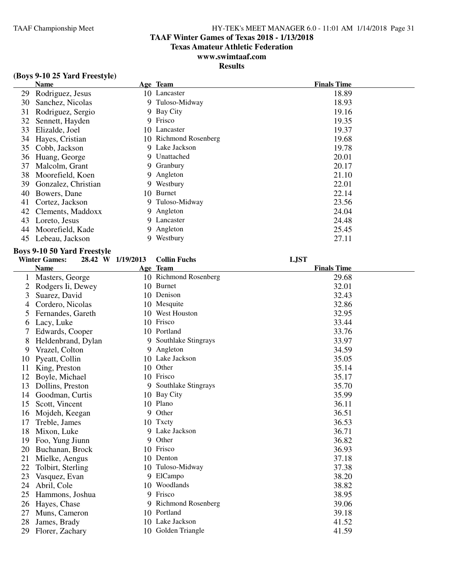### **TAAF Winter Games of Texas 2018 - 1/13/2018**

**Texas Amateur Athletic Federation**

## **www.swimtaaf.com**

### **Results**

|  |  |  |  | (Boys 9-10 25 Yard Freestyle) |  |
|--|--|--|--|-------------------------------|--|
|--|--|--|--|-------------------------------|--|

|    | Name                |    | Age Team              | <b>Finals Time</b> |
|----|---------------------|----|-----------------------|--------------------|
| 29 | Rodriguez, Jesus    |    | 10 Lancaster          | 18.89              |
| 30 | Sanchez, Nicolas    |    | 9 Tuloso-Midway       | 18.93              |
| 31 | Rodriguez, Sergio   |    | 9 Bay City            | 19.16              |
| 32 | Sennett, Hayden     |    | 9 Frisco              | 19.35              |
| 33 | Elizalde, Joel      |    | 10 Lancaster          | 19.37              |
| 34 | Hayes, Cristian     |    | 10 Richmond Rosenberg | 19.68              |
| 35 | Cobb, Jackson       |    | 9 Lake Jackson        | 19.78              |
| 36 | Huang, George       |    | 9 Unattached          | 20.01              |
| 37 | Malcolm, Grant      |    | 9 Granbury            | 20.17              |
| 38 | Moorefield, Koen    |    | 9 Angleton            | 21.10              |
| 39 | Gonzalez, Christian |    | 9 Westbury            | 22.01              |
| 40 | Bowers, Dane        |    | 10 Burnet             | 22.14              |
| 41 | Cortez, Jackson     |    | 9 Tuloso-Midway       | 23.56              |
| 42 | Clements, Maddoxx   |    | 9 Angleton            | 24.04              |
| 43 | Loreto, Jesus       |    | 9 Lancaster           | 24.48              |
| 44 | Moorefield, Kade    |    | 9 Angleton            | 25.45              |
| 45 | Lebeau, Jackson     | 9. | Westbury              | 27.11              |

#### **Boys 9-10 50 Yard Freestyle**

|    | <b>Winter Games:</b> | 28.42 W 1/19/2013 | <b>Collin Fuchs</b>       | <b>LJST</b>        |
|----|----------------------|-------------------|---------------------------|--------------------|
|    | <b>Name</b>          |                   | Age Team                  | <b>Finals Time</b> |
|    | Masters, George      |                   | 10 Richmond Rosenberg     | 29.68              |
| 2  | Rodgers Ii, Dewey    |                   | 10 Burnet                 | 32.01              |
| 3  | Suarez, David        |                   | 10 Denison                | 32.43              |
| 4  | Cordero, Nicolas     |                   | 10 Mesquite               | 32.86              |
| 5  | Fernandes, Gareth    |                   | 10 West Houston           | 32.95              |
| 6  | Lacy, Luke           |                   | 10 Frisco                 | 33.44              |
| 7  | Edwards, Cooper      | 10                | Portland                  | 33.76              |
| 8  | Heldenbrand, Dylan   | 9                 | Southlake Stingrays       | 33.97              |
| 9  | Vrazel, Colton       | 9                 | Angleton                  | 34.59              |
| 10 | Pyeatt, Collin       |                   | 10 Lake Jackson           | 35.05              |
| 11 | King, Preston        | 10                | Other                     | 35.14              |
| 12 | Boyle, Michael       |                   | 10 Frisco                 | 35.17              |
| 13 | Dollins, Preston     | 9                 | Southlake Stingrays       | 35.70              |
| 14 | Goodman, Curtis      | 10                | Bay City                  | 35.99              |
| 15 | Scott, Vincent       |                   | 10 Plano                  | 36.11              |
| 16 | Mojdeh, Keegan       | 9                 | Other                     | 36.51              |
| 17 | Treble, James        |                   | 10 Txcty                  | 36.53              |
| 18 | Mixon, Luke          |                   | 9 Lake Jackson            | 36.71              |
| 19 | Foo, Yung Jiunn      | 9                 | Other                     | 36.82              |
| 20 | Buchanan, Brock      |                   | 10 Frisco                 | 36.93              |
| 21 | Mielke, Aengus       | 10                | Denton                    | 37.18              |
| 22 | Tolbirt, Sterling    | 10                | Tuloso-Midway             | 37.38              |
| 23 | Vasquez, Evan        | 9                 | ElCampo                   | 38.20              |
| 24 | Abril, Cole          | 10                | Woodlands                 | 38.82              |
| 25 | Hammons, Joshua      |                   | 9 Frisco                  | 38.95              |
| 26 | Hayes, Chase         | 9                 | <b>Richmond Rosenberg</b> | 39.06              |
| 27 | Muns, Cameron        |                   | 10 Portland               | 39.18              |
| 28 | James, Brady         |                   | 10 Lake Jackson           | 41.52              |
| 29 | Florer, Zachary      | 10                | Golden Triangle           | 41.59              |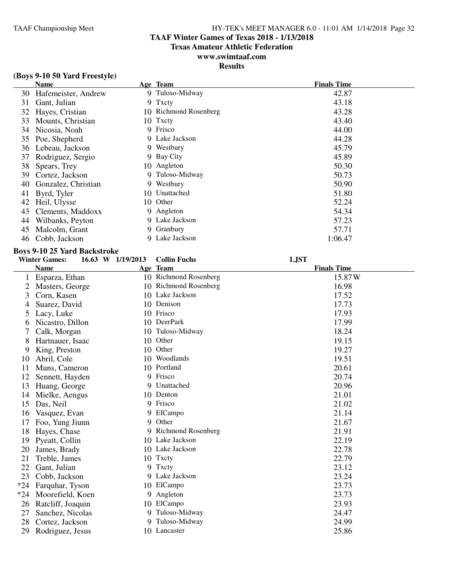#### **TAAF Winter Games of Texas 2018 - 1/13/2018**

**Texas Amateur Athletic Federation**

### **www.swimtaaf.com**

### **Results**

|    | <b>Name</b>            |     | Age Team              | <b>Finals Time</b> |
|----|------------------------|-----|-----------------------|--------------------|
|    | 30 Hafemeister, Andrew |     | 9 Tuloso-Midway       | 42.87              |
| 31 | Gant, Julian           |     | 9 Txcty               | 43.18              |
| 32 | Hayes, Cristian        |     | 10 Richmond Rosenberg | 43.28              |
| 33 | Mounts, Christian      |     | 10 Txcty              | 43.40              |
| 34 | Nicosia, Noah          | 9   | Frisco                | 44.00              |
| 35 | Poe, Shepherd          |     | 9 Lake Jackson        | 44.28              |
| 36 | Lebeau, Jackson        |     | 9 Westbury            | 45.79              |
| 37 | Rodriguez, Sergio      |     | 9 Bay City            | 45.89              |
| 38 | Spears, Trey           |     | 10 Angleton           | 50.30              |
| 39 | Cortez, Jackson        |     | 9 Tuloso-Midway       | 50.73              |
| 40 | Gonzalez, Christian    |     | 9 Westbury            | 50.90              |
| 41 | Byrd, Tyler            |     | 10 Unattached         | 51.80              |
| 42 | Heil, Ulysse           | 10. | Other                 | 52.24              |
| 43 | Clements, Maddoxx      |     | 9 Angleton            | 54.34              |
| 44 | Wilbanks, Peyton       |     | 9 Lake Jackson        | 57.23              |
| 45 | Malcolm, Grant         |     | 9 Granbury            | 57.71              |
| 46 | Cobb, Jackson          | 9   | Lake Jackson          | 1:06.47            |

#### **Boys 9-10 25 Yard Backstroke**

|       | <b>Winter Games:</b> | 16.63 W 1/19/2013 | <b>Collin Fuchs</b>   | <b>LJST</b>        |
|-------|----------------------|-------------------|-----------------------|--------------------|
|       | <b>Name</b>          |                   | Age Team              | <b>Finals Time</b> |
|       | Esparza, Ethan       |                   | 10 Richmond Rosenberg | 15.87W             |
| 2     | Masters, George      |                   | 10 Richmond Rosenberg | 16.98              |
| 3     | Corn, Kasen          |                   | 10 Lake Jackson       | 17.52              |
| 4     | Suarez, David        |                   | 10 Denison            | 17.73              |
| 5     | Lacy, Luke           |                   | 10 Frisco             | 17.93              |
| 6     | Nicastro, Dillon     |                   | 10 DeerPark           | 17.99              |
|       | Calk, Morgan         | 10                | Tuloso-Midway         | 18.24              |
| 8     | Hartnauer, Isaac     | 10                | Other                 | 19.15              |
| 9     | King, Preston        | 10                | Other                 | 19.27              |
| 10    | Abril, Cole          |                   | 10 Woodlands          | 19.51              |
| 11    | Muns, Cameron        |                   | 10 Portland           | 20.61              |
| 12    | Sennett, Hayden      | 9                 | Frisco                | 20.74              |
| 13    | Huang, George        | 9                 | Unattached            | 20.96              |
| 14    | Mielke, Aengus       |                   | 10 Denton             | 21.01              |
| 15    | Das, Neil            | 9                 | Frisco                | 21.02              |
| 16    | Vasquez, Evan        | 9                 | ElCampo               | 21.14              |
| 17    | Foo, Yung Jiunn      | 9                 | Other                 | 21.67              |
| 18    | Hayes, Chase         |                   | 9 Richmond Rosenberg  | 21.91              |
| 19    | Pyeatt, Collin       |                   | 10 Lake Jackson       | 22.19              |
| 20    | James, Brady         |                   | 10 Lake Jackson       | 22.78              |
| 21    | Treble, James        |                   | 10 Txcty              | 22.79              |
| 22    | Gant, Julian         | 9                 | Txcty                 | 23.12              |
| 23    | Cobb, Jackson        |                   | 9 Lake Jackson        | 23.24              |
| $*24$ | Farquhar, Tyson      |                   | 10 ElCampo            | 23.73              |
| $*24$ | Moorefield, Koen     | 9                 | Angleton              | 23.73              |
| 26    | Ratcliff, Joaquin    |                   | 10 ElCampo            | 23.93              |
| 27    | Sanchez, Nicolas     | 9                 | Tuloso-Midway         | 24.47              |
| 28    | Cortez, Jackson      | 9                 | Tuloso-Midway         | 24.99              |
| 29    | Rodriguez, Jesus     |                   | 10 Lancaster          | 25.86              |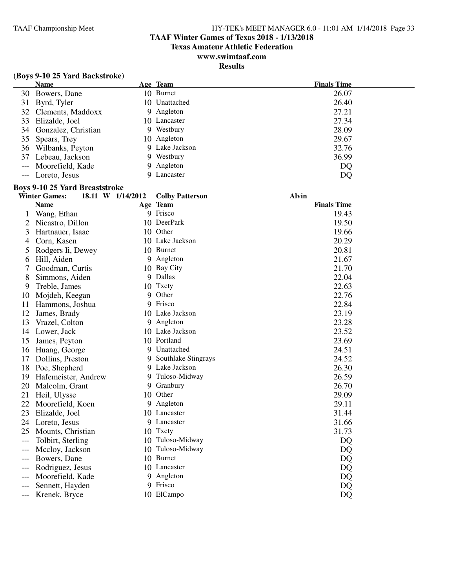### **TAAF Winter Games of Texas 2018 - 1/13/2018**

**Texas Amateur Athletic Federation**

### **www.swimtaaf.com**

### **Results**

| <b>Name</b>            | Age Team       | <b>Finals Time</b> |
|------------------------|----------------|--------------------|
| 30 Bowers, Dane        | 10 Burnet      | 26.07              |
| 31 Byrd, Tyler         | 10 Unattached  | 26.40              |
| 32 Clements, Maddoxx   | 9 Angleton     | 27.21              |
| 33 Elizalde, Joel      | 10 Lancaster   | 27.34              |
| 34 Gonzalez, Christian | 9 Westbury     | 28.09              |
| 35 Spears, Trey        | 10 Angleton    | 29.67              |
| 36 Wilbanks, Peyton    | 9 Lake Jackson | 32.76              |
| 37 Lebeau, Jackson     | 9 Westbury     | 36.99              |
| --- Moorefield, Kade   | 9 Angleton     | DQ                 |
| --- Loreto, Jesus      | 9 Lancaster    | DQ                 |

#### **Boys 9-10 25 Yard Breaststroke**

|       | <b>Winter Games:</b> | 18.11 W 1/14/2012 | <b>Colby Patterson</b> | <b>Alvin</b>       |
|-------|----------------------|-------------------|------------------------|--------------------|
|       | <b>Name</b>          |                   | Age Team               | <b>Finals Time</b> |
| 1     | Wang, Ethan          |                   | 9 Frisco               | 19.43              |
|       | Nicastro, Dillon     |                   | 10 DeerPark            | 19.50              |
| 3     | Hartnauer, Isaac     |                   | 10 Other               | 19.66              |
| 4     | Corn, Kasen          |                   | 10 Lake Jackson        | 20.29              |
| 5     | Rodgers Ii, Dewey    |                   | 10 Burnet              | 20.81              |
| 6     | Hill, Aiden          |                   | 9 Angleton             | 21.67              |
|       | Goodman, Curtis      |                   | 10 Bay City            | 21.70              |
| 8     | Simmons, Aiden       |                   | 9 Dallas               | 22.04              |
| 9     | Treble, James        |                   | 10 Txcty               | 22.63              |
| 10    | Mojdeh, Keegan       | 9                 | Other                  | 22.76              |
| 11    | Hammons, Joshua      | 9                 | Frisco                 | 22.84              |
| 12    | James, Brady         |                   | 10 Lake Jackson        | 23.19              |
| 13    | Vrazel, Colton       |                   | 9 Angleton             | 23.28              |
| 14    | Lower, Jack          |                   | 10 Lake Jackson        | 23.52              |
| 15    | James, Peyton        |                   | 10 Portland            | 23.69              |
| 16    | Huang, George        |                   | 9 Unattached           | 24.51              |
| 17    | Dollins, Preston     |                   | 9 Southlake Stingrays  | 24.52              |
| 18    | Poe, Shepherd        |                   | 9 Lake Jackson         | 26.30              |
| 19    | Hafemeister, Andrew  |                   | 9 Tuloso-Midway        | 26.59              |
| 20    | Malcolm, Grant       |                   | 9 Granbury             | 26.70              |
| 21    | Heil, Ulysse         |                   | 10 Other               | 29.09              |
| 22    | Moorefield, Koen     |                   | 9 Angleton             | 29.11              |
| 23    | Elizalde, Joel       |                   | 10 Lancaster           | 31.44              |
| 24    | Loreto, Jesus        |                   | 9 Lancaster            | 31.66              |
| 25    | Mounts, Christian    |                   | 10 Txcty               | 31.73              |
| $---$ | Tolbirt, Sterling    |                   | 10 Tuloso-Midway       | DQ                 |
| $---$ | Mccloy, Jackson      | 10                | Tuloso-Midway          | DQ                 |
|       | Bowers, Dane         |                   | 10 Burnet              | DQ                 |
|       | Rodriguez, Jesus     |                   | 10 Lancaster           | DQ                 |
| $---$ | Moorefield, Kade     |                   | 9 Angleton             | DQ                 |
| ---   | Sennett, Hayden      | 9                 | Frisco                 | DQ                 |
| ---   | Krenek, Bryce        |                   | 10 ElCampo             | DQ                 |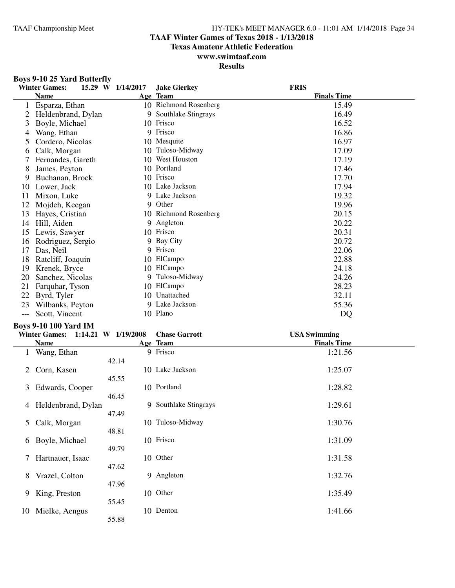### **TAAF Winter Games of Texas 2018 - 1/13/2018**

**Texas Amateur Athletic Federation**

#### **www.swimtaaf.com Results**

### **Boys 9-10 25 Yard Butterfly**

|     | <b>Winter Games:</b> | 15.29 W 1/14/2017 | <b>Jake Gierkey</b>   | <b>FRIS</b>        |
|-----|----------------------|-------------------|-----------------------|--------------------|
|     | <b>Name</b>          |                   | Age Team              | <b>Finals Time</b> |
|     | Esparza, Ethan       |                   | 10 Richmond Rosenberg | 15.49              |
|     | Heldenbrand, Dylan   |                   | 9 Southlake Stingrays | 16.49              |
| 3   | Boyle, Michael       | 10                | Frisco                | 16.52              |
| 4   | Wang, Ethan          |                   | 9 Frisco              | 16.86              |
| 5   | Cordero, Nicolas     |                   | 10 Mesquite           | 16.97              |
| 6   | Calk, Morgan         | 10                | Tuloso-Midway         | 17.09              |
|     | Fernandes, Gareth    | 10                | <b>West Houston</b>   | 17.19              |
| 8   | James, Peyton        | 10                | Portland              | 17.46              |
| 9   | Buchanan, Brock      |                   | 10 Frisco             | 17.70              |
| 10  | Lower, Jack          |                   | 10 Lake Jackson       | 17.94              |
| 11  | Mixon, Luke          |                   | 9 Lake Jackson        | 19.32              |
| 12  | Mojdeh, Keegan       | 9                 | Other                 | 19.96              |
| 13  | Hayes, Cristian      |                   | 10 Richmond Rosenberg | 20.15              |
| 14  | Hill, Aiden          | 9                 | Angleton              | 20.22              |
| 15  | Lewis, Sawyer        | 10                | Frisco                | 20.31              |
| 16  | Rodriguez, Sergio    |                   | 9 Bay City            | 20.72              |
| 17  | Das, Neil            |                   | 9 Frisco              | 22.06              |
| 18  | Ratcliff, Joaquin    |                   | 10 ElCampo            | 22.88              |
| 19  | Krenek, Bryce        | 10.               | ElCampo               | 24.18              |
| 20  | Sanchez, Nicolas     |                   | 9 Tuloso-Midway       | 24.26              |
| 21  | Farquhar, Tyson      | 10                | ElCampo               | 28.23              |
| 22  | Byrd, Tyler          | 10.               | Unattached            | 32.11              |
| 23  | Wilbanks, Peyton     |                   | 9 Lake Jackson        | 55.36              |
| --- | Scott, Vincent       |                   | 10 Plano              | DQ                 |

### **Boys 9-10 100 Yard IM**

|    | DOVS 9-10 IOU TAFU INI |                     |                       |                     |  |  |
|----|------------------------|---------------------|-----------------------|---------------------|--|--|
|    | <b>Winter Games:</b>   | 1:14.21 W 1/19/2008 | <b>Chase Garrott</b>  | <b>USA Swimming</b> |  |  |
|    | <b>Name</b>            |                     | Age Team              | <b>Finals Time</b>  |  |  |
|    | Wang, Ethan            |                     | 9 Frisco              | 1:21.56             |  |  |
| 2  | Corn, Kasen            | 42.14<br>45.55      | 10 Lake Jackson       | 1:25.07             |  |  |
| 3  | Edwards, Cooper        | 46.45               | 10 Portland           | 1:28.82             |  |  |
| 4  | Heldenbrand, Dylan     | 47.49               | 9 Southlake Stingrays | 1:29.61             |  |  |
| 5  | Calk, Morgan           | 48.81               | 10 Tuloso-Midway      | 1:30.76             |  |  |
| 6  | Boyle, Michael         | 49.79               | 10 Frisco             | 1:31.09             |  |  |
| 7  | Hartnauer, Isaac       | 47.62               | 10 Other              | 1:31.58             |  |  |
| 8  | Vrazel, Colton         | 47.96               | 9 Angleton            | 1:32.76             |  |  |
| 9  | King, Preston          | 55.45               | 10 Other              | 1:35.49             |  |  |
| 10 | Mielke, Aengus         | 55.88               | 10 Denton             | 1:41.66             |  |  |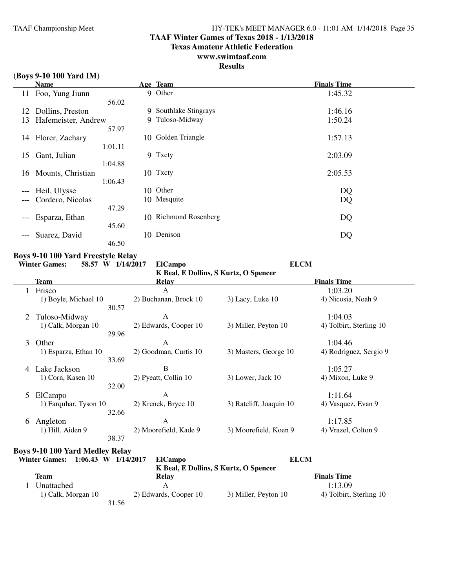### **TAAF Winter Games of Texas 2018 - 1/13/2018**

**Texas Amateur Athletic Federation**

### **www.swimtaaf.com**

### **Results**

#### **(Boys 9-10 100 Yard IM)**

|       | <b>Name</b>          |         | Age Team              | <b>Finals Time</b> |
|-------|----------------------|---------|-----------------------|--------------------|
|       | 11 Foo, Yung Jiunn   |         | 9 Other               | 1:45.32            |
|       |                      | 56.02   |                       |                    |
| 12    | Dollins, Preston     |         | 9 Southlake Stingrays | 1:46.16            |
| 13    | Hafemeister, Andrew  |         | 9 Tuloso-Midway       | 1:50.24            |
|       |                      | 57.97   |                       |                    |
|       | 14 Florer, Zachary   |         | 10 Golden Triangle    | 1:57.13            |
|       |                      | 1:01.11 |                       |                    |
| 15    | Gant, Julian         |         | 9 Txcty               | 2:03.09            |
|       |                      | 1:04.88 |                       |                    |
|       | 16 Mounts, Christian |         | 10 Txcty              | 2:05.53            |
|       |                      | 1:06.43 |                       |                    |
| $---$ | Heil, Ulysse         |         | 10 Other              | DQ                 |
| $---$ | Cordero, Nicolas     |         | 10 Mesquite           | DQ                 |
|       |                      | 47.29   |                       |                    |
| $--$  | Esparza, Ethan       |         | 10 Richmond Rosenberg | DQ                 |
|       |                      | 45.60   |                       |                    |
| ---   | Suarez, David        |         | 10 Denison            | DQ                 |
|       |                      | 46.50   |                       |                    |

# **Boys 9-10 100 Yard Freestyle Relay**<br>Winter Games: 58.57 W 1/14/20

**Winter Games: 58.57 W 1/14/2017 ElCampo ELCM**

| K Beal, E Dollins, S Kurtz, O Spencer |       |                       |                         |                         |  |  |  |
|---------------------------------------|-------|-----------------------|-------------------------|-------------------------|--|--|--|
| Team                                  |       | Relay                 |                         | <b>Finals Time</b>      |  |  |  |
| Frisco                                |       | A                     |                         | 1:03.20                 |  |  |  |
| 1) Boyle, Michael 10                  |       | 2) Buchanan, Brock 10 | $3)$ Lacy, Luke 10      | 4) Nicosia, Noah 9      |  |  |  |
|                                       | 30.57 |                       |                         |                         |  |  |  |
| Tuloso-Midway<br>2                    |       | A                     |                         | 1:04.03                 |  |  |  |
| 1) Calk, Morgan 10                    |       | 2) Edwards, Cooper 10 | 3) Miller, Peyton 10    | 4) Tolbirt, Sterling 10 |  |  |  |
|                                       | 29.96 |                       |                         |                         |  |  |  |
| 3<br>Other                            |       | A                     |                         | 1:04.46                 |  |  |  |
| 1) Esparza, Ethan 10                  |       | 2) Goodman, Curtis 10 | 3) Masters, George 10   | 4) Rodriguez, Sergio 9  |  |  |  |
|                                       | 33.69 |                       |                         |                         |  |  |  |
| Lake Jackson<br>4                     |       | В                     |                         | 1:05.27                 |  |  |  |
| 1) Corn, Kasen 10                     |       | 2) Pyeatt, Collin 10  | 3) Lower, Jack 10       | 4) Mixon, Luke 9        |  |  |  |
|                                       | 32.00 |                       |                         |                         |  |  |  |
| ElCampo<br>5                          |       | A                     |                         | 1:11.64                 |  |  |  |
| 1) Farquhar, Tyson 10                 |       | 2) Krenek, Bryce 10   | 3) Ratcliff, Joaquin 10 | 4) Vasquez, Evan 9      |  |  |  |
|                                       | 32.66 |                       |                         |                         |  |  |  |
| Angleton<br>6                         |       | A                     |                         | 1:17.85                 |  |  |  |
| 1) Hill, Aiden 9                      |       | 2) Moorefield, Kade 9 | 3) Moorefield, Koen 9   | 4) Vrazel, Colton 9     |  |  |  |
|                                       | 38.37 |                       |                         |                         |  |  |  |

#### **Boys 9-10 100 Yard Medley Relay**

| <b>Winter Games:</b> | $1:06.43$ W $1/14/2017$ | <b>ElCampo</b>        |                                       | <b>ELCM</b>             |  |
|----------------------|-------------------------|-----------------------|---------------------------------------|-------------------------|--|
|                      |                         |                       | K Beal, E Dollins, S Kurtz, O Spencer |                         |  |
| Team                 |                         | <b>Relay</b>          |                                       | <b>Finals Time</b>      |  |
| Unattached           |                         |                       |                                       | 1:13.09                 |  |
|                      | 1) Calk, Morgan 10      | 2) Edwards, Cooper 10 | 3) Miller, Peyton 10                  | 4) Tolbirt, Sterling 10 |  |
|                      |                         | 31.56                 |                                       |                         |  |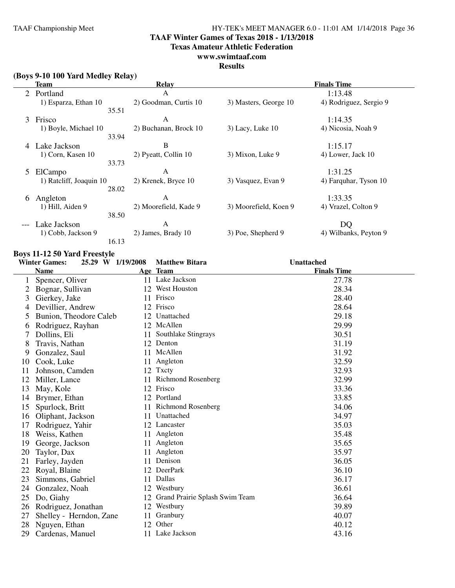### **TAAF Winter Games of Texas 2018 - 1/13/2018**

**Texas Amateur Athletic Federation**

#### **www.swimtaaf.com**

#### **Results**

| (Boys 9-10 100 Yard Medley Relay) |  |  |  |  |
|-----------------------------------|--|--|--|--|
|-----------------------------------|--|--|--|--|

| Team          |                         | <b>Relay</b>          |                       | <b>Finals Time</b>     |  |  |
|---------------|-------------------------|-----------------------|-----------------------|------------------------|--|--|
| Portland<br>2 |                         | A                     |                       | 1:13.48                |  |  |
|               | 1) Esparza, Ethan 10    | 2) Goodman, Curtis 10 | 3) Masters, George 10 | 4) Rodriguez, Sergio 9 |  |  |
|               | 35.51                   |                       |                       |                        |  |  |
| 3             | Frisco                  | A                     |                       | 1:14.35                |  |  |
|               | 1) Boyle, Michael 10    | 2) Buchanan, Brock 10 | $3)$ Lacy, Luke 10    | 4) Nicosia, Noah 9     |  |  |
|               | 33.94                   |                       |                       |                        |  |  |
| 4             | Lake Jackson            | B                     |                       | 1:15.17                |  |  |
|               | 1) Corn, Kasen 10       | 2) Pyeatt, Collin 10  | 3) Mixon, Luke 9      | 4) Lower, Jack 10      |  |  |
|               | 33.73                   |                       |                       |                        |  |  |
| 5             | ElCampo                 | A                     |                       | 1:31.25                |  |  |
|               | 1) Ratcliff, Joaquin 10 | 2) Krenek, Bryce 10   | 3) Vasquez, Evan 9    | 4) Farquhar, Tyson 10  |  |  |
|               | 28.02                   |                       |                       |                        |  |  |
| 6             | Angleton                | A                     |                       | 1:33.35                |  |  |
|               | 1) Hill, Aiden 9        | 2) Moorefield, Kade 9 | 3) Moorefield, Koen 9 | 4) Vrazel, Colton 9    |  |  |
|               | 38.50                   |                       |                       |                        |  |  |
|               | Lake Jackson            | A                     |                       | DQ                     |  |  |
|               | 1) Cobb, Jackson 9      | 2) James, Brady 10    | 3) Poe, Shepherd 9    | 4) Wilbanks, Peyton 9  |  |  |
|               | 16.13                   |                       |                       |                        |  |  |

#### **Boys 11-12 50 Yard Freestyle**

|    | <b>Winter Games:</b><br>25.29 W 1/19/2008 |    | <b>Matthew Bitara</b>          | <b>Unattached</b>  |
|----|-------------------------------------------|----|--------------------------------|--------------------|
|    | <b>Name</b>                               |    | Age Team                       | <b>Finals Time</b> |
| 1  | Spencer, Oliver                           |    | 11 Lake Jackson                | 27.78              |
| 2  | Bognar, Sullivan                          |    | 12 West Houston                | 28.34              |
| 3  | Gierkey, Jake                             |    | 11 Frisco                      | 28.40              |
| 4  | Devillier, Andrew                         |    | 12 Frisco                      | 28.64              |
| 5  | Bunion, Theodore Caleb                    |    | 12 Unattached                  | 29.18              |
| 6  | Rodriguez, Rayhan                         |    | 12 McAllen                     | 29.99              |
| 7  | Dollins, Eli                              | 11 | Southlake Stingrays            | 30.51              |
| 8  | Travis, Nathan                            |    | 12 Denton                      | 31.19              |
| 9  | Gonzalez, Saul                            |    | 11 McAllen                     | 31.92              |
| 10 | Cook, Luke                                | 11 | Angleton                       | 32.59              |
| 11 | Johnson, Camden                           |    | 12 Txcty                       | 32.93              |
| 12 | Miller, Lance                             | 11 | <b>Richmond Rosenberg</b>      | 32.99              |
| 13 | May, Kole                                 |    | 12 Frisco                      | 33.36              |
| 14 | Brymer, Ethan                             |    | 12 Portland                    | 33.85              |
| 15 | Spurlock, Britt                           |    | 11 Richmond Rosenberg          | 34.06              |
| 16 | Oliphant, Jackson                         | 11 | Unattached                     | 34.97              |
| 17 | Rodriguez, Yahir                          |    | 12 Lancaster                   | 35.03              |
| 18 | Weiss, Kathen                             |    | 11 Angleton                    | 35.48              |
| 19 | George, Jackson                           |    | 11 Angleton                    | 35.65              |
| 20 | Taylor, Dax                               | 11 | Angleton                       | 35.97              |
| 21 | Farley, Jayden                            | 11 | Denison                        | 36.05              |
| 22 | Royal, Blaine                             | 12 | DeerPark                       | 36.10              |
| 23 | Simmons, Gabriel                          | 11 | Dallas                         | 36.17              |
| 24 | Gonzalez, Noah                            |    | 12 Westbury                    | 36.61              |
| 25 | Do, Giahy                                 | 12 | Grand Prairie Splash Swim Team | 36.64              |
| 26 | Rodriguez, Jonathan                       | 12 | Westbury                       | 39.89              |
| 27 | Shelley - Herndon, Zane                   | 11 | Granbury                       | 40.07              |
| 28 | Nguyen, Ethan                             | 12 | Other                          | 40.12              |
| 29 | Cardenas, Manuel                          |    | 11 Lake Jackson                | 43.16              |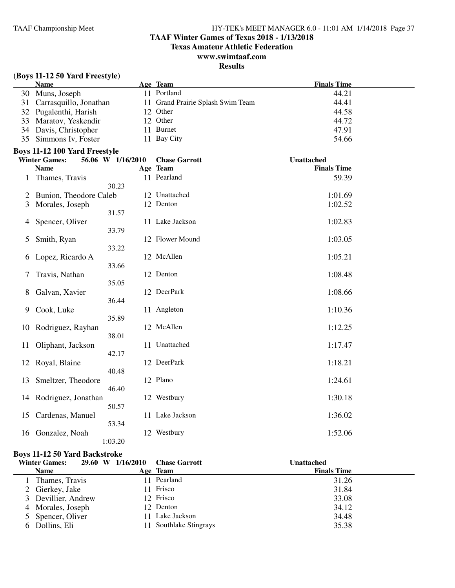### **TAAF Winter Games of Texas 2018 - 1/13/2018**

**Texas Amateur Athletic Federation**

### **www.swimtaaf.com**

### **Results**

### **(Boys 11-12 50 Yard Freestyle)**

| <b>Name</b>               | Age Team                          | <b>Finals Time</b> |
|---------------------------|-----------------------------------|--------------------|
| 30 Muns, Joseph           | 11 Portland                       | 44.21              |
| 31 Carrasquillo, Jonathan | 11 Grand Prairie Splash Swim Team | 44.41              |
| 32 Pugalenthi, Harish     | 12 Other                          | 44.58              |
| 33 Maratov, Yeskendir     | 12 Other                          | 44.72              |
| 34 Davis, Christopher     | 11 Burnet                         | 47.91              |
| 35 Simmons Iv, Foster     | 11 Bay City                       | 54.66              |

#### **Boys 11-12 100 Yard Freestyle**

|    | <b>Winter Games:</b>   | 56.06 W 1/16/2010 | <b>Chase Garrott</b> | <b>Unattached</b>  |
|----|------------------------|-------------------|----------------------|--------------------|
|    | <b>Name</b>            |                   | Age Team             | <b>Finals Time</b> |
|    | Thames, Travis         |                   | 11 Pearland          | 59.39              |
|    |                        | 30.23             |                      |                    |
| 2  | Bunion, Theodore Caleb |                   | 12 Unattached        | 1:01.69            |
| 3  | Morales, Joseph        |                   | 12 Denton            | 1:02.52            |
|    |                        | 31.57             |                      |                    |
| 4  | Spencer, Oliver        |                   | 11 Lake Jackson      | 1:02.83            |
|    |                        | 33.79             |                      |                    |
| 5  | Smith, Ryan            |                   | 12 Flower Mound      | 1:03.05            |
|    |                        | 33.22             |                      |                    |
| 6  | Lopez, Ricardo A       |                   | 12 McAllen           | 1:05.21            |
|    |                        | 33.66             |                      |                    |
|    |                        |                   |                      |                    |
| 7  | Travis, Nathan         |                   | 12 Denton            | 1:08.48            |
|    |                        | 35.05             |                      |                    |
| 8  | Galvan, Xavier         |                   | 12 DeerPark          | 1:08.66            |
|    |                        | 36.44             |                      |                    |
| 9  | Cook, Luke             |                   | 11 Angleton          | 1:10.36            |
|    |                        | 35.89             |                      |                    |
| 10 | Rodriguez, Rayhan      |                   | 12 McAllen           | 1:12.25            |
|    |                        | 38.01             |                      |                    |
| 11 | Oliphant, Jackson      |                   | 11 Unattached        | 1:17.47            |
|    |                        | 42.17             |                      |                    |
|    | 12 Royal, Blaine       |                   | 12 DeerPark          | 1:18.21            |
|    |                        | 40.48             |                      |                    |
| 13 | Smeltzer, Theodore     |                   | 12 Plano             | 1:24.61            |
|    |                        | 46.40             |                      |                    |
| 14 | Rodriguez, Jonathan    |                   | 12 Westbury          | 1:30.18            |
|    |                        | 50.57             |                      |                    |
|    |                        |                   | 11 Lake Jackson      |                    |
| 15 | Cardenas, Manuel       |                   |                      | 1:36.02            |
|    |                        | 53.34             |                      |                    |
| 16 | Gonzalez, Noah         |                   | 12 Westbury          | 1:52.06            |
|    |                        | 1:03.20           |                      |                    |

### **Boys 11-12 50 Yard Backstroke**

| <b>Winter Games:</b> | 29.60 W 1/16/2010 | <b>Chase Garrott</b>   | Unattached         |
|----------------------|-------------------|------------------------|--------------------|
| <b>Name</b>          |                   | Age Team               | <b>Finals Time</b> |
| Thames, Travis       |                   | Pearland               | 31.26              |
| 2 Gierkey, Jake      |                   | Frisco                 | 31.84              |
| 3 Devillier, Andrew  |                   | 12 Frisco              | 33.08              |
| 4 Morales, Joseph    |                   | 12 Denton              | 34.12              |
| 5 Spencer, Oliver    |                   | 11 Lake Jackson        | 34.48              |
| 6 Dollins, Eli       |                   | 11 Southlake Stingrays | 35.38              |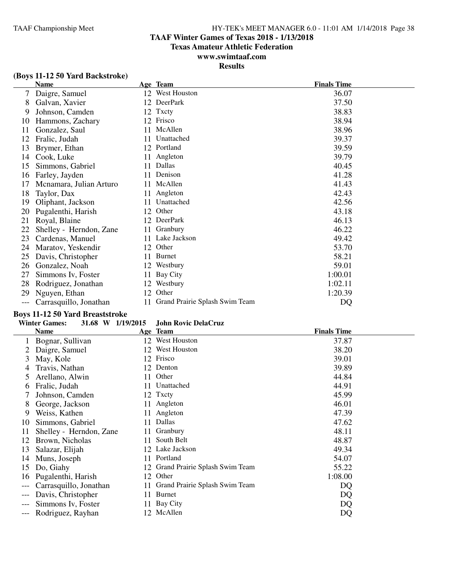### **TAAF Winter Games of Texas 2018 - 1/13/2018**

**Texas Amateur Athletic Federation**

### **www.swimtaaf.com**

### **Results**

|  |  |  | (Boys 11-12 50 Yard Backstroke) |
|--|--|--|---------------------------------|
|--|--|--|---------------------------------|

|    | <b>Name</b>             |    | Age Team                       | <b>Finals Time</b> |
|----|-------------------------|----|--------------------------------|--------------------|
| 7  | Daigre, Samuel          |    | 12 West Houston                | 36.07              |
| 8  | Galvan, Xavier          | 12 | DeerPark                       | 37.50              |
| 9  | Johnson, Camden         | 12 | Txcty                          | 38.83              |
| 10 | Hammons, Zachary        | 12 | Frisco                         | 38.94              |
| 11 | Gonzalez, Saul          | 11 | McAllen                        | 38.96              |
| 12 | Fralic, Judah           | 11 | Unattached                     | 39.37              |
| 13 | Brymer, Ethan           | 12 | Portland                       | 39.59              |
| 14 | Cook, Luke              |    | Angleton                       | 39.79              |
| 15 | Simmons, Gabriel        | 11 | Dallas                         | 40.45              |
| 16 | Farley, Jayden          | 11 | Denison                        | 41.28              |
| 17 | Mcnamara, Julian Arturo | 11 | McAllen                        | 41.43              |
| 18 | Taylor, Dax             | 11 | Angleton                       | 42.43              |
| 19 | Oliphant, Jackson       | 11 | Unattached                     | 42.56              |
| 20 | Pugalenthi, Harish      | 12 | Other                          | 43.18              |
| 21 | Royal, Blaine           | 12 | DeerPark                       | 46.13              |
| 22 | Shelley - Herndon, Zane | 11 | Granbury                       | 46.22              |
| 23 | Cardenas, Manuel        | 11 | Lake Jackson                   | 49.42              |
| 24 | Maratov, Yeskendir      | 12 | Other                          | 53.70              |
| 25 | Davis, Christopher      | 11 | <b>Burnet</b>                  | 58.21              |
| 26 | Gonzalez, Noah          | 12 | Westbury                       | 59.01              |
| 27 | Simmons Iv, Foster      | 11 | Bay City                       | 1:00.01            |
| 28 | Rodriguez, Jonathan     | 12 | Westbury                       | 1:02.11            |
| 29 | Nguyen, Ethan           |    | 12 Other                       | 1:20.39            |
|    | Carrasquillo, Jonathan  | 11 | Grand Prairie Splash Swim Team | DQ                 |

#### **Boys 11-12 50 Yard Breaststroke**

#### **Winter Games: 31.68 W 1/19/2015 John Rovic DelaCruz**

|     | Name                    |     | Age Team                       | <b>Finals Time</b> |
|-----|-------------------------|-----|--------------------------------|--------------------|
|     | Bognar, Sullivan        |     | 12 West Houston                | 37.87              |
|     | Daigre, Samuel          | 12  | West Houston                   | 38.20              |
| 3   | May, Kole               | 12  | Frisco                         | 39.01              |
| 4   | Travis, Nathan          |     | 12 Denton                      | 39.89              |
|     | Arellano, Alwin         | 11  | Other                          | 44.84              |
| 6   | Fralic, Judah           | 11  | Unattached                     | 44.91              |
|     | Johnson, Camden         |     | 12 Txcty                       | 45.99              |
| 8   | George, Jackson         | 11  | Angleton                       | 46.01              |
| 9   | Weiss, Kathen           |     | 11 Angleton                    | 47.39              |
| 10  | Simmons, Gabriel        | 11  | Dallas                         | 47.62              |
| 11  | Shelley - Herndon, Zane | 11  | Granbury                       | 48.11              |
| 12  | Brown, Nicholas         | 11  | South Belt                     | 48.87              |
| 13  | Salazar, Elijah         |     | 12 Lake Jackson                | 49.34              |
| 14  | Muns, Joseph            | 11. | Portland                       | 54.07              |
| 15  | Do, Giahy               | 12  | Grand Prairie Splash Swim Team | 55.22              |
| 16  | Pugalenthi, Harish      | 12  | Other                          | 1:08.00            |
|     | Carrasquillo, Jonathan  | 11  | Grand Prairie Splash Swim Team | DQ                 |
| --- | Davis, Christopher      | 11  | Burnet                         | DQ                 |
| --- | Simmons Iv, Foster      |     | 11 Bay City                    | DQ                 |
| --- | Rodriguez, Rayhan       |     | 12 McAllen                     | DQ                 |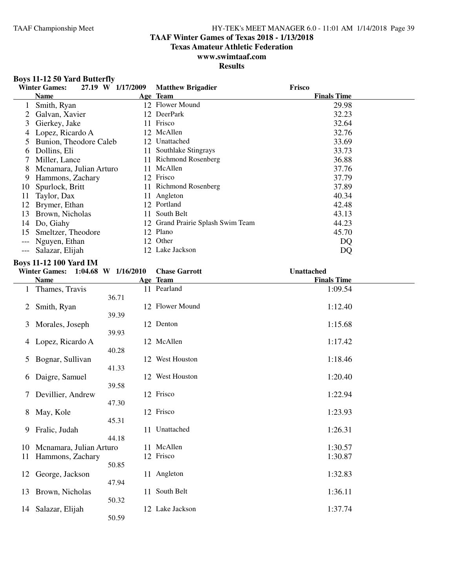### **TAAF Winter Games of Texas 2018 - 1/13/2018**

**Texas Amateur Athletic Federation**

#### **www.swimtaaf.com Results**

#### **Boys 11-12 50 Yard Butterfly**

|              | 27.19 W 1/17/2009<br><b>Winter Games:</b> |     | <b>Matthew Brigadier</b>          | Frisco             |
|--------------|-------------------------------------------|-----|-----------------------------------|--------------------|
|              | <b>Name</b>                               |     | Age Team                          | <b>Finals Time</b> |
|              | Smith, Ryan                               |     | 12 Flower Mound                   | 29.98              |
|              | Galvan, Xavier                            |     | 12 DeerPark                       | 32.23              |
| 3            | Gierkey, Jake                             |     | 11 Frisco                         | 32.64              |
| 4            | Lopez, Ricardo A                          |     | 12 McAllen                        | 32.76              |
|              | Bunion, Theodore Caleb                    |     | 12 Unattached                     | 33.69              |
| <sub>0</sub> | Dollins, Eli                              |     | 11 Southlake Stingrays            | 33.73              |
|              | Miller, Lance                             |     | 11 Richmond Rosenberg             | 36.88              |
| 8            | Menamara, Julian Arturo                   | 11. | McAllen                           | 37.76              |
| 9            | Hammons, Zachary                          | 12  | Frisco                            | 37.79              |
| 10           | Spurlock, Britt                           |     | 11 Richmond Rosenberg             | 37.89              |
| 11           | Taylor, Dax                               | 11. | Angleton                          | 40.34              |
| 12           | Brymer, Ethan                             | 12. | Portland                          | 42.48              |
| 13           | Brown, Nicholas                           | 11  | South Belt                        | 43.13              |
| 14           | Do, Giahy                                 |     | 12 Grand Prairie Splash Swim Team | 44.23              |
| 15           | Smeltzer, Theodore                        |     | 12 Plano                          | 45.70              |
|              | Nguyen, Ethan                             |     | 12 Other                          | DQ                 |
|              | Salazar, Elijah                           | 12  | Lake Jackson                      | DQ                 |

### **Boys 11-12 100 Yard IM**

|    | <b>Boys 11-12 100 Yard IM</b> |                     |                      |                    |  |  |
|----|-------------------------------|---------------------|----------------------|--------------------|--|--|
|    | <b>Winter Games:</b>          | 1:04.68 W 1/16/2010 | <b>Chase Garrott</b> | <b>Unattached</b>  |  |  |
|    | <b>Name</b>                   |                     | Age Team             | <b>Finals Time</b> |  |  |
| 1  | Thames, Travis                |                     | 11 Pearland          | 1:09.54            |  |  |
|    |                               | 36.71               |                      |                    |  |  |
| 2  | Smith, Ryan                   |                     | 12 Flower Mound      | 1:12.40            |  |  |
|    |                               | 39.39               |                      |                    |  |  |
| 3  | Morales, Joseph               |                     | 12 Denton            | 1:15.68            |  |  |
|    |                               | 39.93               |                      |                    |  |  |
| 4  | Lopez, Ricardo A              |                     | 12 McAllen           | 1:17.42            |  |  |
|    |                               | 40.28               |                      |                    |  |  |
| 5  | Bognar, Sullivan              |                     | 12 West Houston      | 1:18.46            |  |  |
|    |                               | 41.33               |                      |                    |  |  |
| 6  | Daigre, Samuel                |                     | 12 West Houston      | 1:20.40            |  |  |
|    |                               | 39.58               |                      |                    |  |  |
| 7  | Devillier, Andrew             |                     | 12 Frisco            | 1:22.94            |  |  |
|    |                               | 47.30               |                      |                    |  |  |
| 8  | May, Kole                     |                     | 12 Frisco            | 1:23.93            |  |  |
|    |                               | 45.31               |                      |                    |  |  |
| 9  | Fralic, Judah                 |                     | 11 Unattached        | 1:26.31            |  |  |
|    |                               | 44.18               |                      |                    |  |  |
| 10 | Mcnamara, Julian Arturo       | 11                  | McAllen              | 1:30.57            |  |  |
| 11 | Hammons, Zachary              |                     | 12 Frisco            | 1:30.87            |  |  |
|    |                               | 50.85               |                      |                    |  |  |
| 12 | George, Jackson               |                     | 11 Angleton          | 1:32.83            |  |  |
|    |                               | 47.94               |                      |                    |  |  |
| 13 | Brown, Nicholas               | 11                  | South Belt           | 1:36.11            |  |  |
|    |                               | 50.32               |                      |                    |  |  |
| 14 | Salazar, Elijah               |                     | 12 Lake Jackson      | 1:37.74            |  |  |
|    |                               | 50.59               |                      |                    |  |  |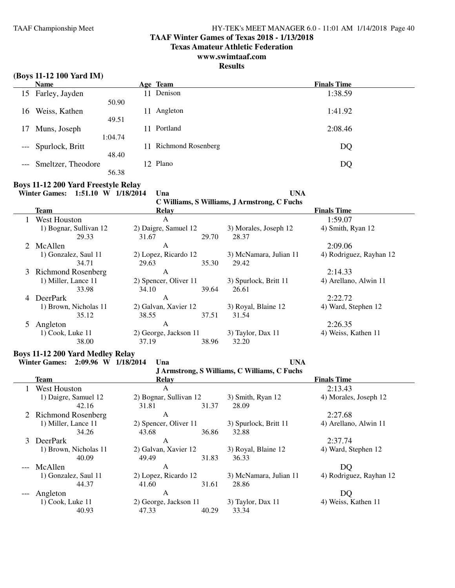#### **TAAF Winter Games of Texas 2018 - 1/13/2018**

**Texas Amateur Athletic Federation**

### **www.swimtaaf.com**

### **Results**

|  | (Boys 11-12 100 Yard IM) |  |  |  |
|--|--------------------------|--|--|--|
|--|--------------------------|--|--|--|

|       | <b>Name</b>         |              | Age Team                  | <b>Finals Time</b> |  |
|-------|---------------------|--------------|---------------------------|--------------------|--|
|       | 15 Farley, Jayden   | $\mathbf{1}$ | Denison                   | 1:38.59            |  |
|       |                     | 50.90        |                           |                    |  |
| 16    | Weiss, Kathen       | 11           | Angleton                  | 1:41.92            |  |
|       |                     | 49.51        |                           |                    |  |
| 17    | Muns, Joseph        | -1           | Portland                  | 2:08.46            |  |
|       |                     | 1:04.74      |                           |                    |  |
|       | --- Spurlock, Britt |              | <b>Richmond Rosenberg</b> | DQ                 |  |
|       |                     | 48.40        |                           |                    |  |
| $---$ | Smeltzer, Theodore  |              | 12 Plano                  | DQ                 |  |
|       |                     | 56.38        |                           |                    |  |

### **Boys 11-12 200 Yard Freestyle Relay**

**Winter Games: 1:51.10 W 1/18/2014 Una UNA**

**C Williams, S Williams, J Armstrong, C Fuchs**

|             | <b>Team</b>            | Relay                 |       |                        | <b>Finals Time</b>      |
|-------------|------------------------|-----------------------|-------|------------------------|-------------------------|
|             | West Houston           | A                     |       |                        | 1:59.07                 |
|             | 1) Bognar, Sullivan 12 | 2) Daigre, Samuel 12  |       | 3) Morales, Joseph 12  | 4) Smith, Ryan 12       |
|             | 29.33                  | 31.67                 | 29.70 | 28.37                  |                         |
| $2^{\circ}$ | McAllen                | A                     |       |                        | 2:09.06                 |
|             | 1) Gonzalez, Saul 11   | 2) Lopez, Ricardo 12  |       | 3) McNamara, Julian 11 | 4) Rodriguez, Rayhan 12 |
|             | 34.71                  | 29.63                 | 35.30 | 29.42                  |                         |
|             | 3 Richmond Rosenberg   | A                     |       |                        | 2:14.33                 |
|             | 1) Miller, Lance 11    | 2) Spencer, Oliver 11 |       | 3) Spurlock, Britt 11  | 4) Arellano, Alwin 11   |
|             | 33.98                  | 34.10                 | 39.64 | 26.61                  |                         |
| 4           | <b>DeerPark</b>        | A                     |       |                        | 2:22.72                 |
|             | 1) Brown, Nicholas 11  | 2) Galvan, Xavier 12  |       | 3) Royal, Blaine 12    | 4) Ward, Stephen 12     |
|             | 35.12                  | 38.55                 | 37.51 | 31.54                  |                         |
|             | Angleton               | A                     |       |                        | 2:26.35                 |
|             | $1)$ Cook, Luke $11$   | 2) George, Jackson 11 |       | 3) Taylor, Dax 11      | 4) Weiss, Kathen 11     |
|             | 38.00                  | 37.19                 | 38.96 | 32.20                  |                         |

### **Boys 11-12 200 Yard Medley Relay**

**Winter Games: 2:09.96 W 1/18/2014 Una UNA**

**J Armstrong, S Williams, C Williams, C Fuchs**

| Team                  | <b>Relay</b>           |       |                        | <b>Finals Time</b>      |
|-----------------------|------------------------|-------|------------------------|-------------------------|
| West Houston          | A                      |       |                        | 2:13.43                 |
| 1) Daigre, Samuel 12  | 2) Bognar, Sullivan 12 |       | 3) Smith, Ryan 12      | 4) Morales, Joseph 12   |
| 42.16                 | 31.81                  | 31.37 | 28.09                  |                         |
| 2 Richmond Rosenberg  | A                      |       |                        | 2:27.68                 |
| 1) Miller, Lance 11   | 2) Spencer, Oliver 11  |       | 3) Spurlock, Britt 11  | 4) Arellano, Alwin 11   |
| 34.26                 | 43.68                  | 36.86 | 32.88                  |                         |
| 3 DeerPark            | A                      |       |                        | 2:37.74                 |
| 1) Brown, Nicholas 11 | 2) Galvan, Xavier 12   |       | 3) Royal, Blaine 12    | 4) Ward, Stephen 12     |
| 40.09                 | 49.49                  | 31.83 | 36.33                  |                         |
| --- McAllen           | A                      |       |                        | DQ                      |
| 1) Gonzalez, Saul 11  | 2) Lopez, Ricardo 12   |       | 3) McNamara, Julian 11 | 4) Rodriguez, Rayhan 12 |
| 44.37                 | 41.60                  | 31.61 | 28.86                  |                         |
| Angleton              | A                      |       |                        | DQ                      |
| $1)$ Cook, Luke $11$  | 2) George, Jackson 11  |       | 3) Taylor, Dax 11      | 4) Weiss, Kathen 11     |
| 40.93                 | 47.33                  | 40.29 | 33.34                  |                         |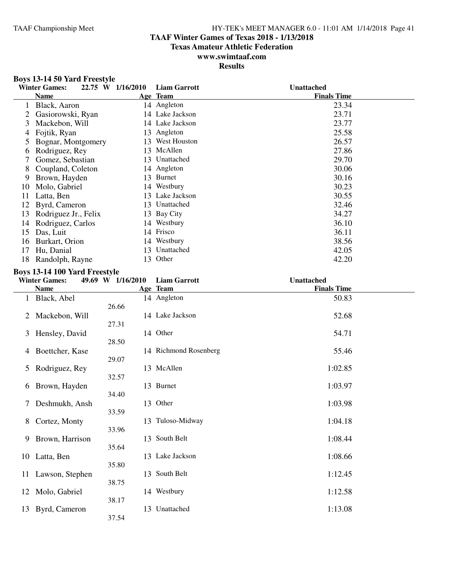### **TAAF Winter Games of Texas 2018 - 1/13/2018**

**Texas Amateur Athletic Federation**

#### **www.swimtaaf.com Results**

#### **Boys 13-14 50 Yard Freestyle**

|    | <b>Winter Games:</b> | 22.75 W 1/16/2010 | <b>Liam Garrott</b> | Unattached         |
|----|----------------------|-------------------|---------------------|--------------------|
|    | <b>Name</b>          |                   | Age Team            | <b>Finals Time</b> |
|    | Black, Aaron         |                   | 14 Angleton         | 23.34              |
|    | Gasiorowski, Ryan    |                   | 14 Lake Jackson     | 23.71              |
| 3  | Mackebon, Will       |                   | 14 Lake Jackson     | 23.77              |
| 4  | Fojtik, Ryan         | 13                | Angleton            | 25.58              |
|    | Bognar, Montgomery   |                   | 13 West Houston     | 26.57              |
| b  | Rodriguez, Rey       |                   | 13 McAllen          | 27.86              |
|    | Gomez, Sebastian     |                   | 13 Unattached       | 29.70              |
| 8  | Coupland, Coleton    |                   | 14 Angleton         | 30.06              |
| 9  | Brown, Hayden        | 13                | <b>Burnet</b>       | 30.16              |
| 10 | Molo, Gabriel        |                   | 14 Westbury         | 30.23              |
| 11 | Latta, Ben           | 13                | Lake Jackson        | 30.55              |
| 12 | Byrd, Cameron        |                   | 13 Unattached       | 32.46              |
| 13 | Rodriguez Jr., Felix |                   | 13 Bay City         | 34.27              |
| 14 | Rodriguez, Carlos    |                   | 14 Westbury         | 36.10              |
| 15 | Das, Luit            |                   | 14 Frisco           | 36.11              |
| 16 | Burkart, Orion       |                   | 14 Westbury         | 38.56              |
| 17 | Hu, Danial           |                   | 13 Unattached       | 42.05              |
| 18 | Randolph, Rayne      | 13                | Other               | 42.20              |

### **Boys 13-14 100 Yard Freestyle**

|                 |                                        | <b>Liam Garrott</b>                                                                                                           | <b>Unattached</b>                                                                                                                                                                                                               |
|-----------------|----------------------------------------|-------------------------------------------------------------------------------------------------------------------------------|---------------------------------------------------------------------------------------------------------------------------------------------------------------------------------------------------------------------------------|
| <b>Name</b>     |                                        |                                                                                                                               | <b>Finals Time</b>                                                                                                                                                                                                              |
| Black, Abel     |                                        |                                                                                                                               | 50.83                                                                                                                                                                                                                           |
| Mackebon, Will  |                                        |                                                                                                                               | 52.68                                                                                                                                                                                                                           |
| Hensley, David  |                                        |                                                                                                                               | 54.71                                                                                                                                                                                                                           |
| Boettcher, Kase |                                        |                                                                                                                               | 55.46                                                                                                                                                                                                                           |
| Rodriguez, Rey  |                                        |                                                                                                                               | 1:02.85                                                                                                                                                                                                                         |
| Brown, Hayden   |                                        |                                                                                                                               | 1:03.97                                                                                                                                                                                                                         |
| Deshmukh, Ansh  |                                        |                                                                                                                               | 1:03.98                                                                                                                                                                                                                         |
| Cortez, Monty   |                                        |                                                                                                                               | 1:04.18                                                                                                                                                                                                                         |
| Brown, Harrison |                                        |                                                                                                                               | 1:08.44                                                                                                                                                                                                                         |
| Latta, Ben      |                                        |                                                                                                                               | 1:08.66                                                                                                                                                                                                                         |
| Lawson, Stephen |                                        |                                                                                                                               | 1:12.45                                                                                                                                                                                                                         |
| Molo, Gabriel   |                                        |                                                                                                                               | 1:12.58                                                                                                                                                                                                                         |
| Byrd, Cameron   | 37.54                                  |                                                                                                                               | 1:13.08                                                                                                                                                                                                                         |
|                 | <b>Winter Games:</b><br>$\overline{1}$ | 49.69 W 1/16/2010<br>26.66<br>27.31<br>28.50<br>29.07<br>32.57<br>34.40<br>33.59<br>33.96<br>35.64<br>35.80<br>38.75<br>38.17 | Age Team<br>14 Angleton<br>14 Lake Jackson<br>14 Other<br>14 Richmond Rosenberg<br>13 McAllen<br>13 Burnet<br>13 Other<br>13 Tuloso-Midway<br>13 South Belt<br>13 Lake Jackson<br>13 South Belt<br>14 Westbury<br>13 Unattached |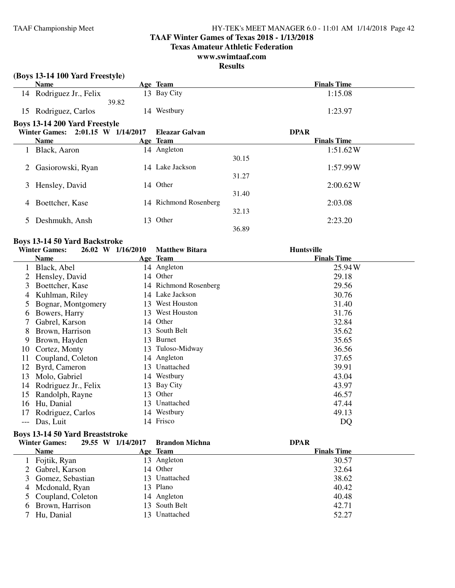### **TAAF Winter Games of Texas 2018 - 1/13/2018**

**Texas Amateur Athletic Federation**

### **www.swimtaaf.com**

**Results**

|    | (Boys 13-14 100 Yard Freestyle)      |       |                       |       |                    |
|----|--------------------------------------|-------|-----------------------|-------|--------------------|
|    | <b>Name</b>                          |       | Age Team              |       | <b>Finals Time</b> |
|    | 14 Rodriguez Jr., Felix              |       | 13 Bay City           |       | 1:15.08            |
|    |                                      | 39.82 |                       |       |                    |
| 15 | Rodriguez, Carlos                    |       | 14 Westbury           |       | 1:23.97            |
|    | <b>Boys 13-14 200 Yard Freestyle</b> |       |                       |       |                    |
|    | Winter Games: 2:01.15 W 1/14/2017    |       | Eleazar Galvan        |       | <b>DPAR</b>        |
|    | Name                                 |       | Age Team              |       | <b>Finals Time</b> |
|    | Black, Aaron                         |       | 14 Angleton           |       | 1:51.62W           |
|    |                                      |       |                       | 30.15 |                    |
| 2  | Gasiorowski, Ryan                    |       | 14 Lake Jackson       |       | 1:57.99W           |
|    |                                      |       |                       | 31.27 |                    |
| 3  | Hensley, David                       |       | 14 Other              |       | 2:00.62W           |
|    |                                      |       |                       | 31.40 |                    |
|    | Boettcher, Kase                      |       | 14 Richmond Rosenberg |       | 2:03.08            |
|    |                                      |       |                       | 32.13 |                    |
|    | Deshmukh, Ansh                       |       | 13 Other              |       | 2:23.20            |
|    |                                      |       |                       | 36.89 |                    |

#### **Boys 13-14 50 Yard Backstroke**

|       | <b>Winter Games:</b> | 26.02 W 1/16/2010 | <b>Matthew Bitara</b> | <b>Huntsville</b>  |
|-------|----------------------|-------------------|-----------------------|--------------------|
|       | <b>Name</b>          |                   | Age Team              | <b>Finals Time</b> |
|       | Black, Abel          |                   | 14 Angleton           | 25.94 W            |
|       | Hensley, David       | 14                | Other                 | 29.18              |
| 3     | Boettcher, Kase      |                   | 14 Richmond Rosenberg | 29.56              |
| 4     | Kuhlman, Riley       |                   | 14 Lake Jackson       | 30.76              |
| 5     | Bognar, Montgomery   | 13                | West Houston          | 31.40              |
| 6     | Bowers, Harry        |                   | 13 West Houston       | 31.76              |
|       | Gabrel, Karson       | 14                | Other                 | 32.84              |
| 8     | Brown, Harrison      | 13.               | South Belt            | 35.62              |
| 9     | Brown, Hayden        | 13.               | Burnet                | 35.65              |
| 10    | Cortez, Monty        |                   | 13 Tuloso-Midway      | 36.56              |
| 11    | Coupland, Coleton    |                   | 14 Angleton           | 37.65              |
| 12    | Byrd, Cameron        | 13                | Unattached            | 39.91              |
| 13    | Molo, Gabriel        | 14                | Westbury              | 43.04              |
| 14    | Rodriguez Jr., Felix |                   | 13 Bay City           | 43.97              |
| 15    | Randolph, Rayne      | 13.               | Other                 | 46.57              |
| 16    | Hu, Danial           | 13                | Unattached            | 47.44              |
|       | Rodriguez, Carlos    |                   | 14 Westbury           | 49.13              |
| $---$ | Das, Luit            |                   | 14 Frisco             | DQ                 |

### **Boys 13-14 50 Yard Breaststroke**

| <b>Winter Games:</b> | 29.55 W 1/14/2017 | <b>Brandon Michna</b> | <b>DPAR</b>        |
|----------------------|-------------------|-----------------------|--------------------|
| Name                 |                   | Age Team              | <b>Finals Time</b> |
| Fojtik, Ryan         |                   | 13 Angleton           | 30.57              |
| 2 Gabrel, Karson     |                   | 14 Other              | 32.64              |
| 3 Gomez, Sebastian   |                   | 13 Unattached         | 38.62              |
| 4 Mcdonald, Ryan     |                   | 13 Plano              | 40.42              |
| 5 Coupland, Coleton  |                   | 14 Angleton           | 40.48              |
| 6 Brown, Harrison    |                   | 13 South Belt         | 42.71              |
| Hu, Danial           |                   | 13 Unattached         | 52.27              |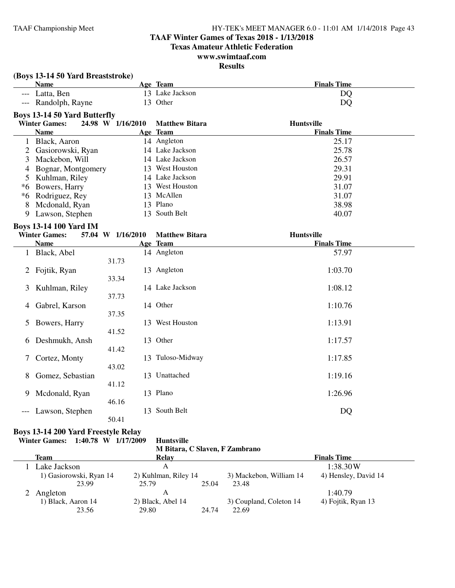### **TAAF Winter Games of Texas 2018 - 1/13/2018**

**Texas Amateur Athletic Federation**

#### **www.swimtaaf.com Results**

| <b>Name</b><br>Age Team<br>13 Lake Jackson<br>Latta, Ben<br>DQ<br>$---$<br>13 Other<br>Randolph, Rayne<br>DQ<br>$---$<br><b>Boys 13-14 50 Yard Butterfly</b><br><b>Winter Games:</b><br>24.98 W 1/16/2010<br>Huntsville<br><b>Matthew Bitara</b><br><b>Name</b><br>Age Team<br><b>Finals Time</b><br>1 Black, Aaron<br>14 Angleton<br>25.17<br>14 Lake Jackson<br>Gasiorowski, Ryan<br>25.78<br>$\overline{2}$<br>14 Lake Jackson<br>Mackebon, Will<br>26.57<br>3<br>13 West Houston<br>29.31<br>Bognar, Montgomery<br>4<br>14 Lake Jackson<br>Kuhlman, Riley<br>29.91<br>5<br>13 West Houston<br>Bowers, Harry<br>31.07<br>*6<br>13 McAllen<br>*6 Rodriguez, Rey<br>31.07<br>Mcdonald, Ryan<br>13 Plano<br>38.98<br>8<br>13 South Belt<br>Lawson, Stephen<br>40.07<br>9<br><b>Boys 13-14 100 Yard IM</b><br><b>Winter Games:</b><br>Huntsville<br>57.04 W 1/16/2010<br><b>Matthew Bitara</b><br><b>Name</b><br>Age Team<br><b>Finals Time</b><br>14 Angleton<br>Black, Abel<br>57.97<br>$\mathbf{1}$<br>31.73<br>Fojtik, Ryan<br>13 Angleton<br>1:03.70<br>2<br>33.34<br>14 Lake Jackson<br>1:08.12<br>Kuhlman, Riley<br>3<br>37.73<br>14 Other<br>Gabrel, Karson<br>1:10.76<br>4<br>37.35<br>13 West Houston<br>1:13.91<br>Bowers, Harry<br>5<br>41.52<br>13 Other<br>Deshmukh, Ansh<br>1:17.57<br>6<br>41.42<br>Cortez, Monty<br>13 Tuloso-Midway<br>1:17.85<br>7<br>43.02<br>13 Unattached<br>1:19.16<br>Gomez, Sebastian<br>8<br>41.12<br>13 Plano<br>Mcdonald, Ryan<br>1:26.96<br>9<br>46.16 | (Boys 13-14 50 Yard Breaststroke) |  |  |                    |  |  |
|----------------------------------------------------------------------------------------------------------------------------------------------------------------------------------------------------------------------------------------------------------------------------------------------------------------------------------------------------------------------------------------------------------------------------------------------------------------------------------------------------------------------------------------------------------------------------------------------------------------------------------------------------------------------------------------------------------------------------------------------------------------------------------------------------------------------------------------------------------------------------------------------------------------------------------------------------------------------------------------------------------------------------------------------------------------------------------------------------------------------------------------------------------------------------------------------------------------------------------------------------------------------------------------------------------------------------------------------------------------------------------------------------------------------------------------------------------------------------------------------------|-----------------------------------|--|--|--------------------|--|--|
|                                                                                                                                                                                                                                                                                                                                                                                                                                                                                                                                                                                                                                                                                                                                                                                                                                                                                                                                                                                                                                                                                                                                                                                                                                                                                                                                                                                                                                                                                                    |                                   |  |  | <b>Finals Time</b> |  |  |
|                                                                                                                                                                                                                                                                                                                                                                                                                                                                                                                                                                                                                                                                                                                                                                                                                                                                                                                                                                                                                                                                                                                                                                                                                                                                                                                                                                                                                                                                                                    |                                   |  |  |                    |  |  |
|                                                                                                                                                                                                                                                                                                                                                                                                                                                                                                                                                                                                                                                                                                                                                                                                                                                                                                                                                                                                                                                                                                                                                                                                                                                                                                                                                                                                                                                                                                    |                                   |  |  |                    |  |  |
|                                                                                                                                                                                                                                                                                                                                                                                                                                                                                                                                                                                                                                                                                                                                                                                                                                                                                                                                                                                                                                                                                                                                                                                                                                                                                                                                                                                                                                                                                                    |                                   |  |  |                    |  |  |
|                                                                                                                                                                                                                                                                                                                                                                                                                                                                                                                                                                                                                                                                                                                                                                                                                                                                                                                                                                                                                                                                                                                                                                                                                                                                                                                                                                                                                                                                                                    |                                   |  |  |                    |  |  |
|                                                                                                                                                                                                                                                                                                                                                                                                                                                                                                                                                                                                                                                                                                                                                                                                                                                                                                                                                                                                                                                                                                                                                                                                                                                                                                                                                                                                                                                                                                    |                                   |  |  |                    |  |  |
|                                                                                                                                                                                                                                                                                                                                                                                                                                                                                                                                                                                                                                                                                                                                                                                                                                                                                                                                                                                                                                                                                                                                                                                                                                                                                                                                                                                                                                                                                                    |                                   |  |  |                    |  |  |
|                                                                                                                                                                                                                                                                                                                                                                                                                                                                                                                                                                                                                                                                                                                                                                                                                                                                                                                                                                                                                                                                                                                                                                                                                                                                                                                                                                                                                                                                                                    |                                   |  |  |                    |  |  |
|                                                                                                                                                                                                                                                                                                                                                                                                                                                                                                                                                                                                                                                                                                                                                                                                                                                                                                                                                                                                                                                                                                                                                                                                                                                                                                                                                                                                                                                                                                    |                                   |  |  |                    |  |  |
|                                                                                                                                                                                                                                                                                                                                                                                                                                                                                                                                                                                                                                                                                                                                                                                                                                                                                                                                                                                                                                                                                                                                                                                                                                                                                                                                                                                                                                                                                                    |                                   |  |  |                    |  |  |
|                                                                                                                                                                                                                                                                                                                                                                                                                                                                                                                                                                                                                                                                                                                                                                                                                                                                                                                                                                                                                                                                                                                                                                                                                                                                                                                                                                                                                                                                                                    |                                   |  |  |                    |  |  |
|                                                                                                                                                                                                                                                                                                                                                                                                                                                                                                                                                                                                                                                                                                                                                                                                                                                                                                                                                                                                                                                                                                                                                                                                                                                                                                                                                                                                                                                                                                    |                                   |  |  |                    |  |  |
|                                                                                                                                                                                                                                                                                                                                                                                                                                                                                                                                                                                                                                                                                                                                                                                                                                                                                                                                                                                                                                                                                                                                                                                                                                                                                                                                                                                                                                                                                                    |                                   |  |  |                    |  |  |
|                                                                                                                                                                                                                                                                                                                                                                                                                                                                                                                                                                                                                                                                                                                                                                                                                                                                                                                                                                                                                                                                                                                                                                                                                                                                                                                                                                                                                                                                                                    |                                   |  |  |                    |  |  |
|                                                                                                                                                                                                                                                                                                                                                                                                                                                                                                                                                                                                                                                                                                                                                                                                                                                                                                                                                                                                                                                                                                                                                                                                                                                                                                                                                                                                                                                                                                    |                                   |  |  |                    |  |  |
|                                                                                                                                                                                                                                                                                                                                                                                                                                                                                                                                                                                                                                                                                                                                                                                                                                                                                                                                                                                                                                                                                                                                                                                                                                                                                                                                                                                                                                                                                                    |                                   |  |  |                    |  |  |
|                                                                                                                                                                                                                                                                                                                                                                                                                                                                                                                                                                                                                                                                                                                                                                                                                                                                                                                                                                                                                                                                                                                                                                                                                                                                                                                                                                                                                                                                                                    |                                   |  |  |                    |  |  |
|                                                                                                                                                                                                                                                                                                                                                                                                                                                                                                                                                                                                                                                                                                                                                                                                                                                                                                                                                                                                                                                                                                                                                                                                                                                                                                                                                                                                                                                                                                    |                                   |  |  |                    |  |  |
|                                                                                                                                                                                                                                                                                                                                                                                                                                                                                                                                                                                                                                                                                                                                                                                                                                                                                                                                                                                                                                                                                                                                                                                                                                                                                                                                                                                                                                                                                                    |                                   |  |  |                    |  |  |
|                                                                                                                                                                                                                                                                                                                                                                                                                                                                                                                                                                                                                                                                                                                                                                                                                                                                                                                                                                                                                                                                                                                                                                                                                                                                                                                                                                                                                                                                                                    |                                   |  |  |                    |  |  |
|                                                                                                                                                                                                                                                                                                                                                                                                                                                                                                                                                                                                                                                                                                                                                                                                                                                                                                                                                                                                                                                                                                                                                                                                                                                                                                                                                                                                                                                                                                    |                                   |  |  |                    |  |  |
|                                                                                                                                                                                                                                                                                                                                                                                                                                                                                                                                                                                                                                                                                                                                                                                                                                                                                                                                                                                                                                                                                                                                                                                                                                                                                                                                                                                                                                                                                                    |                                   |  |  |                    |  |  |
|                                                                                                                                                                                                                                                                                                                                                                                                                                                                                                                                                                                                                                                                                                                                                                                                                                                                                                                                                                                                                                                                                                                                                                                                                                                                                                                                                                                                                                                                                                    |                                   |  |  |                    |  |  |
|                                                                                                                                                                                                                                                                                                                                                                                                                                                                                                                                                                                                                                                                                                                                                                                                                                                                                                                                                                                                                                                                                                                                                                                                                                                                                                                                                                                                                                                                                                    |                                   |  |  |                    |  |  |
|                                                                                                                                                                                                                                                                                                                                                                                                                                                                                                                                                                                                                                                                                                                                                                                                                                                                                                                                                                                                                                                                                                                                                                                                                                                                                                                                                                                                                                                                                                    |                                   |  |  |                    |  |  |
|                                                                                                                                                                                                                                                                                                                                                                                                                                                                                                                                                                                                                                                                                                                                                                                                                                                                                                                                                                                                                                                                                                                                                                                                                                                                                                                                                                                                                                                                                                    |                                   |  |  |                    |  |  |
|                                                                                                                                                                                                                                                                                                                                                                                                                                                                                                                                                                                                                                                                                                                                                                                                                                                                                                                                                                                                                                                                                                                                                                                                                                                                                                                                                                                                                                                                                                    |                                   |  |  |                    |  |  |
|                                                                                                                                                                                                                                                                                                                                                                                                                                                                                                                                                                                                                                                                                                                                                                                                                                                                                                                                                                                                                                                                                                                                                                                                                                                                                                                                                                                                                                                                                                    |                                   |  |  |                    |  |  |
|                                                                                                                                                                                                                                                                                                                                                                                                                                                                                                                                                                                                                                                                                                                                                                                                                                                                                                                                                                                                                                                                                                                                                                                                                                                                                                                                                                                                                                                                                                    |                                   |  |  |                    |  |  |
|                                                                                                                                                                                                                                                                                                                                                                                                                                                                                                                                                                                                                                                                                                                                                                                                                                                                                                                                                                                                                                                                                                                                                                                                                                                                                                                                                                                                                                                                                                    |                                   |  |  |                    |  |  |
|                                                                                                                                                                                                                                                                                                                                                                                                                                                                                                                                                                                                                                                                                                                                                                                                                                                                                                                                                                                                                                                                                                                                                                                                                                                                                                                                                                                                                                                                                                    |                                   |  |  |                    |  |  |
|                                                                                                                                                                                                                                                                                                                                                                                                                                                                                                                                                                                                                                                                                                                                                                                                                                                                                                                                                                                                                                                                                                                                                                                                                                                                                                                                                                                                                                                                                                    |                                   |  |  |                    |  |  |
|                                                                                                                                                                                                                                                                                                                                                                                                                                                                                                                                                                                                                                                                                                                                                                                                                                                                                                                                                                                                                                                                                                                                                                                                                                                                                                                                                                                                                                                                                                    |                                   |  |  |                    |  |  |
|                                                                                                                                                                                                                                                                                                                                                                                                                                                                                                                                                                                                                                                                                                                                                                                                                                                                                                                                                                                                                                                                                                                                                                                                                                                                                                                                                                                                                                                                                                    |                                   |  |  |                    |  |  |
|                                                                                                                                                                                                                                                                                                                                                                                                                                                                                                                                                                                                                                                                                                                                                                                                                                                                                                                                                                                                                                                                                                                                                                                                                                                                                                                                                                                                                                                                                                    |                                   |  |  |                    |  |  |
| 13 South Belt<br>Lawson, Stephen<br>DQ                                                                                                                                                                                                                                                                                                                                                                                                                                                                                                                                                                                                                                                                                                                                                                                                                                                                                                                                                                                                                                                                                                                                                                                                                                                                                                                                                                                                                                                             |                                   |  |  |                    |  |  |
| 50.41                                                                                                                                                                                                                                                                                                                                                                                                                                                                                                                                                                                                                                                                                                                                                                                                                                                                                                                                                                                                                                                                                                                                                                                                                                                                                                                                                                                                                                                                                              |                                   |  |  |                    |  |  |

### **Boys 13-14 200 Yard Freestyle Relay**

**Winter Games: 1:40.78 W 1/17/2009 Huntsville**

| M Bitara, C Slaven, F Zambrano |                      |       |                         |                      |  |  |
|--------------------------------|----------------------|-------|-------------------------|----------------------|--|--|
| Team                           | Relay                |       |                         | <b>Finals Time</b>   |  |  |
| 1 Lake Jackson                 |                      |       |                         | 1:38.30W             |  |  |
| 1) Gasiorowski, Ryan 14        | 2) Kuhlman, Riley 14 |       | 3) Mackebon, William 14 | 4) Hensley, David 14 |  |  |
| 23.99                          | 25.79                | 25.04 | 23.48                   |                      |  |  |
| 2 Angleton                     |                      |       |                         | 1:40.79              |  |  |

1) Black, Aaron 14 2) Black, Abel 14 3) Coupland, Coleton 14 4) Fojtik, Ryan 13<br>23.56 29.80 24.74 22.69

29.80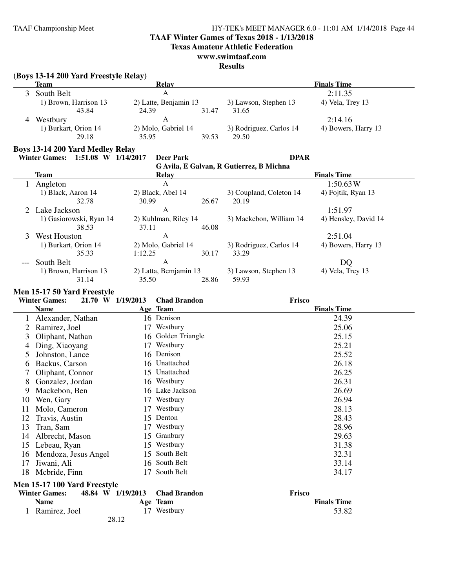### **TAAF Winter Games of Texas 2018 - 1/13/2018**

**Texas Amateur Athletic Federation**

### **www.swimtaaf.com**

### **Results**

### **(Boys 13-14 200 Yard Freestyle Relay)**

| Team                  | Relay                 |       |                         | <b>Finals Time</b>  |
|-----------------------|-----------------------|-------|-------------------------|---------------------|
| South Belt            | А                     |       |                         | 2:11.35             |
| 1) Brown, Harrison 13 | 2) Latte, Benjamin 13 |       | 3) Lawson, Stephen 13   | 4) Vela, Trey 13    |
| 43.84                 | 24.39                 | 31.47 | 31.65                   |                     |
| Westbury              |                       |       |                         | 2:14.16             |
| 1) Burkart, Orion 14  | 2) Molo, Gabriel 14   |       | 3) Rodriguez, Carlos 14 | 4) Bowers, Harry 13 |
| 29.18                 | 35.95                 | 39.53 | 29.50                   |                     |

#### **Boys 13-14 200 Yard Medley Relay**

#### **Winter Games: 1:51.08 W 1/14/2017 Deer Park DPAR**

# **G Avila, E Galvan, R Gutierrez, B Michna**

| Team                    | Relay               |       |                                               | <b>Finals Time</b>   |
|-------------------------|---------------------|-------|-----------------------------------------------|----------------------|
| Angleton                | A                   |       |                                               | 1:50.63W             |
| 1) Black, Aaron 14      | 2) Black, Abel 14   |       | 3) Coupland, Coleton 14                       | 4) Fojtik, Ryan 13   |
| 32.78                   | 30.99               | 26.67 | 20.19                                         |                      |
| 2 Lake Jackson          | A                   |       |                                               | 1:51.97              |
| 1) Gasiorowski, Ryan 14 |                     |       | 3) Mackebon, William 14                       | 4) Hensley, David 14 |
| 38.53                   | 37.11               | 46.08 |                                               |                      |
| West Houston            | A                   |       |                                               | 2:51.04              |
| 1) Burkart, Orion 14    | 2) Molo, Gabriel 14 |       | 3) Rodriguez, Carlos 14                       | 4) Bowers, Harry 13  |
| 35.33                   | 1:12.25             | 30.17 | 33.29                                         |                      |
| --- South Belt          | A                   |       |                                               | DQ                   |
| 1) Brown, Harrison 13   |                     |       | 3) Lawson, Stephen 13                         | 4) Vela, Trey 13     |
| 31.14                   | 35.50               | 28.86 | 59.93                                         |                      |
|                         |                     |       | 2) Kuhlman, Riley 14<br>2) Latta, Bemjamin 13 |                      |

#### **Men 15-17 50 Yard Freestyle**

|    | 21.70 W 1/19/2013<br><b>Winter Games:</b> |       | <b>Chad Brandon</b> | Frisco             |
|----|-------------------------------------------|-------|---------------------|--------------------|
|    | <b>Name</b>                               |       | Age Team            | <b>Finals Time</b> |
|    | Alexander, Nathan                         |       | 16 Denison          | 24.39              |
|    | Ramirez, Joel                             | 17    | Westbury            | 25.06              |
| 3  | Oliphant, Nathan                          |       | 16 Golden Triangle  | 25.15              |
| 4  | Ding, Xiaoyang                            | 17    | Westbury            | 25.21              |
| 5  | Johnston, Lance                           |       | 16 Denison          | 25.52              |
| 6  | Backus, Carson                            |       | 16 Unattached       | 26.18              |
|    | Oliphant, Connor                          | 15    | Unattached          | 26.25              |
| 8  | Gonzalez, Jordan                          |       | 16 Westbury         | 26.31              |
| 9  | Mackebon, Ben                             |       | 16 Lake Jackson     | 26.69              |
| 10 | Wen, Gary                                 | 17    | Westbury            | 26.94              |
| 11 | Molo, Cameron                             | 17    | Westbury            | 28.13              |
| 12 | Travis, Austin                            | 15    | Denton              | 28.43              |
| 13 | Tran, Sam                                 | 17    | Westbury            | 28.96              |
| 14 | Albrecht, Mason                           | 15    | Granbury            | 29.63              |
| 15 | Lebeau, Ryan                              | 15    | Westbury            | 31.38              |
| 16 | Mendoza, Jesus Angel                      | 15    | South Belt          | 32.31              |
| 17 | Jiwani, Ali                               |       | 16 South Belt       | 33.14              |
| 18 | Mcbride, Finn                             | 17    | South Belt          | 34.17              |
|    | Men 15-17 100 Yard Freestyle              |       |                     |                    |
|    | <b>Winter Games:</b><br>48.84 W 1/19/2013 |       | <b>Chad Brandon</b> | Frisco             |
|    | <b>Name</b>                               |       | Age Team            | <b>Finals Time</b> |
|    | Ramirez, Joel                             |       | 17 Westbury         | 53.82              |
|    |                                           | 28.12 |                     |                    |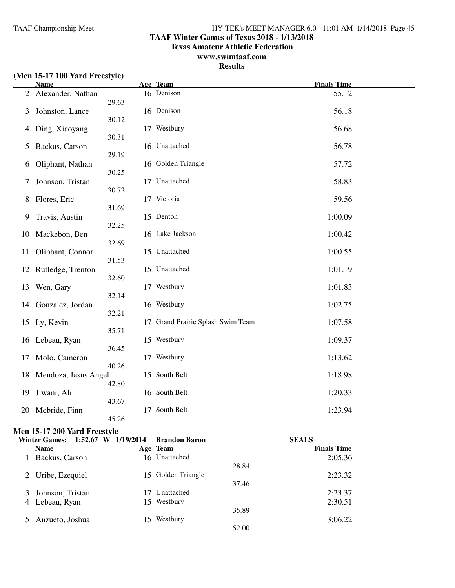### **TAAF Winter Games of Texas 2018 - 1/13/2018**

**Texas Amateur Athletic Federation**

### **www.swimtaaf.com**

### **Results**

|  |  |  |  | (Men 15-17 100 Yard Freestyle) |  |
|--|--|--|--|--------------------------------|--|
|--|--|--|--|--------------------------------|--|

|                | <b>Name</b>          |             | Age Team                          | <b>Finals Time</b> |
|----------------|----------------------|-------------|-----------------------------------|--------------------|
| $\overline{2}$ | Alexander, Nathan    | 29.63       | 16 Denison                        | 55.12              |
| 3              | Johnston, Lance      | 30.12       | 16 Denison                        | 56.18              |
| 4              | Ding, Xiaoyang       |             | 17 Westbury                       | 56.68              |
| 5              | Backus, Carson       | 30.31       | 16 Unattached                     | 56.78              |
| 6              | Oliphant, Nathan     | 29.19       | 16 Golden Triangle                | 57.72              |
| 7              | Johnson, Tristan     | 30.25       | 17 Unattached                     | 58.83              |
| 8              | Flores, Eric         | 30.72       | 17 Victoria                       | 59.56              |
| 9              | Travis, Austin       | 31.69       | 15 Denton                         | 1:00.09            |
| 10             | Mackebon, Ben        | 32.25       | 16 Lake Jackson                   | 1:00.42            |
| 11             | Oliphant, Connor     | 32.69       | 15 Unattached                     | 1:00.55            |
| 12             | Rutledge, Trenton    | 31.53       | 15 Unattached                     | 1:01.19            |
| 13             | Wen, Gary            | 32.60       | 17 Westbury                       | 1:01.83            |
| 14             | Gonzalez, Jordan     | 32.14       | 16 Westbury                       | 1:02.75            |
| 15             | Ly, Kevin            | 32.21       | 17 Grand Prairie Splash Swim Team | 1:07.58            |
| 16             | Lebeau, Ryan         | 35.71       | 15 Westbury                       | 1:09.37            |
| 17             | Molo, Cameron        | 36.45       | 17 Westbury                       | 1:13.62            |
| 18             | Mendoza, Jesus Angel | 40.26       | 15 South Belt                     | 1:18.98            |
| 19             | Jiwani, Ali          | 42.80       | 16 South Belt                     | 1:20.33            |
|                |                      | 43.67       | South Belt                        |                    |
| 20             | Mcbride, Finn        | 17<br>45.26 |                                   | 1:23.94            |

### **Men 15-17 200 Yard Freestyle**

| Winter Games: 1:52.67 W 1/19/2014 | <b>Brandon Baron</b> | <b>SEALS</b>       |
|-----------------------------------|----------------------|--------------------|
| <b>Name</b>                       | Age Team             | <b>Finals Time</b> |
| Backus, Carson                    | 16 Unattached        | 2:05.36            |
|                                   |                      | 28.84              |
| 2 Uribe, Ezequiel                 | 15 Golden Triangle   | 2:23.32            |
|                                   |                      | 37.46              |
| 3 Johnson, Tristan                | Unattached           | 2:23.37            |
| 4 Lebeau, Ryan                    | 15 Westbury          | 2:30.51            |
|                                   |                      | 35.89              |
| Anzueto, Joshua                   | Westbury<br>15.      | 3:06.22            |
|                                   |                      | 52.00              |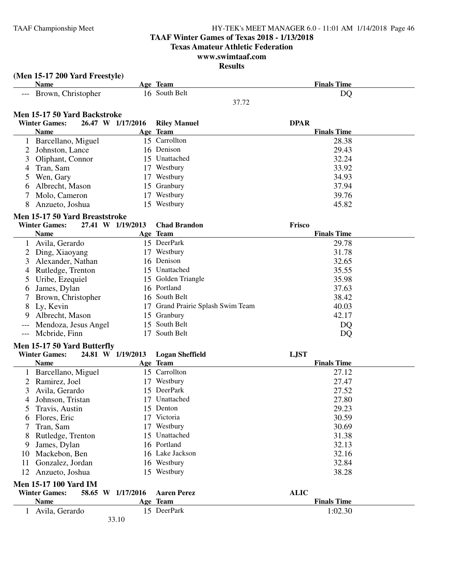### **TAAF Winter Games of Texas 2018 - 1/13/2018**

**Texas Amateur Athletic Federation**

#### **www.swimtaaf.com Results**

|                | (Men 15-17 200 Yard Freestyle) |                   |                                   |                    |
|----------------|--------------------------------|-------------------|-----------------------------------|--------------------|
|                | <b>Name</b>                    |                   | Age Team                          | <b>Finals Time</b> |
|                | --- Brown, Christopher         |                   | 16 South Belt                     | DQ                 |
|                |                                |                   | 37.72                             |                    |
|                | Men 15-17 50 Yard Backstroke   |                   |                                   |                    |
|                | <b>Winter Games:</b>           | 26.47 W 1/17/2016 | <b>Riley Manuel</b>               | <b>DPAR</b>        |
|                | <b>Name</b>                    |                   | Age Team                          | <b>Finals Time</b> |
|                | 1 Barcellano, Miguel           |                   | 15 Carrollton                     | 28.38              |
| 2              | Johnston, Lance                |                   | 16 Denison                        | 29.43              |
| 3              | Oliphant, Connor               |                   | 15 Unattached                     | 32.24              |
| 4              | Tran, Sam                      |                   | 17 Westbury                       | 33.92              |
| 5              | Wen, Gary                      |                   | 17 Westbury                       | 34.93              |
| 6              | Albrecht, Mason                |                   | 15 Granbury                       | 37.94              |
| 7              | Molo, Cameron                  |                   | 17 Westbury                       | 39.76              |
|                | Anzueto, Joshua                |                   | 15 Westbury                       | 45.82              |
|                |                                |                   |                                   |                    |
|                | Men 15-17 50 Yard Breaststroke |                   |                                   |                    |
|                | <b>Winter Games:</b>           | 27.41 W 1/19/2013 | <b>Chad Brandon</b>               | Frisco             |
|                | <b>Name</b>                    |                   | Age Team                          | <b>Finals Time</b> |
|                | Avila, Gerardo                 |                   | 15 DeerPark                       | 29.78              |
| 2              | Ding, Xiaoyang                 |                   | 17 Westbury                       | 31.78              |
| 3              | Alexander, Nathan              |                   | 16 Denison                        | 32.65              |
| 4              | Rutledge, Trenton              |                   | 15 Unattached                     | 35.55              |
| 5              | Uribe, Ezequiel                |                   | 15 Golden Triangle                | 35.98              |
|                | James, Dylan                   |                   | 16 Portland                       | 37.63              |
| 7              | Brown, Christopher             |                   | 16 South Belt                     | 38.42              |
| 8              | Ly, Kevin                      |                   | 17 Grand Prairie Splash Swim Team | 40.03              |
| 9              | Albrecht, Mason                |                   | 15 Granbury                       | 42.17              |
|                | Mendoza, Jesus Angel           |                   | 15 South Belt                     | DQ                 |
| ---            | Mcbride, Finn                  |                   | 17 South Belt                     | DQ                 |
|                | Men 15-17 50 Yard Butterfly    |                   |                                   |                    |
|                | <b>Winter Games:</b>           | 24.81 W 1/19/2013 | <b>Logan Sheffield</b>            | <b>LJST</b>        |
|                | <b>Name</b>                    |                   | Age Team                          | <b>Finals Time</b> |
|                | 1 Barcellano, Miguel           |                   | 15 Carrollton                     | 27.12              |
| $\overline{2}$ | Ramirez, Joel                  |                   | 17 Westbury                       | 27.47              |
| 3              | Avila, Gerardo                 |                   | 15 DeerPark                       | 27.52              |
| 4              | Johnson, Tristan               |                   | 17 Unattached                     | 27.80              |
|                | Travis, Austin                 |                   | 15 Denton                         | 29.23              |
|                | Flores, Eric                   |                   | 17 Victoria                       | 30.59              |
|                | Tran, Sam                      |                   | 17 Westbury                       | 30.69              |
| 8              | Rutledge, Trenton              |                   | 15 Unattached                     | 31.38              |
| 9              | James, Dylan                   |                   | 16 Portland                       | 32.13              |
| 10             | Mackebon, Ben                  |                   | 16 Lake Jackson                   | 32.16              |
| 11             | Gonzalez, Jordan               |                   | 16 Westbury                       | 32.84              |
| 12             | Anzueto, Joshua                |                   | 15 Westbury                       | 38.28              |
|                |                                |                   |                                   |                    |
|                | <b>Men 15-17 100 Yard IM</b>   |                   |                                   |                    |
|                | <b>Winter Games:</b>           | 58.65 W 1/17/2016 | <b>Aaren Perez</b>                | <b>ALIC</b>        |
|                | <b>Name</b>                    |                   | Age Team                          | <b>Finals Time</b> |
|                | 1 Avila, Gerardo               |                   | 15 DeerPark                       | 1:02.30            |
|                |                                | 33.10             |                                   |                    |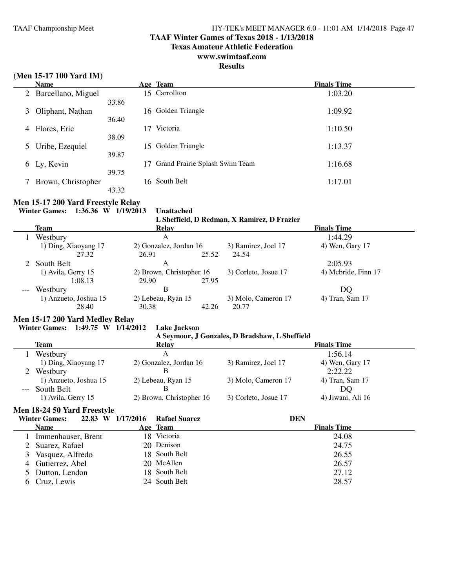#### **TAAF Winter Games of Texas 2018 - 1/13/2018**

**Texas Amateur Athletic Federation**

### **www.swimtaaf.com**

### **Results**

### **(Men 15-17 100 Yard IM)**

| <b>Name</b> |                       | Age Team                       | <b>Finals Time</b> |
|-------------|-----------------------|--------------------------------|--------------------|
|             | 2 Barcellano, Miguel  | 15 Carrollton                  | 1:03.20            |
|             | 33.86                 |                                |                    |
| 3           | Oliphant, Nathan      | 16 Golden Triangle             | 1:09.92            |
|             | 36.40                 |                                |                    |
| 4           | Flores, Eric          | Victoria                       | 1:10.50            |
|             | 38.09                 |                                |                    |
| 5           | Uribe, Ezequiel<br>15 | Golden Triangle                | 1:13.37            |
|             | 39.87                 |                                |                    |
| 6           | Ly, Kevin             | Grand Prairie Splash Swim Team | 1:16.68            |
|             | 39.75                 |                                |                    |
|             | Brown, Christopher    | 16 South Belt                  | 1:17.01            |
|             | 43.32                 |                                |                    |

#### **Men 15-17 200 Yard Freestyle Relay**

**Winter Games: 1:36.36 W 1/19/2013 Unattached**

|                       |                          |       | L Sheffield, D Redman, X Ramirez, D Frazier |                     |  |
|-----------------------|--------------------------|-------|---------------------------------------------|---------------------|--|
| Team                  | Relay                    |       |                                             | <b>Finals Time</b>  |  |
| Westbury              | А                        |       |                                             | 1:44.29             |  |
| 1) Ding, Xiaoyang 17  | 2) Gonzalez, Jordan 16   |       | 3) Ramirez, Joel 17                         | 4) Wen, Gary 17     |  |
| 27.32                 | 26.91                    | 25.52 | 24.54                                       |                     |  |
| 2 South Belt          | А                        |       |                                             | 2:05.93             |  |
| 1) Avila, Gerry 15    | 2) Brown, Christopher 16 |       | 3) Corleto, Josue 17                        | 4) Mcbride, Finn 17 |  |
| 1:08.13               | 29.90                    | 27.95 |                                             |                     |  |
| Westbury              | B                        |       |                                             | DQ                  |  |
| 1) Anzueto, Joshua 15 | 2) Lebeau, Ryan 15       |       | 3) Molo, Cameron 17                         | 4) Tran, Sam 17     |  |
| 28.40                 | 30.38                    | 42.26 | 20.77                                       |                     |  |

### **Men 15-17 200 Yard Medley Relay**

#### **Winter Games: 1:49.75 W 1/14/2012 Lake Jackson**

#### **A Seymour, J Gonzales, D Bradshaw, L Sheffield**

| <b>Team</b>           | Relay                    |                      | <b>Finals Time</b> |  |
|-----------------------|--------------------------|----------------------|--------------------|--|
| Westbury              |                          |                      | 1:56.14            |  |
| 1) Ding, Xiaoyang 17  | 2) Gonzalez, Jordan 16   | 3) Ramirez, Joel 17  | 4) Wen, Gary 17    |  |
| Westbury              |                          |                      | 2:22.22            |  |
| 1) Anzueto, Joshua 15 | 2) Lebeau, Ryan 15       | 3) Molo, Cameron 17  | 4) Tran, Sam 17    |  |
| --- South Belt        |                          |                      | DO                 |  |
| 1) Avila, Gerry 15    | 2) Brown, Christopher 16 | 3) Corleto, Josue 17 | 4) Jiwani, Ali 16  |  |

#### **Men 18-24 50 Yard Freestyle**

| <b>Winter Games:</b> | 22.83 W 1/17/2016 | <b>Rafael Suarez</b> | <b>DEN</b>         |
|----------------------|-------------------|----------------------|--------------------|
| <b>Name</b>          |                   | Age Team             | <b>Finals Time</b> |
| Immenhauser, Brent   |                   | 18 Victoria          | 24.08              |
| 2 Suarez, Rafael     |                   | 20 Denison           | 24.75              |
| 3 Vasquez, Alfredo   |                   | 18 South Belt        | 26.55              |
| 4 Gutierrez, Abel    |                   | 20 McAllen           | 26.57              |
| 5 Dutton, Lendon     |                   | 18 South Belt        | 27.12              |
| 6 Cruz, Lewis        |                   | 24 South Belt        | 28.57              |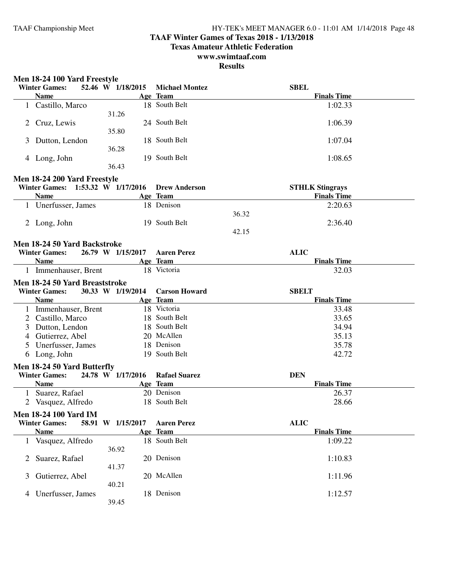### **TAAF Winter Games of Texas 2018 - 1/13/2018**

**Texas Amateur Athletic Federation**

### **www.swimtaaf.com**

|   | Men 18-24 100 Yard Freestyle<br><b>Winter Games:</b>   | 52.46 W 1/18/2015 | <b>Michael Montez</b>            | <b>SBEL</b>                                  |
|---|--------------------------------------------------------|-------------------|----------------------------------|----------------------------------------------|
|   | <b>Name</b>                                            |                   | Age Team                         | <b>Finals Time</b>                           |
|   | 1 Castillo, Marco                                      | 31.26             | 18 South Belt                    | 1:02.33                                      |
|   | 2 Cruz, Lewis                                          | 35.80             | 24 South Belt                    | 1:06.39                                      |
|   | 3 Dutton, Lendon                                       | 36.28             | 18 South Belt                    | 1:07.04                                      |
|   | 4 Long, John                                           | 36.43             | 19 South Belt                    | 1:08.65                                      |
|   | Men 18-24 200 Yard Freestyle                           |                   |                                  |                                              |
|   | Winter Games: 1:53.32 W 1/17/2016<br><b>Name</b>       |                   | <b>Drew Anderson</b><br>Age Team | <b>STHLK Stingrays</b><br><b>Finals Time</b> |
|   | 1 Unerfusser, James                                    |                   | 18 Denison                       | 2:20.63                                      |
|   |                                                        |                   |                                  | 36.32                                        |
|   | 2 Long, John                                           |                   | 19 South Belt                    | 2:36.40                                      |
|   |                                                        |                   |                                  | 42.15                                        |
|   | Men 18-24 50 Yard Backstroke                           |                   |                                  |                                              |
|   | <b>Winter Games:</b>                                   | 26.79 W 1/15/2017 | <b>Aaren Perez</b>               | <b>ALIC</b>                                  |
|   | <b>Name</b>                                            |                   | Age Team                         | <b>Finals Time</b>                           |
|   | 1 Immenhauser, Brent                                   |                   | 18 Victoria                      | 32.03                                        |
|   |                                                        |                   |                                  |                                              |
|   | Men 18-24 50 Yard Breaststroke<br><b>Winter Games:</b> | 30.33 W 1/19/2014 | <b>Carson Howard</b>             | <b>SBELT</b>                                 |
|   | <b>Name</b>                                            |                   | Age Team                         | <b>Finals Time</b>                           |
|   | 1 Immenhauser, Brent                                   |                   | 18 Victoria                      | 33.48                                        |
|   | 2 Castillo, Marco                                      |                   | 18 South Belt                    | 33.65                                        |
| 3 | Dutton, Lendon                                         |                   | 18 South Belt                    | 34.94                                        |
|   |                                                        |                   |                                  |                                              |
|   |                                                        |                   |                                  |                                              |
|   | 4 Gutierrez, Abel                                      |                   | 20 McAllen                       | 35.13                                        |
| 5 | Unerfusser, James                                      |                   | 18 Denison                       | 35.78                                        |
|   | 6 Long, John                                           |                   | 19 South Belt                    | 42.72                                        |
|   | Men 18-24 50 Yard Butterfly                            |                   |                                  |                                              |
|   | <b>Winter Games:</b>                                   | 24.78 W 1/17/2016 | <b>Rafael Suarez</b>             | <b>DEN</b>                                   |
|   | <b>Name</b>                                            |                   | Age Team                         | <b>Finals Time</b>                           |
| 1 | Suarez, Rafael                                         |                   | 20 Denison                       | 26.37                                        |
|   | 2 Vasquez, Alfredo                                     |                   | 18 South Belt                    | 28.66                                        |
|   | <b>Men 18-24 100 Yard IM</b>                           |                   |                                  |                                              |
|   | <b>Winter Games:</b>                                   | 58.91 W 1/15/2017 | <b>Aaren Perez</b>               | <b>ALIC</b>                                  |
|   | <b>Name</b>                                            |                   | Age Team                         | <b>Finals Time</b>                           |
|   | 1 Vasquez, Alfredo                                     | 36.92             | 18 South Belt                    | 1:09.22                                      |
| 2 | Suarez, Rafael                                         |                   | 20 Denison                       | 1:10.83                                      |
| 3 |                                                        | 41.37             | 20 McAllen                       |                                              |
|   | Gutierrez, Abel                                        | 40.21             |                                  | 1:11.96                                      |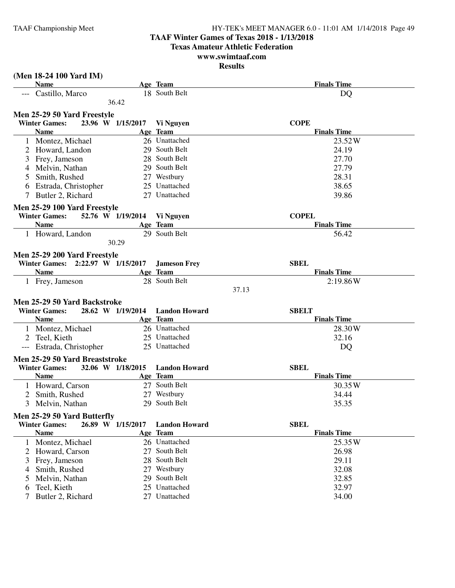### **TAAF Winter Games of Texas 2018 - 1/13/2018**

**Texas Amateur Athletic Federation**

#### **www.swimtaaf.com Results**

|     | (Men 18-24 100 Yard IM)                                |                   |                      |                    |
|-----|--------------------------------------------------------|-------------------|----------------------|--------------------|
|     | <b>Name</b>                                            |                   | Age Team             | <b>Finals Time</b> |
|     | --- Castillo, Marco                                    |                   | 18 South Belt        | DQ                 |
|     |                                                        | 36.42             |                      |                    |
|     | Men 25-29 50 Yard Freestyle                            |                   |                      |                    |
|     | <b>Winter Games:</b>                                   | 23.96 W 1/15/2017 | Vi Nguyen            | <b>COPE</b>        |
|     | <b>Name</b>                                            |                   | Age Team             | <b>Finals Time</b> |
|     | Montez, Michael                                        |                   | 26 Unattached        | 23.52W             |
|     | 2 Howard, Landon                                       |                   | 29 South Belt        | 24.19              |
| 3   | Frey, Jameson                                          |                   | 28 South Belt        | 27.70              |
| 4   | Melvin, Nathan                                         |                   | 29 South Belt        | 27.79              |
| 5   | Smith, Rushed                                          |                   | 27 Westbury          | 28.31              |
| 6   | Estrada, Christopher                                   |                   | 25 Unattached        | 38.65              |
| 7   | Butler 2, Richard                                      |                   | 27 Unattached        | 39.86              |
|     |                                                        |                   |                      |                    |
|     | Men 25-29 100 Yard Freestyle                           |                   |                      |                    |
|     | <b>Winter Games:</b>                                   | 52.76 W 1/19/2014 | Vi Nguyen            | <b>COPEL</b>       |
|     | <b>Name</b>                                            |                   | Age Team             | <b>Finals Time</b> |
|     | 1 Howard, Landon                                       |                   | 29 South Belt        | 56.42              |
|     |                                                        | 30.29             |                      |                    |
|     | Men 25-29 200 Yard Freestyle                           |                   |                      |                    |
|     | Winter Games: 2:22.97 W 1/15/2017                      |                   | <b>Jameson Frey</b>  | <b>SBEL</b>        |
|     | <b>Name</b>                                            |                   | Age Team             | <b>Finals Time</b> |
|     | 1 Frey, Jameson                                        |                   | 28 South Belt        | 2:19.86W           |
|     |                                                        |                   |                      | 37.13              |
|     | Men 25-29 50 Yard Backstroke                           |                   |                      |                    |
|     | <b>Winter Games:</b>                                   | 28.62 W 1/19/2014 | <b>Landon Howard</b> | <b>SBELT</b>       |
|     | <b>Name</b>                                            |                   | Age Team             | <b>Finals Time</b> |
|     | 1 Montez, Michael                                      |                   | 26 Unattached        | 28.30W             |
| 2   | Teel, Kieth                                            |                   | 25 Unattached        | 32.16              |
| --- | Estrada, Christopher                                   |                   | 25 Unattached        | DQ                 |
|     |                                                        |                   |                      |                    |
|     | Men 25-29 50 Yard Breaststroke<br><b>Winter Games:</b> | 32.06 W 1/18/2015 | <b>Landon Howard</b> | <b>SBEL</b>        |
|     | <b>Name</b>                                            |                   | Age Team             | <b>Finals Time</b> |
|     |                                                        |                   | 27 South Belt        |                    |
|     | 1 Howard, Carson                                       |                   |                      | 30.35W             |
|     | Smith, Rushed                                          |                   | 27 Westbury          | 34.44              |
| 3   | Melvin, Nathan                                         |                   | 29 South Belt        | 35.35              |
|     | Men 25-29 50 Yard Butterfly                            |                   |                      |                    |
|     | <b>Winter Games:</b>                                   | 26.89 W 1/15/2017 | <b>Landon Howard</b> | <b>SBEL</b>        |
|     | <b>Name</b>                                            |                   | Age Team             | <b>Finals Time</b> |
|     | 1 Montez, Michael                                      |                   | 26 Unattached        | 25.35W             |
| 2   | Howard, Carson                                         |                   | 27 South Belt        | 26.98              |
| 3   | Frey, Jameson                                          | 28                | South Belt           | 29.11              |
| 4   | Smith, Rushed                                          |                   | 27 Westbury          | 32.08              |
| 5   | Melvin, Nathan                                         |                   | 29 South Belt        | 32.85              |
| 6   | Teel, Kieth                                            |                   | 25 Unattached        | 32.97              |
|     | Butler 2, Richard                                      |                   | 27 Unattached        | 34.00              |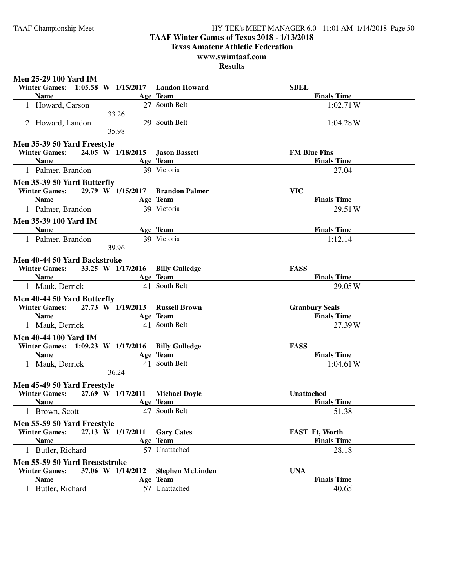### **TAAF Winter Games of Texas 2018 - 1/13/2018**

**Texas Amateur Athletic Federation**

### **www.swimtaaf.com**

| <b>Men 25-29 100 Yard IM</b>                    |                                  |                       |
|-------------------------------------------------|----------------------------------|-----------------------|
| Winter Games: 1:05.58 W 1/15/2017 Landon Howard |                                  | <b>SBEL</b>           |
| <b>Name</b>                                     | Age Team                         | <b>Finals Time</b>    |
| 1 Howard, Carson<br>33.26                       | 27 South Belt                    | 1:02.71W              |
| 2 Howard, Landon                                | 29 South Belt                    | 1:04.28W              |
| 35.98                                           |                                  |                       |
| Men 35-39 50 Yard Freestyle                     |                                  |                       |
| <b>Winter Games:</b>                            | 24.05 W 1/18/2015 Jason Bassett  | <b>FM Blue Fins</b>   |
| <b>Name</b>                                     | Age Team                         | <b>Finals Time</b>    |
| 1 Palmer, Brandon                               | 39 Victoria                      | 27.04                 |
| Men 35-39 50 Yard Butterfly                     |                                  |                       |
| <b>Winter Games:</b>                            | 29.79 W 1/15/2017 Brandon Palmer | <b>VIC</b>            |
| <b>Name</b>                                     | Age Team                         | <b>Finals Time</b>    |
| 1 Palmer, Brandon                               | 39 Victoria                      | 29.51W                |
| <b>Men 35-39 100 Yard IM</b>                    |                                  |                       |
| <b>Name</b>                                     | Age Team                         | <b>Finals Time</b>    |
| 1 Palmer, Brandon                               | 39 Victoria                      | 1:12.14               |
| 39.96                                           |                                  |                       |
| Men 40-44 50 Yard Backstroke                    |                                  |                       |
| <b>Winter Games:</b>                            | 33.25 W 1/17/2016 Billy Gulledge | <b>FASS</b>           |
| <b>Name</b>                                     | Age Team                         | <b>Finals Time</b>    |
| 1 Mauk, Derrick                                 | 41 South Belt                    | 29.05W                |
| Men 40-44 50 Yard Butterfly                     |                                  |                       |
| <b>Winter Games:</b>                            | 27.73 W 1/19/2013 Russell Brown  | <b>Granbury Seals</b> |
| <b>Name</b>                                     | Age Team                         | <b>Finals Time</b>    |
| 1 Mauk, Derrick                                 | 41 South Belt                    | 27.39W                |
| <b>Men 40-44 100 Yard IM</b>                    |                                  |                       |
| Winter Games: 1:09.23 W 1/17/2016               | <b>Billy Gulledge</b>            | <b>FASS</b>           |
| <b>Name</b>                                     | Age Team                         | <b>Finals Time</b>    |
| 1 Mauk, Derrick                                 | 41 South Belt                    | 1:04.61W              |
| 36.24                                           |                                  |                       |
| Men 45-49 50 Yard Freestyle                     |                                  |                       |
| <b>Winter Games:</b><br>27.69 W 1/17/2011       | <b>Michael Doyle</b>             | Unattached            |
| <b>Name</b>                                     | Age Team                         | <b>Finals Time</b>    |
| 1 Brown, Scott                                  | 47 South Belt                    | 51.38                 |
| Men 55-59 50 Yard Freestyle                     |                                  |                       |
| <b>Winter Games:</b><br>27.13 W 1/17/2011       | <b>Gary Cates</b>                | FAST Ft, Worth        |
| <b>Name</b>                                     | Age Team                         | <b>Finals Time</b>    |
| 1 Butler, Richard                               | 57 Unattached                    | 28.18                 |
| Men 55-59 50 Yard Breaststroke                  |                                  |                       |
| <b>Winter Games:</b><br>37.06 W 1/14/2012       | <b>Stephen McLinden</b>          | <b>UNA</b>            |
| <b>Name</b>                                     | Age Team                         | <b>Finals Time</b>    |
| 1 Butler, Richard                               | 57 Unattached                    | 40.65                 |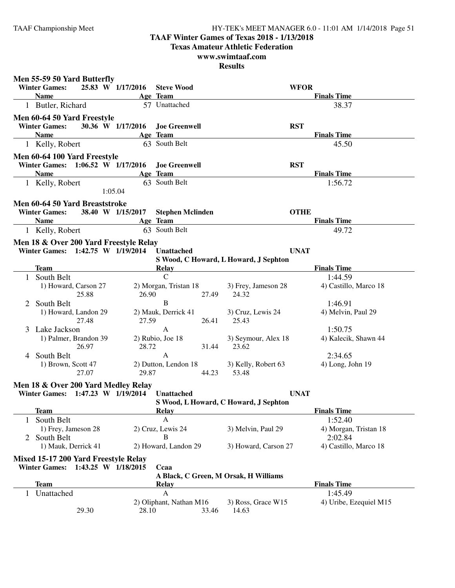### **TAAF Winter Games of Texas 2018 - 1/13/2018**

**Texas Amateur Athletic Federation**

### **www.swimtaaf.com**

| <b>Winter Games:</b>       |             |                                                                                                                                                                                                    |                                                                                                                                                                                                                                                                                                                                                                                                        |                                                                                                                                                                                                                                                                                                |                                                                                                                                                  | <b>WFOR</b>                                                                                                                                        |
|----------------------------|-------------|----------------------------------------------------------------------------------------------------------------------------------------------------------------------------------------------------|--------------------------------------------------------------------------------------------------------------------------------------------------------------------------------------------------------------------------------------------------------------------------------------------------------------------------------------------------------------------------------------------------------|------------------------------------------------------------------------------------------------------------------------------------------------------------------------------------------------------------------------------------------------------------------------------------------------|--------------------------------------------------------------------------------------------------------------------------------------------------|----------------------------------------------------------------------------------------------------------------------------------------------------|
| <b>Name</b>                |             |                                                                                                                                                                                                    |                                                                                                                                                                                                                                                                                                                                                                                                        |                                                                                                                                                                                                                                                                                                |                                                                                                                                                  | <b>Finals Time</b>                                                                                                                                 |
|                            |             |                                                                                                                                                                                                    |                                                                                                                                                                                                                                                                                                                                                                                                        |                                                                                                                                                                                                                                                                                                |                                                                                                                                                  | 38.37                                                                                                                                              |
|                            |             |                                                                                                                                                                                                    |                                                                                                                                                                                                                                                                                                                                                                                                        |                                                                                                                                                                                                                                                                                                |                                                                                                                                                  |                                                                                                                                                    |
| <b>Winter Games:</b>       |             |                                                                                                                                                                                                    |                                                                                                                                                                                                                                                                                                                                                                                                        |                                                                                                                                                                                                                                                                                                |                                                                                                                                                  | <b>RST</b>                                                                                                                                         |
|                            |             |                                                                                                                                                                                                    |                                                                                                                                                                                                                                                                                                                                                                                                        |                                                                                                                                                                                                                                                                                                |                                                                                                                                                  | <b>Finals Time</b>                                                                                                                                 |
| 1 Kelly, Robert            |             |                                                                                                                                                                                                    |                                                                                                                                                                                                                                                                                                                                                                                                        |                                                                                                                                                                                                                                                                                                |                                                                                                                                                  | 45.50                                                                                                                                              |
|                            |             |                                                                                                                                                                                                    |                                                                                                                                                                                                                                                                                                                                                                                                        |                                                                                                                                                                                                                                                                                                |                                                                                                                                                  |                                                                                                                                                    |
|                            |             |                                                                                                                                                                                                    |                                                                                                                                                                                                                                                                                                                                                                                                        |                                                                                                                                                                                                                                                                                                |                                                                                                                                                  | <b>RST</b>                                                                                                                                         |
| <b>Name</b>                |             |                                                                                                                                                                                                    |                                                                                                                                                                                                                                                                                                                                                                                                        |                                                                                                                                                                                                                                                                                                |                                                                                                                                                  | <b>Finals Time</b>                                                                                                                                 |
| 1 Kelly, Robert            |             |                                                                                                                                                                                                    |                                                                                                                                                                                                                                                                                                                                                                                                        |                                                                                                                                                                                                                                                                                                |                                                                                                                                                  | 1:56.72                                                                                                                                            |
|                            |             |                                                                                                                                                                                                    |                                                                                                                                                                                                                                                                                                                                                                                                        |                                                                                                                                                                                                                                                                                                |                                                                                                                                                  |                                                                                                                                                    |
| <b>Winter Games:</b>       |             |                                                                                                                                                                                                    |                                                                                                                                                                                                                                                                                                                                                                                                        |                                                                                                                                                                                                                                                                                                |                                                                                                                                                  | <b>OTHE</b>                                                                                                                                        |
| <b>Name</b>                |             |                                                                                                                                                                                                    |                                                                                                                                                                                                                                                                                                                                                                                                        |                                                                                                                                                                                                                                                                                                |                                                                                                                                                  | <b>Finals Time</b>                                                                                                                                 |
| 1 Kelly, Robert            |             |                                                                                                                                                                                                    |                                                                                                                                                                                                                                                                                                                                                                                                        |                                                                                                                                                                                                                                                                                                |                                                                                                                                                  | 49.72                                                                                                                                              |
|                            |             |                                                                                                                                                                                                    |                                                                                                                                                                                                                                                                                                                                                                                                        |                                                                                                                                                                                                                                                                                                |                                                                                                                                                  |                                                                                                                                                    |
|                            |             |                                                                                                                                                                                                    | <b>Unattached</b>                                                                                                                                                                                                                                                                                                                                                                                      |                                                                                                                                                                                                                                                                                                |                                                                                                                                                  | <b>UNAT</b>                                                                                                                                        |
|                            |             |                                                                                                                                                                                                    |                                                                                                                                                                                                                                                                                                                                                                                                        |                                                                                                                                                                                                                                                                                                |                                                                                                                                                  |                                                                                                                                                    |
| Team                       |             |                                                                                                                                                                                                    | Relay                                                                                                                                                                                                                                                                                                                                                                                                  |                                                                                                                                                                                                                                                                                                |                                                                                                                                                  | <b>Finals Time</b>                                                                                                                                 |
| South Belt                 |             |                                                                                                                                                                                                    | $\mathcal{C}$                                                                                                                                                                                                                                                                                                                                                                                          |                                                                                                                                                                                                                                                                                                |                                                                                                                                                  | 1:44.59                                                                                                                                            |
|                            |             |                                                                                                                                                                                                    |                                                                                                                                                                                                                                                                                                                                                                                                        | 27.49                                                                                                                                                                                                                                                                                          | 3) Frey, Jameson 28<br>24.32                                                                                                                     | 4) Castillo, Marco 18                                                                                                                              |
| South Belt                 |             |                                                                                                                                                                                                    | B                                                                                                                                                                                                                                                                                                                                                                                                      |                                                                                                                                                                                                                                                                                                |                                                                                                                                                  | 1:46.91                                                                                                                                            |
|                            |             |                                                                                                                                                                                                    |                                                                                                                                                                                                                                                                                                                                                                                                        | 26.41                                                                                                                                                                                                                                                                                          | 3) Cruz, Lewis 24<br>25.43                                                                                                                       | 4) Melvin, Paul 29                                                                                                                                 |
| Lake Jackson               |             |                                                                                                                                                                                                    | A                                                                                                                                                                                                                                                                                                                                                                                                      |                                                                                                                                                                                                                                                                                                |                                                                                                                                                  | 1:50.75                                                                                                                                            |
|                            |             |                                                                                                                                                                                                    |                                                                                                                                                                                                                                                                                                                                                                                                        | 31.44                                                                                                                                                                                                                                                                                          | 3) Seymour, Alex 18<br>23.62                                                                                                                     | 4) Kalecik, Shawn 44                                                                                                                               |
| South Belt                 |             | A                                                                                                                                                                                                  |                                                                                                                                                                                                                                                                                                                                                                                                        |                                                                                                                                                                                                                                                                                                |                                                                                                                                                  | 2:34.65                                                                                                                                            |
|                            |             |                                                                                                                                                                                                    |                                                                                                                                                                                                                                                                                                                                                                                                        | 44.23                                                                                                                                                                                                                                                                                          | 3) Kelly, Robert 63<br>53.48                                                                                                                     | 4) Long, John 19                                                                                                                                   |
|                            |             |                                                                                                                                                                                                    |                                                                                                                                                                                                                                                                                                                                                                                                        |                                                                                                                                                                                                                                                                                                |                                                                                                                                                  |                                                                                                                                                    |
|                            |             |                                                                                                                                                                                                    | <b>Unattached</b>                                                                                                                                                                                                                                                                                                                                                                                      |                                                                                                                                                                                                                                                                                                |                                                                                                                                                  | <b>UNAT</b>                                                                                                                                        |
|                            |             |                                                                                                                                                                                                    |                                                                                                                                                                                                                                                                                                                                                                                                        |                                                                                                                                                                                                                                                                                                |                                                                                                                                                  |                                                                                                                                                    |
| Team                       |             |                                                                                                                                                                                                    | <b>Relay</b>                                                                                                                                                                                                                                                                                                                                                                                           |                                                                                                                                                                                                                                                                                                |                                                                                                                                                  | <b>Finals Time</b>                                                                                                                                 |
| South Belt<br>$\mathbf{1}$ |             |                                                                                                                                                                                                    | A                                                                                                                                                                                                                                                                                                                                                                                                      |                                                                                                                                                                                                                                                                                                |                                                                                                                                                  | 1:52.40                                                                                                                                            |
|                            |             |                                                                                                                                                                                                    |                                                                                                                                                                                                                                                                                                                                                                                                        |                                                                                                                                                                                                                                                                                                | 3) Melvin, Paul 29                                                                                                                               | 4) Morgan, Tristan 18                                                                                                                              |
| 2 South Belt               |             |                                                                                                                                                                                                    | B                                                                                                                                                                                                                                                                                                                                                                                                      |                                                                                                                                                                                                                                                                                                |                                                                                                                                                  | 2:02.84                                                                                                                                            |
|                            |             |                                                                                                                                                                                                    |                                                                                                                                                                                                                                                                                                                                                                                                        |                                                                                                                                                                                                                                                                                                | 3) Howard, Carson 27                                                                                                                             | 4) Castillo, Marco 18                                                                                                                              |
|                            |             |                                                                                                                                                                                                    |                                                                                                                                                                                                                                                                                                                                                                                                        |                                                                                                                                                                                                                                                                                                |                                                                                                                                                  |                                                                                                                                                    |
| <b>Winter Games:</b>       |             |                                                                                                                                                                                                    | Ccaa                                                                                                                                                                                                                                                                                                                                                                                                   |                                                                                                                                                                                                                                                                                                |                                                                                                                                                  |                                                                                                                                                    |
|                            |             |                                                                                                                                                                                                    |                                                                                                                                                                                                                                                                                                                                                                                                        |                                                                                                                                                                                                                                                                                                |                                                                                                                                                  |                                                                                                                                                    |
| <b>Team</b>                |             |                                                                                                                                                                                                    | Relay                                                                                                                                                                                                                                                                                                                                                                                                  |                                                                                                                                                                                                                                                                                                |                                                                                                                                                  | <b>Finals Time</b>                                                                                                                                 |
| Unattached                 |             |                                                                                                                                                                                                    | A                                                                                                                                                                                                                                                                                                                                                                                                      |                                                                                                                                                                                                                                                                                                |                                                                                                                                                  | 1:45.49                                                                                                                                            |
|                            |             |                                                                                                                                                                                                    |                                                                                                                                                                                                                                                                                                                                                                                                        |                                                                                                                                                                                                                                                                                                | 3) Ross, Grace W15                                                                                                                               | 4) Uribe, Ezequiel M15                                                                                                                             |
|                            | <b>Name</b> | 1 Butler, Richard<br>1) Howard, Carson 27<br>25.88<br>1) Howard, Landon 29<br>27.48<br>1) Palmer, Brandon 39<br>26.97<br>1) Brown, Scott 47<br>27.07<br>1) Frey, Jameson 28<br>1) Mauk, Derrick 41 | Men 55-59 50 Yard Butterfly<br>Men 60-64 50 Yard Freestyle<br>30.36 W 1/17/2016<br>Men 60-64 100 Yard Freestyle<br>Winter Games: 1:06.52 W 1/17/2016<br>1:05.04<br>Men 60-64 50 Yard Breaststroke<br>38.40 W 1/15/2017<br>Winter Games: 1:42.75 W 1/19/2014<br>Men 18 & Over 200 Yard Medley Relay<br>Winter Games: 1:47.23 W 1/19/2014<br>Mixed 15-17 200 Yard Freestyle Relay<br>1:43.25 W 1/18/2015 | 25.83 W 1/17/2016 Steve Wood<br>Age Team<br>57 Unattached<br>Age Team<br>63 South Belt<br>Age Team<br>63 South Belt<br>Age Team<br>63 South Belt<br>Men 18 & Over 200 Yard Freestyle Relay<br>26.90<br>2) Mauk, Derrick 41<br>27.59<br>2) Rubio, Joe 18<br>28.72<br>29.87<br>2) Cruz, Lewis 24 | <b>Joe Greenwell</b><br><b>Joe Greenwell</b><br><b>Stephen Mclinden</b><br>2) Morgan, Tristan 18<br>2) Dutton, Lendon 18<br>2) Howard, Landon 29 | S Wood, C Howard, L Howard, J Sephton<br>S Wood, L Howard, C Howard, J Sephton<br>A Black, C Green, M Orsak, H Williams<br>2) Oliphant, Nathan M16 |